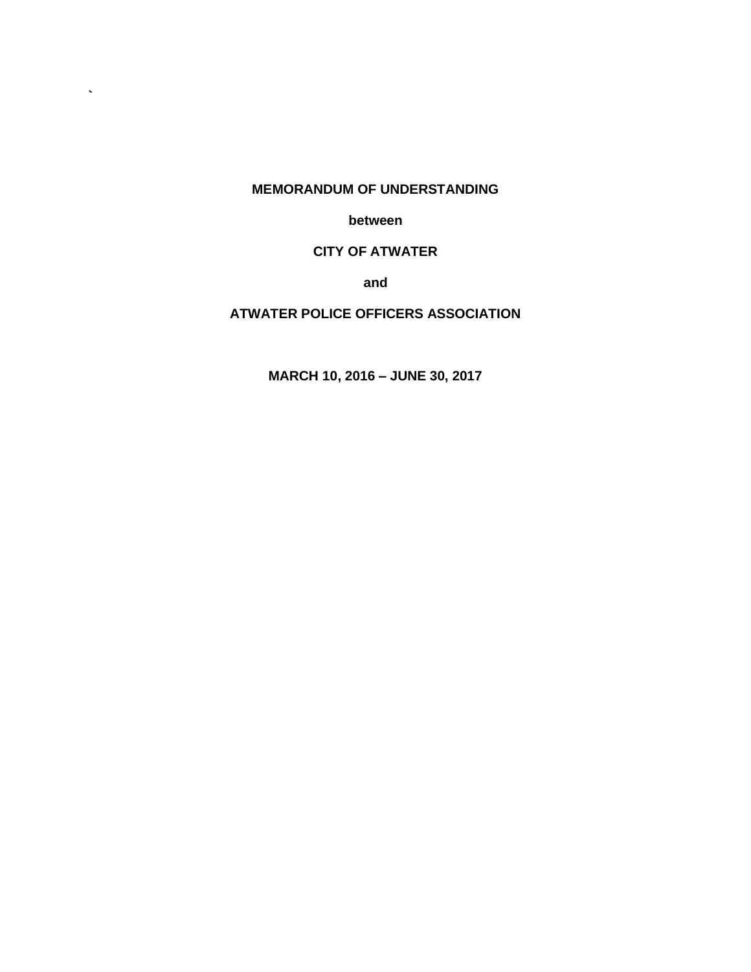#### **MEMORANDUM OF UNDERSTANDING**

**`**

**between**

# **CITY OF ATWATER**

**and**

# **ATWATER POLICE OFFICERS ASSOCIATION**

**MARCH 10, 2016 – JUNE 30, 2017**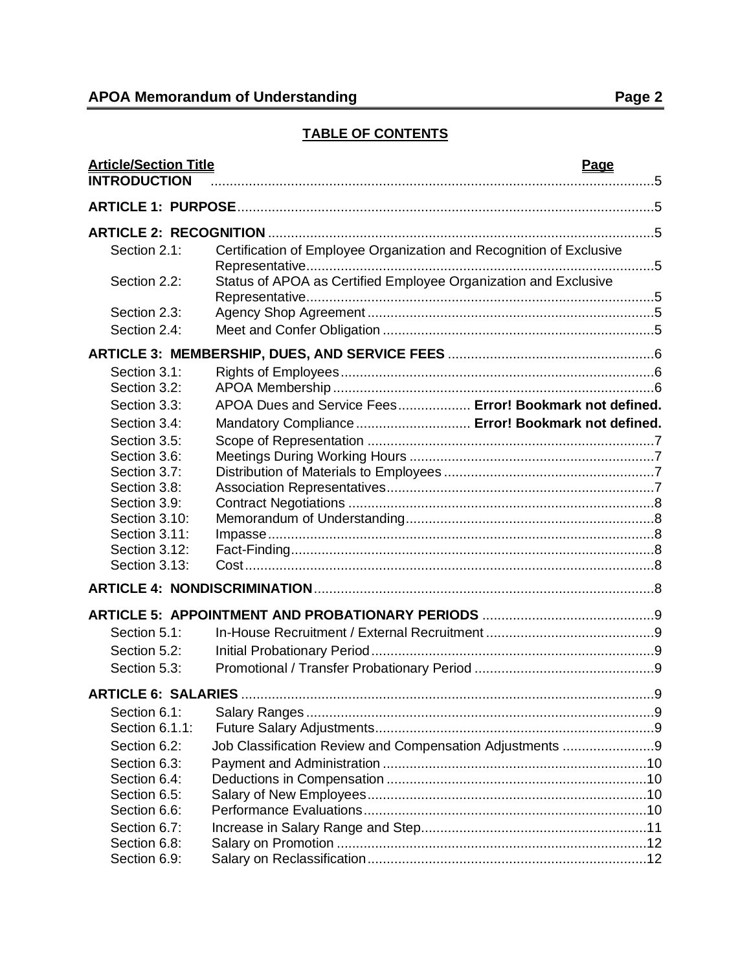# **TABLE OF CONTENTS**

| <b>Article/Section Title</b><br><b>INTRODUCTION</b> | <b>Page</b>                                                         |  |
|-----------------------------------------------------|---------------------------------------------------------------------|--|
|                                                     |                                                                     |  |
|                                                     |                                                                     |  |
| Section 2.1:                                        | Certification of Employee Organization and Recognition of Exclusive |  |
|                                                     |                                                                     |  |
| Section 2.2:                                        | Status of APOA as Certified Employee Organization and Exclusive     |  |
|                                                     |                                                                     |  |
| Section 2.3:                                        |                                                                     |  |
| Section 2.4:                                        |                                                                     |  |
|                                                     |                                                                     |  |
| Section 3.1:                                        |                                                                     |  |
| Section 3.2:                                        |                                                                     |  |
| Section 3.3:                                        | APOA Dues and Service Fees Error! Bookmark not defined.             |  |
| Section 3.4:                                        | Mandatory Compliance  Error! Bookmark not defined.                  |  |
| Section 3.5:                                        |                                                                     |  |
| Section 3.6:                                        |                                                                     |  |
| Section 3.7:<br>Section 3.8:                        |                                                                     |  |
| Section 3.9:                                        |                                                                     |  |
| Section 3.10:                                       |                                                                     |  |
| Section 3.11:                                       |                                                                     |  |
| Section 3.12:                                       |                                                                     |  |
| Section 3.13:                                       |                                                                     |  |
|                                                     |                                                                     |  |
|                                                     |                                                                     |  |
| Section 5.1:                                        |                                                                     |  |
| Section 5.2:                                        |                                                                     |  |
| Section 5.3:                                        |                                                                     |  |
|                                                     |                                                                     |  |
| Section 6.1:                                        |                                                                     |  |
| Section 6.1.1:                                      |                                                                     |  |
| Section 6.2:                                        | Job Classification Review and Compensation Adjustments 9            |  |
| Section 6.3:                                        |                                                                     |  |
| Section 6.4:                                        |                                                                     |  |
| Section 6.5:                                        |                                                                     |  |
| Section 6.6:                                        |                                                                     |  |
| Section 6.7:                                        |                                                                     |  |
| Section 6.8:                                        |                                                                     |  |
| Section 6.9:                                        |                                                                     |  |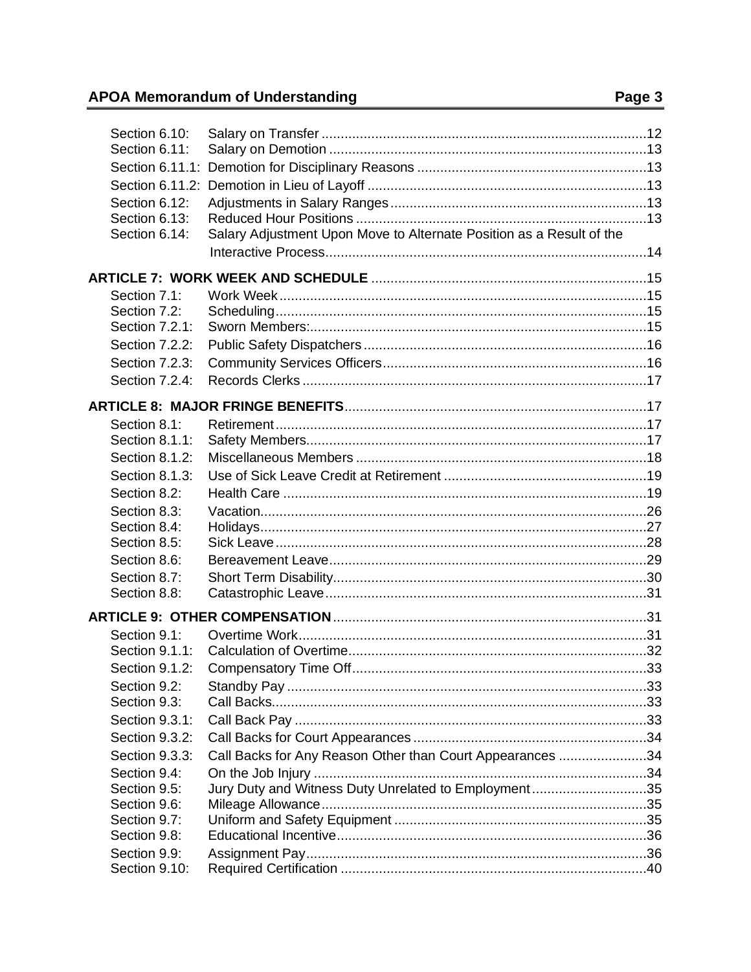| Section 6.10:<br>Section 6.11:<br>Section 6.11.1:<br>Section 6.12:<br>Section 6.13:<br>Section 6.14: | Salary Adjustment Upon Move to Alternate Position as a Result of the |  |
|------------------------------------------------------------------------------------------------------|----------------------------------------------------------------------|--|
|                                                                                                      |                                                                      |  |
| Section 7.1:                                                                                         |                                                                      |  |
| Section 7.2:                                                                                         |                                                                      |  |
| Section 7.2.1:                                                                                       |                                                                      |  |
| Section 7.2.2:                                                                                       |                                                                      |  |
| Section 7.2.3:                                                                                       |                                                                      |  |
| Section 7.2.4:                                                                                       |                                                                      |  |
|                                                                                                      |                                                                      |  |
|                                                                                                      |                                                                      |  |
| Section 8.1:                                                                                         |                                                                      |  |
| Section 8.1.1:                                                                                       |                                                                      |  |
| Section 8.1.2:                                                                                       |                                                                      |  |
| Section 8.1.3:                                                                                       |                                                                      |  |
| Section 8.2:                                                                                         |                                                                      |  |
| Section 8.3:                                                                                         |                                                                      |  |
| Section 8.4:                                                                                         |                                                                      |  |
| Section 8.5:                                                                                         |                                                                      |  |
| Section 8.6:                                                                                         |                                                                      |  |
| Section 8.7:                                                                                         |                                                                      |  |
| Section 8.8:                                                                                         |                                                                      |  |
|                                                                                                      |                                                                      |  |
| Section 9.1:                                                                                         |                                                                      |  |
| Section 9.1.1:                                                                                       |                                                                      |  |
| Section 9.1.2:                                                                                       |                                                                      |  |
| Section 9.2:                                                                                         |                                                                      |  |
| Section 9.3:                                                                                         |                                                                      |  |
| Section 9.3.1:                                                                                       |                                                                      |  |
| Section 9.3.2:                                                                                       |                                                                      |  |
| Section 9.3.3:                                                                                       | Call Backs for Any Reason Other than Court Appearances 34            |  |
| Section 9.4:                                                                                         |                                                                      |  |
| Section 9.5:                                                                                         | Jury Duty and Witness Duty Unrelated to Employment35                 |  |
| Section 9.6:                                                                                         |                                                                      |  |
| Section 9.7:                                                                                         |                                                                      |  |
| Section 9.8:                                                                                         |                                                                      |  |
| Section 9.9:                                                                                         |                                                                      |  |
| Section 9.10:                                                                                        |                                                                      |  |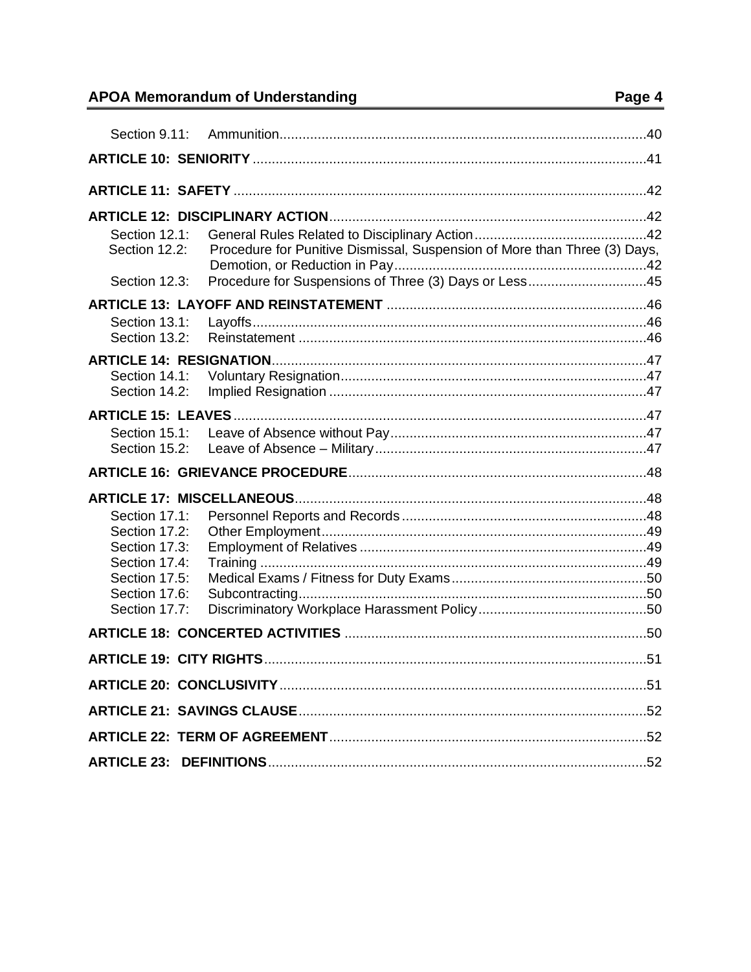| Section 9.11:                                                                                                       |                                                                                                                                    |  |
|---------------------------------------------------------------------------------------------------------------------|------------------------------------------------------------------------------------------------------------------------------------|--|
|                                                                                                                     |                                                                                                                                    |  |
|                                                                                                                     |                                                                                                                                    |  |
|                                                                                                                     |                                                                                                                                    |  |
| Section 12.1:<br>Section 12.2:<br>Section 12.3:                                                                     | Procedure for Punitive Dismissal, Suspension of More than Three (3) Days,<br>Procedure for Suspensions of Three (3) Days or Less45 |  |
|                                                                                                                     |                                                                                                                                    |  |
| Section 13.1:<br>Section 13.2:                                                                                      |                                                                                                                                    |  |
|                                                                                                                     |                                                                                                                                    |  |
| Section 14.1:<br>Section 14.2:                                                                                      |                                                                                                                                    |  |
|                                                                                                                     |                                                                                                                                    |  |
| Section 15.1:<br>Section 15.2:                                                                                      |                                                                                                                                    |  |
|                                                                                                                     |                                                                                                                                    |  |
|                                                                                                                     |                                                                                                                                    |  |
| Section 17.1:<br>Section 17.2:<br>Section 17.3:<br>Section 17.4:<br>Section 17.5:<br>Section 17.6:<br>Section 17.7: |                                                                                                                                    |  |
|                                                                                                                     |                                                                                                                                    |  |
|                                                                                                                     |                                                                                                                                    |  |
|                                                                                                                     |                                                                                                                                    |  |
|                                                                                                                     |                                                                                                                                    |  |
|                                                                                                                     |                                                                                                                                    |  |
|                                                                                                                     |                                                                                                                                    |  |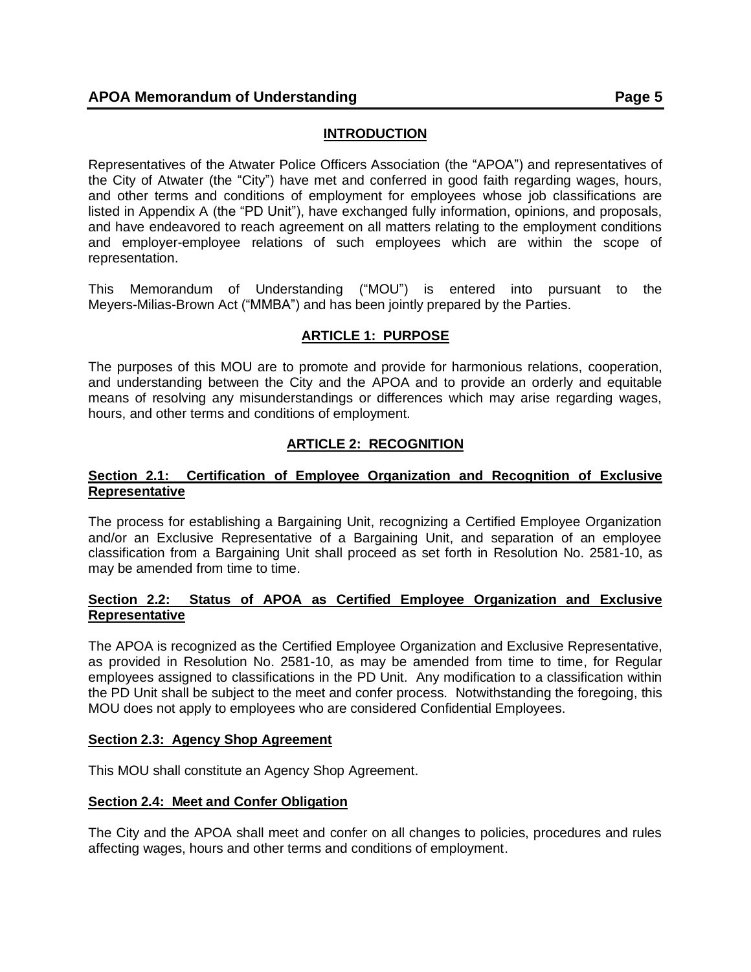# **INTRODUCTION**

<span id="page-4-0"></span>Representatives of the Atwater Police Officers Association (the "APOA") and representatives of the City of Atwater (the "City") have met and conferred in good faith regarding wages, hours, and other terms and conditions of employment for employees whose job classifications are listed in Appendix A (the "PD Unit"), have exchanged fully information, opinions, and proposals, and have endeavored to reach agreement on all matters relating to the employment conditions and employer-employee relations of such employees which are within the scope of representation.

This Memorandum of Understanding ("MOU") is entered into pursuant to the Meyers-Milias-Brown Act ("MMBA") and has been jointly prepared by the Parties.

# **ARTICLE 1: PURPOSE**

<span id="page-4-1"></span>The purposes of this MOU are to promote and provide for harmonious relations, cooperation, and understanding between the City and the APOA and to provide an orderly and equitable means of resolving any misunderstandings or differences which may arise regarding wages, hours, and other terms and conditions of employment.

# **ARTICLE 2: RECOGNITION**

### <span id="page-4-3"></span><span id="page-4-2"></span>**Section 2.1: Certification of Employee Organization and Recognition of Exclusive Representative**

The process for establishing a Bargaining Unit, recognizing a Certified Employee Organization and/or an Exclusive Representative of a Bargaining Unit, and separation of an employee classification from a Bargaining Unit shall proceed as set forth in Resolution No. 2581-10, as may be amended from time to time.

### <span id="page-4-4"></span>**Section 2.2: Status of APOA as Certified Employee Organization and Exclusive Representative**

The APOA is recognized as the Certified Employee Organization and Exclusive Representative, as provided in Resolution No. 2581-10, as may be amended from time to time, for Regular employees assigned to classifications in the PD Unit. Any modification to a classification within the PD Unit shall be subject to the meet and confer process. Notwithstanding the foregoing, this MOU does not apply to employees who are considered Confidential Employees.

#### <span id="page-4-5"></span>**Section 2.3: Agency Shop Agreement**

This MOU shall constitute an Agency Shop Agreement.

## <span id="page-4-6"></span>**Section 2.4: Meet and Confer Obligation**

The City and the APOA shall meet and confer on all changes to policies, procedures and rules affecting wages, hours and other terms and conditions of employment.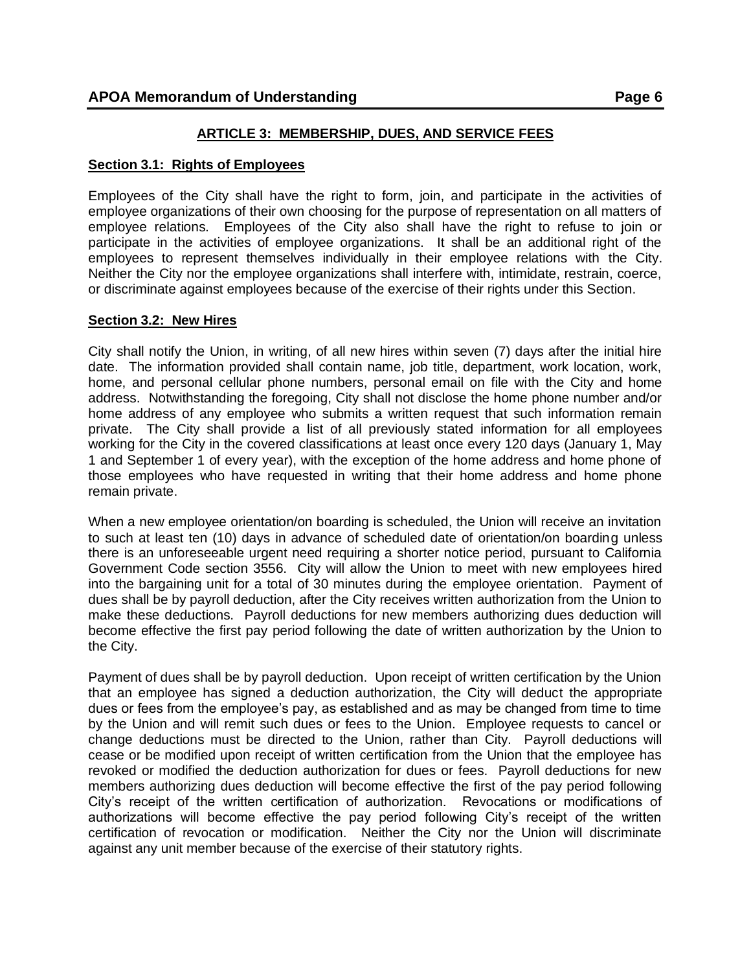## <span id="page-5-1"></span><span id="page-5-0"></span>**Section 3.1: Rights of Employees**

Employees of the City shall have the right to form, join, and participate in the activities of employee organizations of their own choosing for the purpose of representation on all matters of employee relations. Employees of the City also shall have the right to refuse to join or participate in the activities of employee organizations. It shall be an additional right of the employees to represent themselves individually in their employee relations with the City. Neither the City nor the employee organizations shall interfere with, intimidate, restrain, coerce, or discriminate against employees because of the exercise of their rights under this Section.

### <span id="page-5-2"></span>**Section 3.2: New Hires**

City shall notify the Union, in writing, of all new hires within seven (7) days after the initial hire date. The information provided shall contain name, job title, department, work location, work, home, and personal cellular phone numbers, personal email on file with the City and home address. Notwithstanding the foregoing, City shall not disclose the home phone number and/or home address of any employee who submits a written request that such information remain private. The City shall provide a list of all previously stated information for all employees working for the City in the covered classifications at least once every 120 days (January 1, May 1 and September 1 of every year), with the exception of the home address and home phone of those employees who have requested in writing that their home address and home phone remain private.

When a new employee orientation/on boarding is scheduled, the Union will receive an invitation to such at least ten (10) days in advance of scheduled date of orientation/on boarding unless there is an unforeseeable urgent need requiring a shorter notice period, pursuant to California Government Code section 3556. City will allow the Union to meet with new employees hired into the bargaining unit for a total of 30 minutes during the employee orientation. Payment of dues shall be by payroll deduction, after the City receives written authorization from the Union to make these deductions. Payroll deductions for new members authorizing dues deduction will become effective the first pay period following the date of written authorization by the Union to the City.

Payment of dues shall be by payroll deduction. Upon receipt of written certification by the Union that an employee has signed a deduction authorization, the City will deduct the appropriate dues or fees from the employee's pay, as established and as may be changed from time to time by the Union and will remit such dues or fees to the Union. Employee requests to cancel or change deductions must be directed to the Union, rather than City. Payroll deductions will cease or be modified upon receipt of written certification from the Union that the employee has revoked or modified the deduction authorization for dues or fees. Payroll deductions for new members authorizing dues deduction will become effective the first of the pay period following City's receipt of the written certification of authorization. Revocations or modifications of authorizations will become effective the pay period following City's receipt of the written certification of revocation or modification. Neither the City nor the Union will discriminate against any unit member because of the exercise of their statutory rights.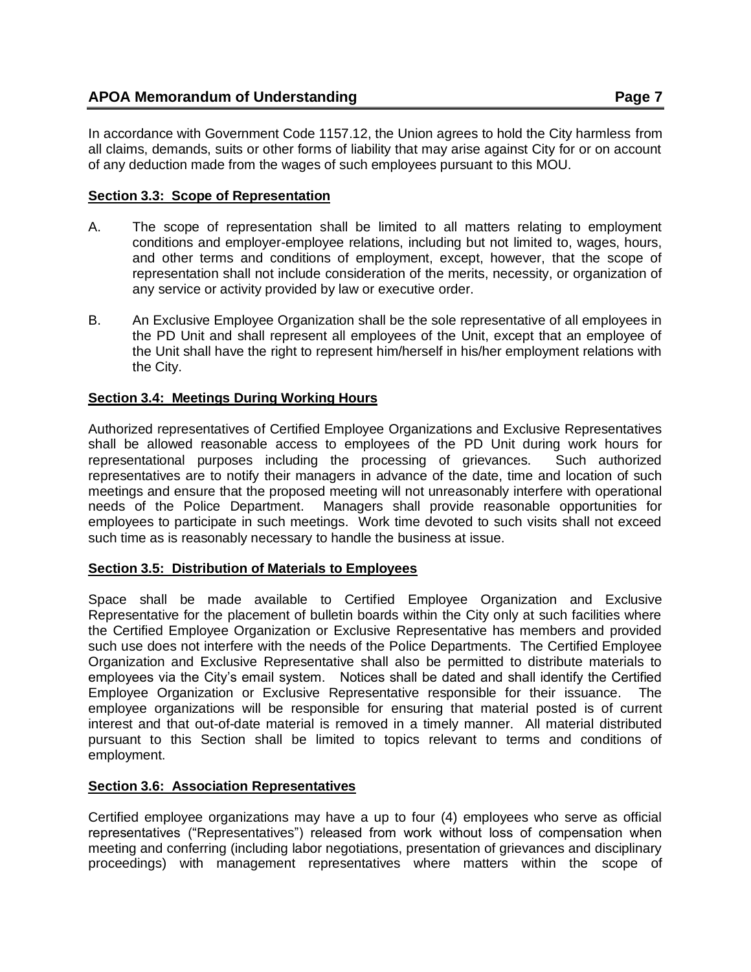In accordance with Government Code 1157.12, the Union agrees to hold the City harmless from all claims, demands, suits or other forms of liability that may arise against City for or on account of any deduction made from the wages of such employees pursuant to this MOU.

# <span id="page-6-0"></span>**Section 3.3: Scope of Representation**

- A. The scope of representation shall be limited to all matters relating to employment conditions and employer-employee relations, including but not limited to, wages, hours, and other terms and conditions of employment, except, however, that the scope of representation shall not include consideration of the merits, necessity, or organization of any service or activity provided by law or executive order.
- B. An Exclusive Employee Organization shall be the sole representative of all employees in the PD Unit and shall represent all employees of the Unit, except that an employee of the Unit shall have the right to represent him/herself in his/her employment relations with the City.

# <span id="page-6-1"></span>**Section 3.4: Meetings During Working Hours**

Authorized representatives of Certified Employee Organizations and Exclusive Representatives shall be allowed reasonable access to employees of the PD Unit during work hours for representational purposes including the processing of grievances. Such authorized representatives are to notify their managers in advance of the date, time and location of such meetings and ensure that the proposed meeting will not unreasonably interfere with operational needs of the Police Department. Managers shall provide reasonable opportunities for employees to participate in such meetings. Work time devoted to such visits shall not exceed such time as is reasonably necessary to handle the business at issue.

# <span id="page-6-2"></span>**Section 3.5: Distribution of Materials to Employees**

Space shall be made available to Certified Employee Organization and Exclusive Representative for the placement of bulletin boards within the City only at such facilities where the Certified Employee Organization or Exclusive Representative has members and provided such use does not interfere with the needs of the Police Departments. The Certified Employee Organization and Exclusive Representative shall also be permitted to distribute materials to employees via the City's email system. Notices shall be dated and shall identify the Certified Employee Organization or Exclusive Representative responsible for their issuance. The employee organizations will be responsible for ensuring that material posted is of current interest and that out-of-date material is removed in a timely manner. All material distributed pursuant to this Section shall be limited to topics relevant to terms and conditions of employment.

# <span id="page-6-3"></span>**Section 3.6: Association Representatives**

Certified employee organizations may have a up to four (4) employees who serve as official representatives ("Representatives") released from work without loss of compensation when meeting and conferring (including labor negotiations, presentation of grievances and disciplinary proceedings) with management representatives where matters within the scope of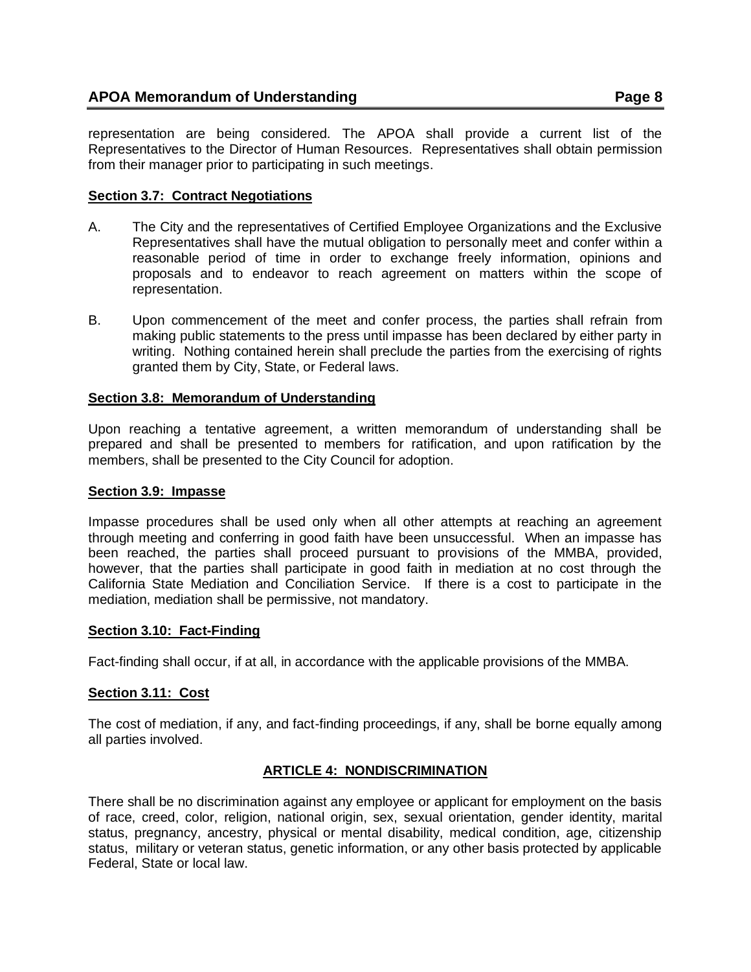representation are being considered. The APOA shall provide a current list of the Representatives to the Director of Human Resources. Representatives shall obtain permission from their manager prior to participating in such meetings.

# <span id="page-7-0"></span>**Section 3.7: Contract Negotiations**

- A. The City and the representatives of Certified Employee Organizations and the Exclusive Representatives shall have the mutual obligation to personally meet and confer within a reasonable period of time in order to exchange freely information, opinions and proposals and to endeavor to reach agreement on matters within the scope of representation.
- B. Upon commencement of the meet and confer process, the parties shall refrain from making public statements to the press until impasse has been declared by either party in writing. Nothing contained herein shall preclude the parties from the exercising of rights granted them by City, State, or Federal laws.

## <span id="page-7-1"></span>**Section 3.8: Memorandum of Understanding**

Upon reaching a tentative agreement, a written memorandum of understanding shall be prepared and shall be presented to members for ratification, and upon ratification by the members, shall be presented to the City Council for adoption.

### <span id="page-7-2"></span>**Section 3.9: Impasse**

Impasse procedures shall be used only when all other attempts at reaching an agreement through meeting and conferring in good faith have been unsuccessful. When an impasse has been reached, the parties shall proceed pursuant to provisions of the MMBA, provided, however, that the parties shall participate in good faith in mediation at no cost through the California State Mediation and Conciliation Service. If there is a cost to participate in the mediation, mediation shall be permissive, not mandatory.

## <span id="page-7-3"></span>**Section 3.10: Fact-Finding**

Fact-finding shall occur, if at all, in accordance with the applicable provisions of the MMBA.

## <span id="page-7-4"></span>**Section 3.11: Cost**

The cost of mediation, if any, and fact-finding proceedings, if any, shall be borne equally among all parties involved.

## **ARTICLE 4: NONDISCRIMINATION**

<span id="page-7-5"></span>There shall be no discrimination against any employee or applicant for employment on the basis of race, creed, color, religion, national origin, sex, sexual orientation, gender identity, marital status, pregnancy, ancestry, physical or mental disability, medical condition, age, citizenship status, military or veteran status, genetic information, or any other basis protected by applicable Federal, State or local law.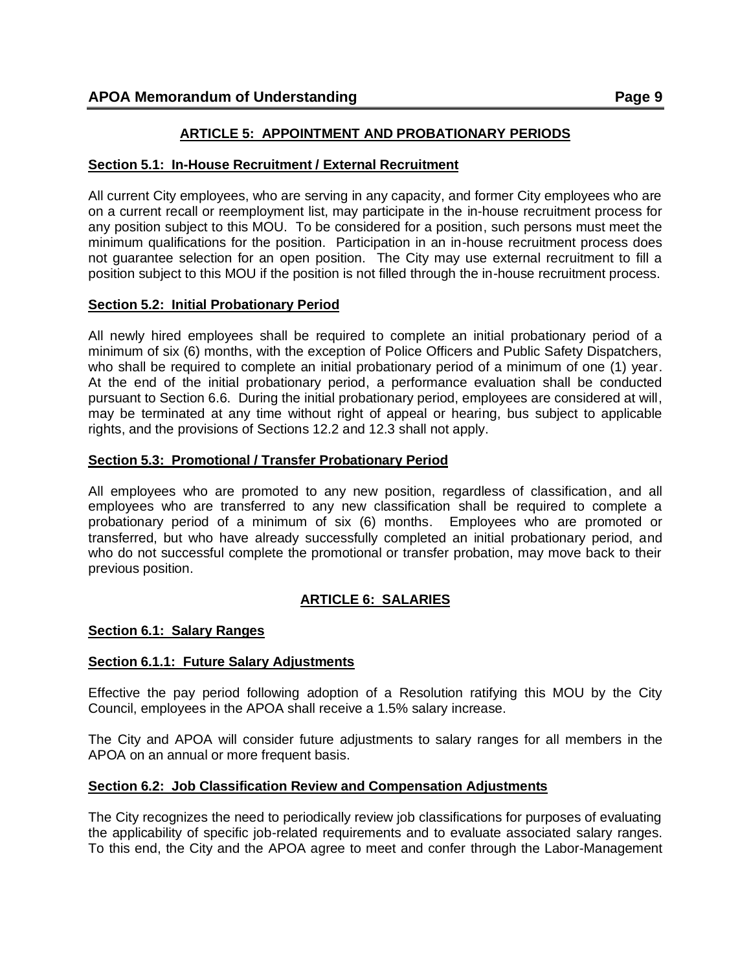# **ARTICLE 5: APPOINTMENT AND PROBATIONARY PERIODS**

### <span id="page-8-1"></span><span id="page-8-0"></span>**Section 5.1: In-House Recruitment / External Recruitment**

All current City employees, who are serving in any capacity, and former City employees who are on a current recall or reemployment list, may participate in the in-house recruitment process for any position subject to this MOU. To be considered for a position, such persons must meet the minimum qualifications for the position. Participation in an in-house recruitment process does not guarantee selection for an open position. The City may use external recruitment to fill a position subject to this MOU if the position is not filled through the in-house recruitment process.

### <span id="page-8-2"></span>**Section 5.2: Initial Probationary Period**

All newly hired employees shall be required to complete an initial probationary period of a minimum of six (6) months, with the exception of Police Officers and Public Safety Dispatchers, who shall be required to complete an initial probationary period of a minimum of one (1) year. At the end of the initial probationary period, a performance evaluation shall be conducted pursuant to Section 6.6. During the initial probationary period, employees are considered at will, may be terminated at any time without right of appeal or hearing, bus subject to applicable rights, and the provisions of Sections 12.2 and 12.3 shall not apply.

### <span id="page-8-3"></span>**Section 5.3: Promotional / Transfer Probationary Period**

All employees who are promoted to any new position, regardless of classification, and all employees who are transferred to any new classification shall be required to complete a probationary period of a minimum of six (6) months. Employees who are promoted or transferred, but who have already successfully completed an initial probationary period, and who do not successful complete the promotional or transfer probation, may move back to their previous position.

# **ARTICLE 6: SALARIES**

## <span id="page-8-5"></span><span id="page-8-4"></span>**Section 6.1: Salary Ranges**

#### <span id="page-8-6"></span>**Section 6.1.1: Future Salary Adjustments**

Effective the pay period following adoption of a Resolution ratifying this MOU by the City Council, employees in the APOA shall receive a 1.5% salary increase.

The City and APOA will consider future adjustments to salary ranges for all members in the APOA on an annual or more frequent basis.

#### <span id="page-8-7"></span>**Section 6.2: Job Classification Review and Compensation Adjustments**

The City recognizes the need to periodically review job classifications for purposes of evaluating the applicability of specific job-related requirements and to evaluate associated salary ranges. To this end, the City and the APOA agree to meet and confer through the Labor-Management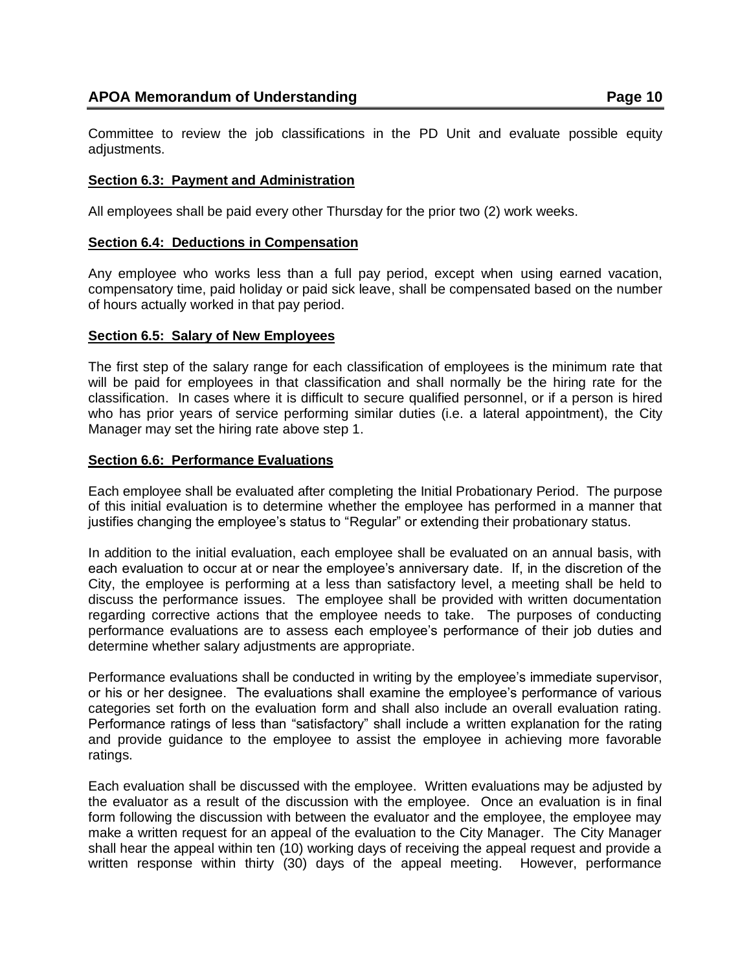Committee to review the job classifications in the PD Unit and evaluate possible equity adjustments.

### <span id="page-9-0"></span>**Section 6.3: Payment and Administration**

All employees shall be paid every other Thursday for the prior two (2) work weeks.

### <span id="page-9-1"></span>**Section 6.4: Deductions in Compensation**

Any employee who works less than a full pay period, except when using earned vacation, compensatory time, paid holiday or paid sick leave, shall be compensated based on the number of hours actually worked in that pay period.

### <span id="page-9-2"></span>**Section 6.5: Salary of New Employees**

The first step of the salary range for each classification of employees is the minimum rate that will be paid for employees in that classification and shall normally be the hiring rate for the classification. In cases where it is difficult to secure qualified personnel, or if a person is hired who has prior years of service performing similar duties (i.e. a lateral appointment), the City Manager may set the hiring rate above step 1.

### <span id="page-9-3"></span>**Section 6.6: Performance Evaluations**

Each employee shall be evaluated after completing the Initial Probationary Period. The purpose of this initial evaluation is to determine whether the employee has performed in a manner that justifies changing the employee's status to "Regular" or extending their probationary status.

In addition to the initial evaluation, each employee shall be evaluated on an annual basis, with each evaluation to occur at or near the employee's anniversary date. If, in the discretion of the City, the employee is performing at a less than satisfactory level, a meeting shall be held to discuss the performance issues. The employee shall be provided with written documentation regarding corrective actions that the employee needs to take. The purposes of conducting performance evaluations are to assess each employee's performance of their job duties and determine whether salary adjustments are appropriate.

Performance evaluations shall be conducted in writing by the employee's immediate supervisor, or his or her designee. The evaluations shall examine the employee's performance of various categories set forth on the evaluation form and shall also include an overall evaluation rating. Performance ratings of less than "satisfactory" shall include a written explanation for the rating and provide guidance to the employee to assist the employee in achieving more favorable ratings.

Each evaluation shall be discussed with the employee. Written evaluations may be adjusted by the evaluator as a result of the discussion with the employee. Once an evaluation is in final form following the discussion with between the evaluator and the employee, the employee may make a written request for an appeal of the evaluation to the City Manager. The City Manager shall hear the appeal within ten (10) working days of receiving the appeal request and provide a written response within thirty (30) days of the appeal meeting. However, performance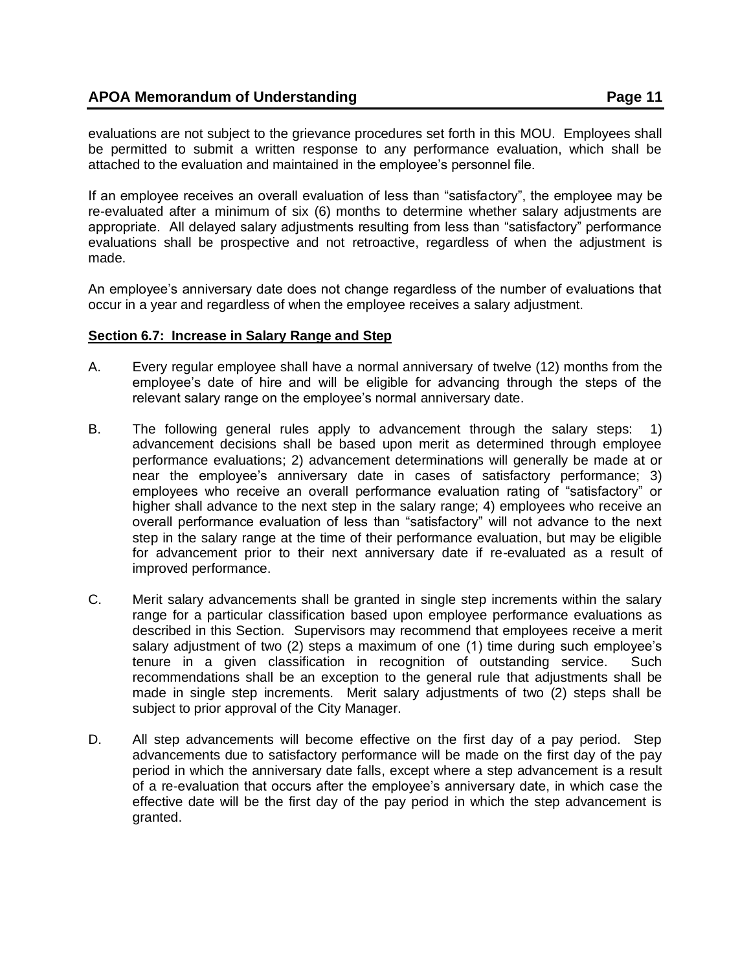evaluations are not subject to the grievance procedures set forth in this MOU. Employees shall be permitted to submit a written response to any performance evaluation, which shall be attached to the evaluation and maintained in the employee's personnel file.

If an employee receives an overall evaluation of less than "satisfactory", the employee may be re-evaluated after a minimum of six (6) months to determine whether salary adjustments are appropriate. All delayed salary adjustments resulting from less than "satisfactory" performance evaluations shall be prospective and not retroactive, regardless of when the adjustment is made.

An employee's anniversary date does not change regardless of the number of evaluations that occur in a year and regardless of when the employee receives a salary adjustment.

#### <span id="page-10-0"></span>**Section 6.7: Increase in Salary Range and Step**

- A. Every regular employee shall have a normal anniversary of twelve (12) months from the employee's date of hire and will be eligible for advancing through the steps of the relevant salary range on the employee's normal anniversary date.
- B. The following general rules apply to advancement through the salary steps: 1) advancement decisions shall be based upon merit as determined through employee performance evaluations; 2) advancement determinations will generally be made at or near the employee's anniversary date in cases of satisfactory performance; 3) employees who receive an overall performance evaluation rating of "satisfactory" or higher shall advance to the next step in the salary range; 4) employees who receive an overall performance evaluation of less than "satisfactory" will not advance to the next step in the salary range at the time of their performance evaluation, but may be eligible for advancement prior to their next anniversary date if re-evaluated as a result of improved performance.
- C. Merit salary advancements shall be granted in single step increments within the salary range for a particular classification based upon employee performance evaluations as described in this Section. Supervisors may recommend that employees receive a merit salary adjustment of two (2) steps a maximum of one (1) time during such employee's tenure in a given classification in recognition of outstanding service. Such recommendations shall be an exception to the general rule that adjustments shall be made in single step increments. Merit salary adjustments of two (2) steps shall be subject to prior approval of the City Manager.
- <span id="page-10-1"></span>D. All step advancements will become effective on the first day of a pay period. Step advancements due to satisfactory performance will be made on the first day of the pay period in which the anniversary date falls, except where a step advancement is a result of a re-evaluation that occurs after the employee's anniversary date, in which case the effective date will be the first day of the pay period in which the step advancement is granted.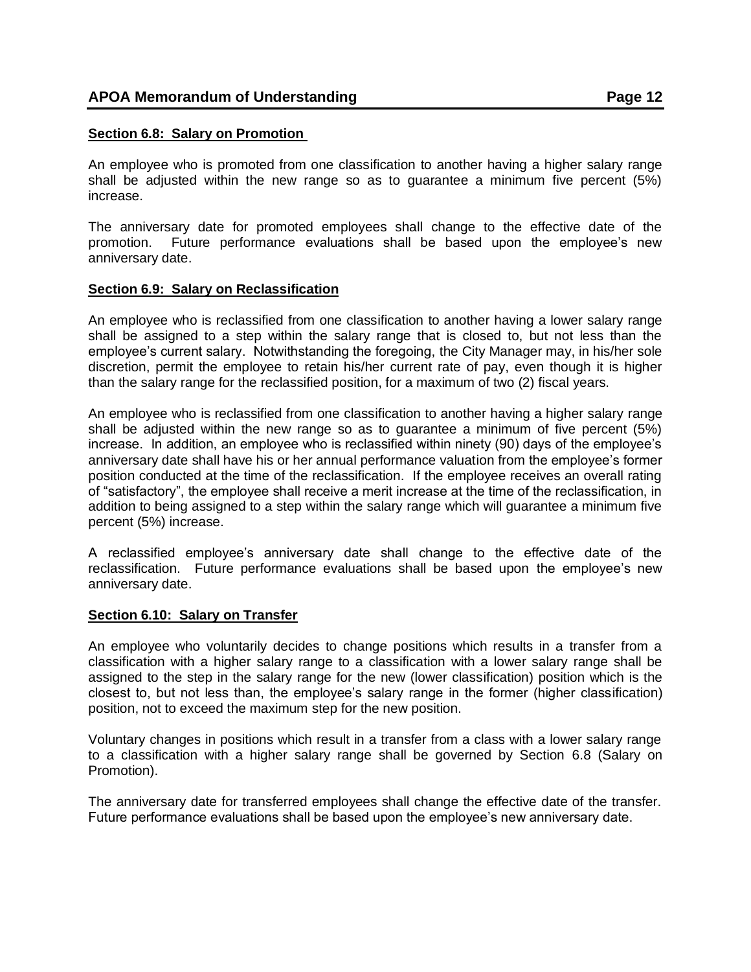### **Section 6.8: Salary on Promotion**

An employee who is promoted from one classification to another having a higher salary range shall be adjusted within the new range so as to guarantee a minimum five percent (5%) increase.

The anniversary date for promoted employees shall change to the effective date of the promotion. Future performance evaluations shall be based upon the employee's new anniversary date.

### <span id="page-11-0"></span>**Section 6.9: Salary on Reclassification**

An employee who is reclassified from one classification to another having a lower salary range shall be assigned to a step within the salary range that is closed to, but not less than the employee's current salary. Notwithstanding the foregoing, the City Manager may, in his/her sole discretion, permit the employee to retain his/her current rate of pay, even though it is higher than the salary range for the reclassified position, for a maximum of two (2) fiscal years.

An employee who is reclassified from one classification to another having a higher salary range shall be adjusted within the new range so as to guarantee a minimum of five percent (5%) increase. In addition, an employee who is reclassified within ninety (90) days of the employee's anniversary date shall have his or her annual performance valuation from the employee's former position conducted at the time of the reclassification. If the employee receives an overall rating of "satisfactory", the employee shall receive a merit increase at the time of the reclassification, in addition to being assigned to a step within the salary range which will guarantee a minimum five percent (5%) increase.

A reclassified employee's anniversary date shall change to the effective date of the reclassification. Future performance evaluations shall be based upon the employee's new anniversary date.

## <span id="page-11-1"></span>**Section 6.10: Salary on Transfer**

An employee who voluntarily decides to change positions which results in a transfer from a classification with a higher salary range to a classification with a lower salary range shall be assigned to the step in the salary range for the new (lower classification) position which is the closest to, but not less than, the employee's salary range in the former (higher classification) position, not to exceed the maximum step for the new position.

Voluntary changes in positions which result in a transfer from a class with a lower salary range to a classification with a higher salary range shall be governed by Section 6.8 (Salary on Promotion).

The anniversary date for transferred employees shall change the effective date of the transfer. Future performance evaluations shall be based upon the employee's new anniversary date.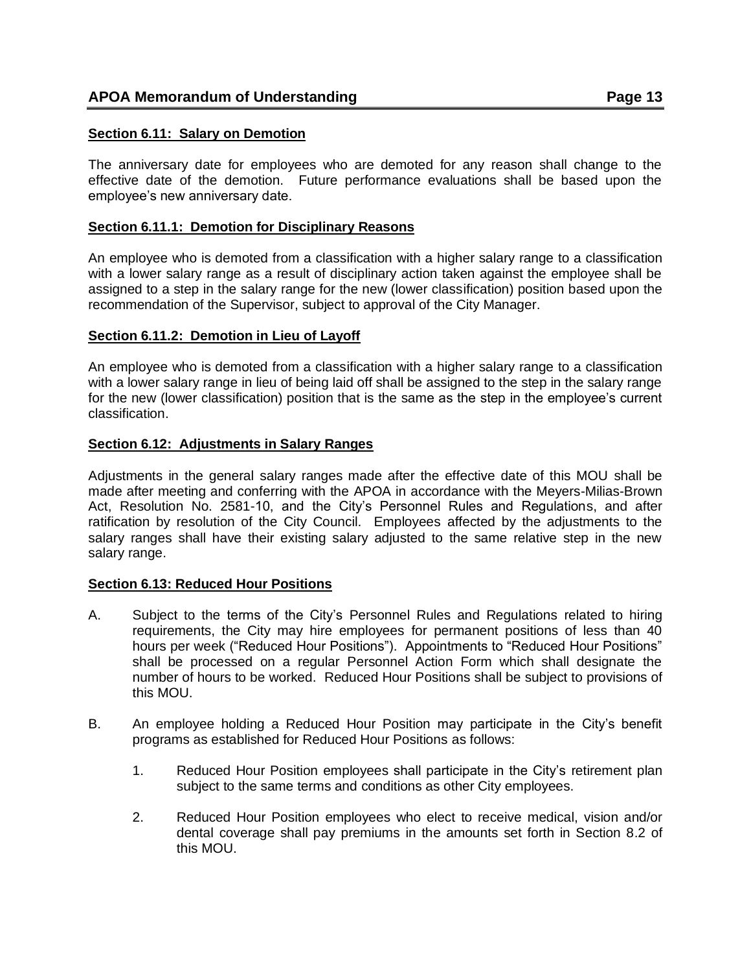### <span id="page-12-0"></span>**Section 6.11: Salary on Demotion**

The anniversary date for employees who are demoted for any reason shall change to the effective date of the demotion. Future performance evaluations shall be based upon the employee's new anniversary date.

### <span id="page-12-1"></span>**Section 6.11.1: Demotion for Disciplinary Reasons**

An employee who is demoted from a classification with a higher salary range to a classification with a lower salary range as a result of disciplinary action taken against the employee shall be assigned to a step in the salary range for the new (lower classification) position based upon the recommendation of the Supervisor, subject to approval of the City Manager.

### <span id="page-12-2"></span>**Section 6.11.2: Demotion in Lieu of Layoff**

An employee who is demoted from a classification with a higher salary range to a classification with a lower salary range in lieu of being laid off shall be assigned to the step in the salary range for the new (lower classification) position that is the same as the step in the employee's current classification.

### <span id="page-12-3"></span>**Section 6.12: Adjustments in Salary Ranges**

Adjustments in the general salary ranges made after the effective date of this MOU shall be made after meeting and conferring with the APOA in accordance with the Meyers-Milias-Brown Act, Resolution No. 2581-10, and the City's Personnel Rules and Regulations, and after ratification by resolution of the City Council. Employees affected by the adjustments to the salary ranges shall have their existing salary adjusted to the same relative step in the new salary range.

#### <span id="page-12-4"></span>**Section 6.13: Reduced Hour Positions**

- A. Subject to the terms of the City's Personnel Rules and Regulations related to hiring requirements, the City may hire employees for permanent positions of less than 40 hours per week ("Reduced Hour Positions"). Appointments to "Reduced Hour Positions" shall be processed on a regular Personnel Action Form which shall designate the number of hours to be worked. Reduced Hour Positions shall be subject to provisions of this MOU.
- B. An employee holding a Reduced Hour Position may participate in the City's benefit programs as established for Reduced Hour Positions as follows:
	- 1. Reduced Hour Position employees shall participate in the City's retirement plan subject to the same terms and conditions as other City employees.
	- 2. Reduced Hour Position employees who elect to receive medical, vision and/or dental coverage shall pay premiums in the amounts set forth in Section 8.2 of this MOU.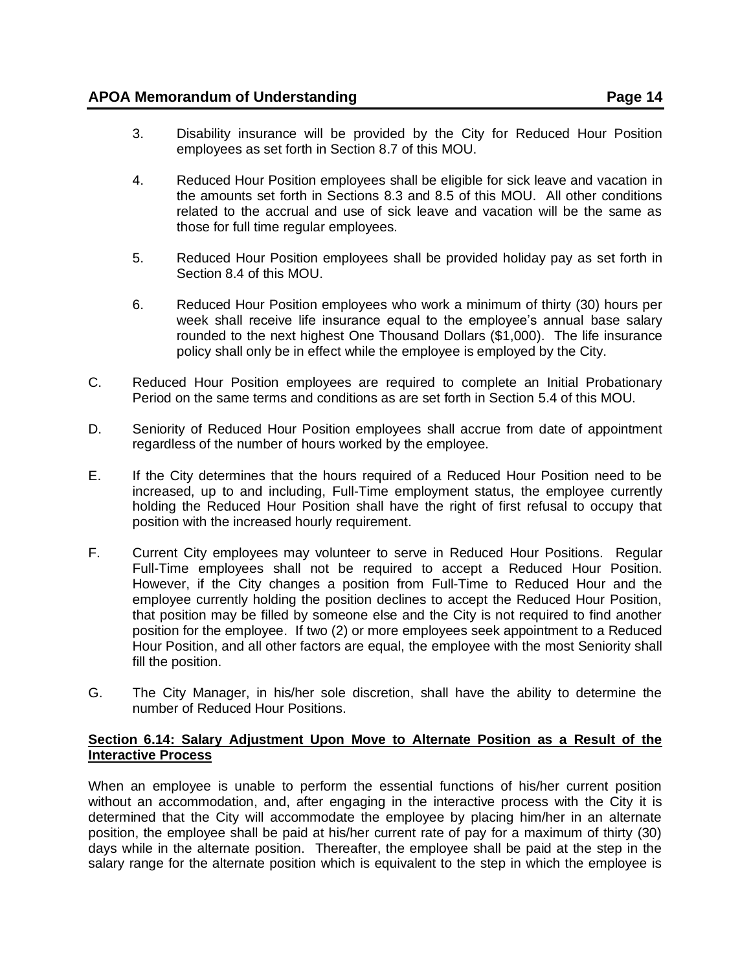- 3. Disability insurance will be provided by the City for Reduced Hour Position employees as set forth in Section 8.7 of this MOU.
- 4. Reduced Hour Position employees shall be eligible for sick leave and vacation in the amounts set forth in Sections 8.3 and 8.5 of this MOU. All other conditions related to the accrual and use of sick leave and vacation will be the same as those for full time regular employees.
- 5. Reduced Hour Position employees shall be provided holiday pay as set forth in Section 8.4 of this MOU.
- 6. Reduced Hour Position employees who work a minimum of thirty (30) hours per week shall receive life insurance equal to the employee's annual base salary rounded to the next highest One Thousand Dollars (\$1,000). The life insurance policy shall only be in effect while the employee is employed by the City.
- C. Reduced Hour Position employees are required to complete an Initial Probationary Period on the same terms and conditions as are set forth in Section 5.4 of this MOU.
- D. Seniority of Reduced Hour Position employees shall accrue from date of appointment regardless of the number of hours worked by the employee.
- E. If the City determines that the hours required of a Reduced Hour Position need to be increased, up to and including, Full-Time employment status, the employee currently holding the Reduced Hour Position shall have the right of first refusal to occupy that position with the increased hourly requirement.
- F. Current City employees may volunteer to serve in Reduced Hour Positions. Regular Full-Time employees shall not be required to accept a Reduced Hour Position. However, if the City changes a position from Full-Time to Reduced Hour and the employee currently holding the position declines to accept the Reduced Hour Position, that position may be filled by someone else and the City is not required to find another position for the employee. If two (2) or more employees seek appointment to a Reduced Hour Position, and all other factors are equal, the employee with the most Seniority shall fill the position.
- G. The City Manager, in his/her sole discretion, shall have the ability to determine the number of Reduced Hour Positions.

### <span id="page-13-0"></span>**Section 6.14: Salary Adjustment Upon Move to Alternate Position as a Result of the Interactive Process**

When an employee is unable to perform the essential functions of his/her current position without an accommodation, and, after engaging in the interactive process with the City it is determined that the City will accommodate the employee by placing him/her in an alternate position, the employee shall be paid at his/her current rate of pay for a maximum of thirty (30) days while in the alternate position. Thereafter, the employee shall be paid at the step in the salary range for the alternate position which is equivalent to the step in which the employee is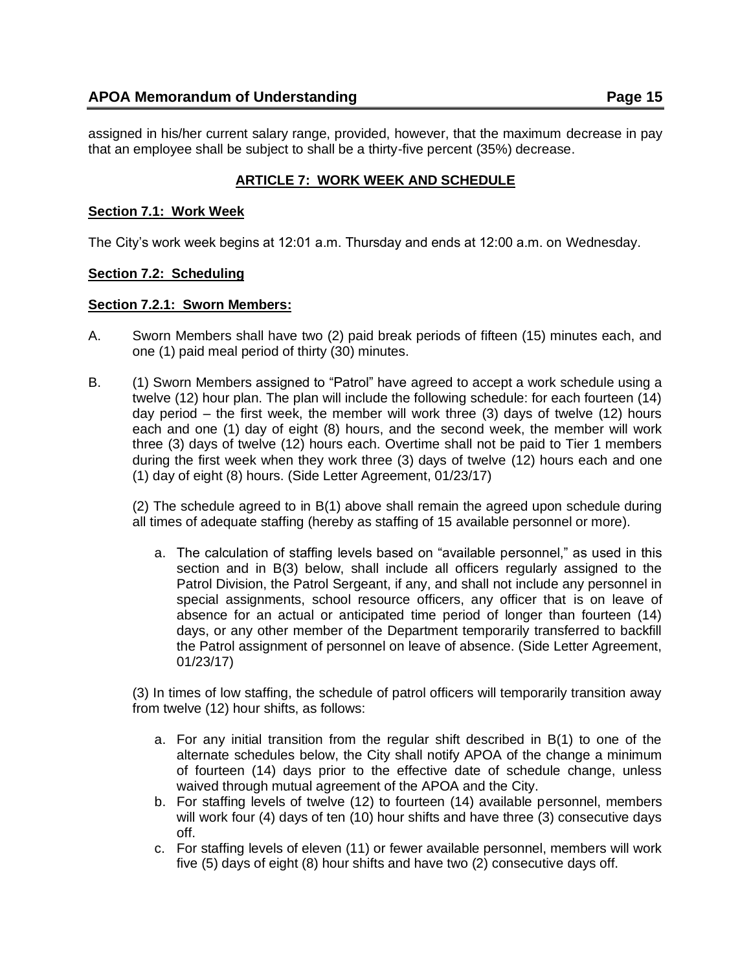assigned in his/her current salary range, provided, however, that the maximum decrease in pay that an employee shall be subject to shall be a thirty-five percent (35%) decrease.

# **ARTICLE 7: WORK WEEK AND SCHEDULE**

## <span id="page-14-1"></span><span id="page-14-0"></span>**Section 7.1: Work Week**

The City's work week begins at 12:01 a.m. Thursday and ends at 12:00 a.m. on Wednesday.

# <span id="page-14-2"></span>**Section 7.2: Scheduling**

### <span id="page-14-3"></span>**Section 7.2.1: Sworn Members:**

- A. Sworn Members shall have two (2) paid break periods of fifteen (15) minutes each, and one (1) paid meal period of thirty (30) minutes.
- B. (1) Sworn Members assigned to "Patrol" have agreed to accept a work schedule using a twelve (12) hour plan. The plan will include the following schedule: for each fourteen (14) day period – the first week, the member will work three (3) days of twelve (12) hours each and one (1) day of eight (8) hours, and the second week, the member will work three (3) days of twelve (12) hours each. Overtime shall not be paid to Tier 1 members during the first week when they work three (3) days of twelve (12) hours each and one (1) day of eight (8) hours. (Side Letter Agreement, 01/23/17)

(2) The schedule agreed to in B(1) above shall remain the agreed upon schedule during all times of adequate staffing (hereby as staffing of 15 available personnel or more).

a. The calculation of staffing levels based on "available personnel," as used in this section and in B(3) below, shall include all officers regularly assigned to the Patrol Division, the Patrol Sergeant, if any, and shall not include any personnel in special assignments, school resource officers, any officer that is on leave of absence for an actual or anticipated time period of longer than fourteen (14) days, or any other member of the Department temporarily transferred to backfill the Patrol assignment of personnel on leave of absence. (Side Letter Agreement, 01/23/17)

(3) In times of low staffing, the schedule of patrol officers will temporarily transition away from twelve (12) hour shifts, as follows:

- a. For any initial transition from the regular shift described in B(1) to one of the alternate schedules below, the City shall notify APOA of the change a minimum of fourteen (14) days prior to the effective date of schedule change, unless waived through mutual agreement of the APOA and the City.
- b. For staffing levels of twelve (12) to fourteen (14) available personnel, members will work four (4) days of ten (10) hour shifts and have three (3) consecutive days off.
- c. For staffing levels of eleven (11) or fewer available personnel, members will work five (5) days of eight (8) hour shifts and have two (2) consecutive days off.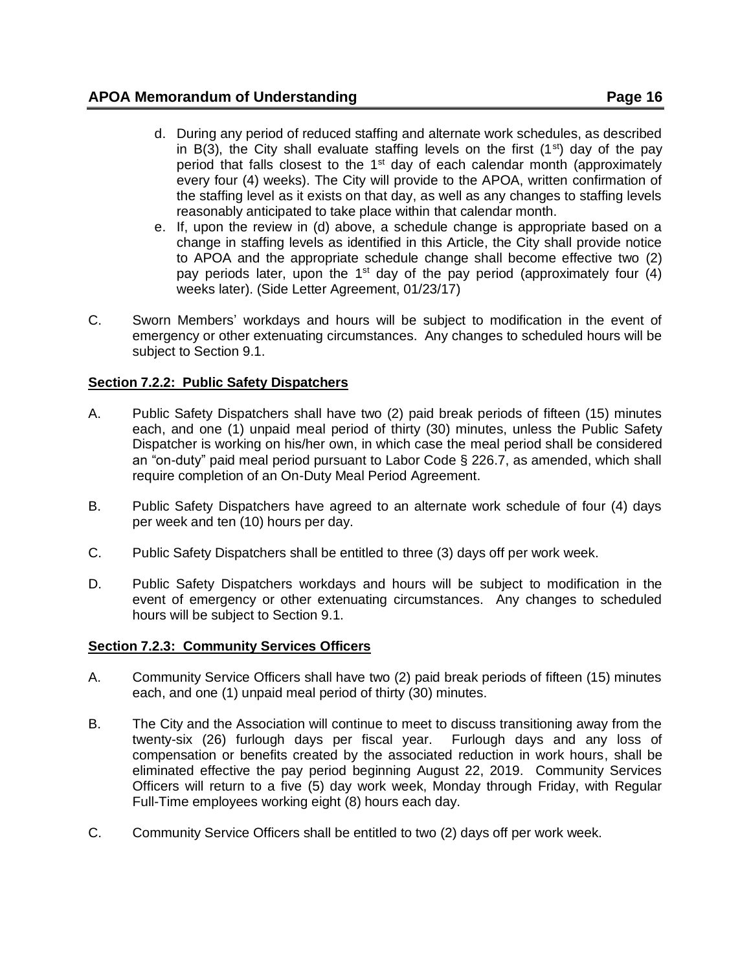- d. During any period of reduced staffing and alternate work schedules, as described in B(3), the City shall evaluate staffing levels on the first  $(1<sup>st</sup>)$  day of the pay period that falls closest to the 1<sup>st</sup> day of each calendar month (approximately every four (4) weeks). The City will provide to the APOA, written confirmation of the staffing level as it exists on that day, as well as any changes to staffing levels reasonably anticipated to take place within that calendar month.
- e. If, upon the review in (d) above, a schedule change is appropriate based on a change in staffing levels as identified in this Article, the City shall provide notice to APOA and the appropriate schedule change shall become effective two (2) pay periods later, upon the  $1<sup>st</sup>$  day of the pay period (approximately four (4) weeks later). (Side Letter Agreement, 01/23/17)
- C. Sworn Members' workdays and hours will be subject to modification in the event of emergency or other extenuating circumstances. Any changes to scheduled hours will be subject to Section 9.1.

# <span id="page-15-0"></span>**Section 7.2.2: Public Safety Dispatchers**

- A. Public Safety Dispatchers shall have two (2) paid break periods of fifteen (15) minutes each, and one (1) unpaid meal period of thirty (30) minutes, unless the Public Safety Dispatcher is working on his/her own, in which case the meal period shall be considered an "on-duty" paid meal period pursuant to Labor Code § 226.7, as amended, which shall require completion of an On-Duty Meal Period Agreement.
- B. Public Safety Dispatchers have agreed to an alternate work schedule of four (4) days per week and ten (10) hours per day.
- C. Public Safety Dispatchers shall be entitled to three (3) days off per work week.
- D. Public Safety Dispatchers workdays and hours will be subject to modification in the event of emergency or other extenuating circumstances. Any changes to scheduled hours will be subject to Section 9.1.

# <span id="page-15-1"></span>**Section 7.2.3: Community Services Officers**

- A. Community Service Officers shall have two (2) paid break periods of fifteen (15) minutes each, and one (1) unpaid meal period of thirty (30) minutes.
- B. The City and the Association will continue to meet to discuss transitioning away from the twenty-six (26) furlough days per fiscal year. Furlough days and any loss of compensation or benefits created by the associated reduction in work hours, shall be eliminated effective the pay period beginning August 22, 2019. Community Services Officers will return to a five (5) day work week, Monday through Friday, with Regular Full-Time employees working eight (8) hours each day.
- C. Community Service Officers shall be entitled to two (2) days off per work week.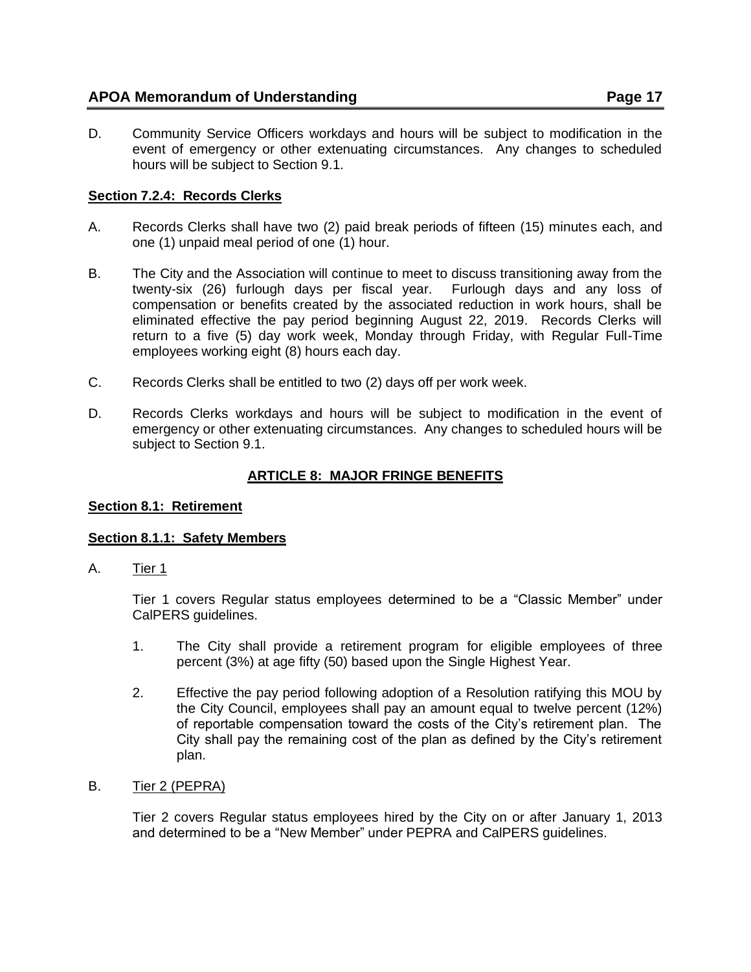D. Community Service Officers workdays and hours will be subject to modification in the event of emergency or other extenuating circumstances. Any changes to scheduled hours will be subject to Section 9.1.

# <span id="page-16-0"></span>**Section 7.2.4: Records Clerks**

- A. Records Clerks shall have two (2) paid break periods of fifteen (15) minutes each, and one (1) unpaid meal period of one (1) hour.
- B. The City and the Association will continue to meet to discuss transitioning away from the twenty-six (26) furlough days per fiscal year. Furlough days and any loss of compensation or benefits created by the associated reduction in work hours, shall be eliminated effective the pay period beginning August 22, 2019. Records Clerks will return to a five (5) day work week, Monday through Friday, with Regular Full-Time employees working eight (8) hours each day.
- C. Records Clerks shall be entitled to two (2) days off per work week.
- D. Records Clerks workdays and hours will be subject to modification in the event of emergency or other extenuating circumstances. Any changes to scheduled hours will be subject to Section 9.1.

# **ARTICLE 8: MAJOR FRINGE BENEFITS**

## <span id="page-16-2"></span><span id="page-16-1"></span>**Section 8.1: Retirement**

## <span id="page-16-3"></span>**Section 8.1.1: Safety Members**

A. Tier 1

Tier 1 covers Regular status employees determined to be a "Classic Member" under CalPERS guidelines.

- 1. The City shall provide a retirement program for eligible employees of three percent (3%) at age fifty (50) based upon the Single Highest Year.
- 2. Effective the pay period following adoption of a Resolution ratifying this MOU by the City Council, employees shall pay an amount equal to twelve percent (12%) of reportable compensation toward the costs of the City's retirement plan. The City shall pay the remaining cost of the plan as defined by the City's retirement plan.
- B. Tier 2 (PEPRA)

Tier 2 covers Regular status employees hired by the City on or after January 1, 2013 and determined to be a "New Member" under PEPRA and CalPERS guidelines.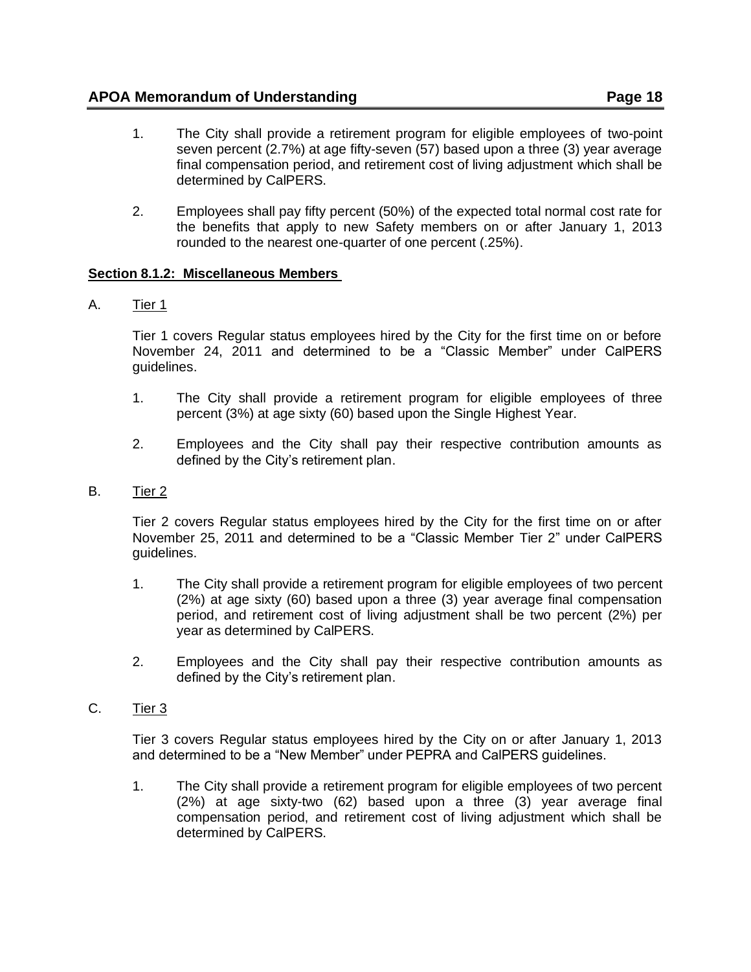- 1. The City shall provide a retirement program for eligible employees of two-point seven percent (2.7%) at age fifty-seven (57) based upon a three (3) year average final compensation period, and retirement cost of living adjustment which shall be determined by CalPERS.
- 2. Employees shall pay fifty percent (50%) of the expected total normal cost rate for the benefits that apply to new Safety members on or after January 1, 2013 rounded to the nearest one-quarter of one percent (.25%).

# <span id="page-17-0"></span>**Section 8.1.2: Miscellaneous Members**

A. Tier 1

Tier 1 covers Regular status employees hired by the City for the first time on or before November 24, 2011 and determined to be a "Classic Member" under CalPERS guidelines.

- 1. The City shall provide a retirement program for eligible employees of three percent (3%) at age sixty (60) based upon the Single Highest Year.
- 2. Employees and the City shall pay their respective contribution amounts as defined by the City's retirement plan.
- B. Tier 2

Tier 2 covers Regular status employees hired by the City for the first time on or after November 25, 2011 and determined to be a "Classic Member Tier 2" under CalPERS guidelines.

- 1. The City shall provide a retirement program for eligible employees of two percent (2%) at age sixty (60) based upon a three (3) year average final compensation period, and retirement cost of living adjustment shall be two percent (2%) per year as determined by CalPERS.
- 2. Employees and the City shall pay their respective contribution amounts as defined by the City's retirement plan.
- C. Tier 3

Tier 3 covers Regular status employees hired by the City on or after January 1, 2013 and determined to be a "New Member" under PEPRA and CalPERS guidelines.

1. The City shall provide a retirement program for eligible employees of two percent (2%) at age sixty-two (62) based upon a three (3) year average final compensation period, and retirement cost of living adjustment which shall be determined by CalPERS.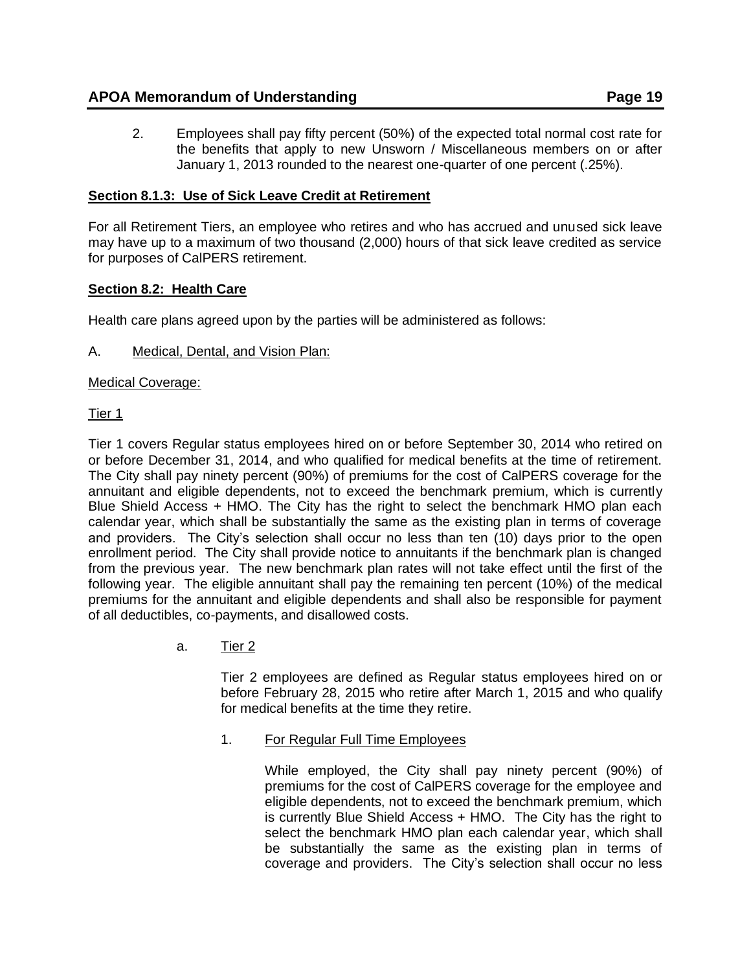2. Employees shall pay fifty percent (50%) of the expected total normal cost rate for the benefits that apply to new Unsworn / Miscellaneous members on or after January 1, 2013 rounded to the nearest one-quarter of one percent (.25%).

# <span id="page-18-0"></span>**Section 8.1.3: Use of Sick Leave Credit at Retirement**

For all Retirement Tiers, an employee who retires and who has accrued and unused sick leave may have up to a maximum of two thousand (2,000) hours of that sick leave credited as service for purposes of CalPERS retirement.

# <span id="page-18-1"></span>**Section 8.2: Health Care**

Health care plans agreed upon by the parties will be administered as follows:

A. Medical, Dental, and Vision Plan:

Medical Coverage:

Tier 1

Tier 1 covers Regular status employees hired on or before September 30, 2014 who retired on or before December 31, 2014, and who qualified for medical benefits at the time of retirement. The City shall pay ninety percent (90%) of premiums for the cost of CalPERS coverage for the annuitant and eligible dependents, not to exceed the benchmark premium, which is currently Blue Shield Access + HMO. The City has the right to select the benchmark HMO plan each calendar year, which shall be substantially the same as the existing plan in terms of coverage and providers. The City's selection shall occur no less than ten (10) days prior to the open enrollment period. The City shall provide notice to annuitants if the benchmark plan is changed from the previous year. The new benchmark plan rates will not take effect until the first of the following year. The eligible annuitant shall pay the remaining ten percent (10%) of the medical premiums for the annuitant and eligible dependents and shall also be responsible for payment of all deductibles, co-payments, and disallowed costs.

a. Tier 2

Tier 2 employees are defined as Regular status employees hired on or before February 28, 2015 who retire after March 1, 2015 and who qualify for medical benefits at the time they retire.

1. For Regular Full Time Employees

While employed, the City shall pay ninety percent (90%) of premiums for the cost of CalPERS coverage for the employee and eligible dependents, not to exceed the benchmark premium, which is currently Blue Shield Access + HMO. The City has the right to select the benchmark HMO plan each calendar year, which shall be substantially the same as the existing plan in terms of coverage and providers. The City's selection shall occur no less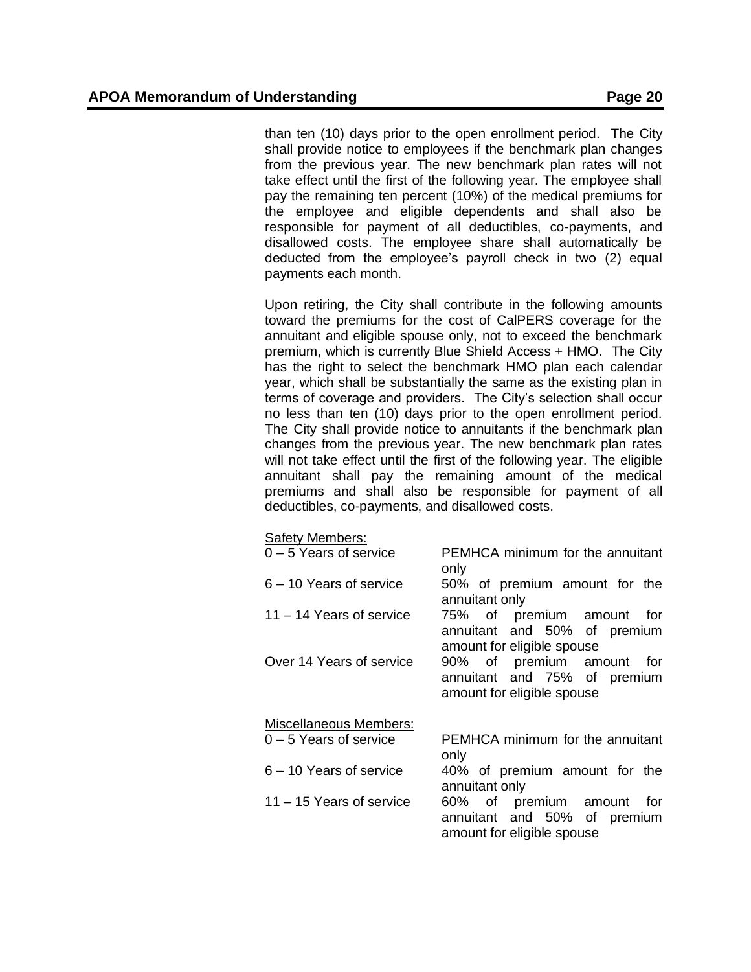than ten (10) days prior to the open enrollment period. The City shall provide notice to employees if the benchmark plan changes from the previous year. The new benchmark plan rates will not take effect until the first of the following year. The employee shall pay the remaining ten percent (10%) of the medical premiums for the employee and eligible dependents and shall also be responsible for payment of all deductibles, co-payments, and disallowed costs. The employee share shall automatically be deducted from the employee's payroll check in two (2) equal payments each month.

Upon retiring, the City shall contribute in the following amounts toward the premiums for the cost of CalPERS coverage for the annuitant and eligible spouse only, not to exceed the benchmark premium, which is currently Blue Shield Access + HMO. The City has the right to select the benchmark HMO plan each calendar year, which shall be substantially the same as the existing plan in terms of coverage and providers. The City's selection shall occur no less than ten (10) days prior to the open enrollment period. The City shall provide notice to annuitants if the benchmark plan changes from the previous year. The new benchmark plan rates will not take effect until the first of the following year. The eligible annuitant shall pay the remaining amount of the medical premiums and shall also be responsible for payment of all deductibles, co-payments, and disallowed costs.

#### Safety Members:

| ouiviy ivioriiword.           |                                                                                            |
|-------------------------------|--------------------------------------------------------------------------------------------|
| $0 - 5$ Years of service      | PEMHCA minimum for the annuitant<br>only                                                   |
| 6 - 10 Years of service       | 50% of premium amount for the<br>annuitant only                                            |
| $11 - 14$ Years of service    | 75% of premium amount for<br>annuitant and 50% of premium<br>amount for eligible spouse    |
| Over 14 Years of service      | 90% of premium amount for<br>annuitant and 75% of premium<br>amount for eligible spouse    |
| <b>Miscellaneous Members:</b> |                                                                                            |
| $0 - 5$ Years of service      | PEMHCA minimum for the annuitant<br>only                                                   |
| $6 - 10$ Years of service     | 40% of premium amount for the<br>annuitant only                                            |
| $11 - 15$ Years of service    | 60% of premium amount<br>for<br>annuitant and 50% of premium<br>amount for eligible spouse |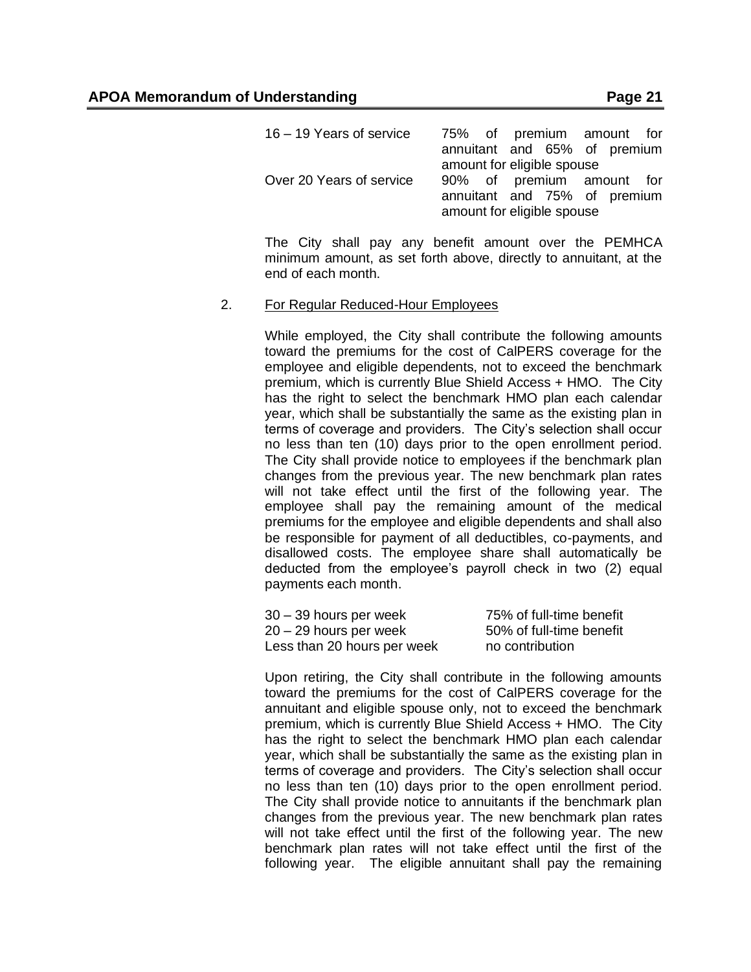| $16 - 19$ Years of service |  |                            | 75% of premium amount for    |
|----------------------------|--|----------------------------|------------------------------|
|                            |  |                            | annuitant and 65% of premium |
|                            |  | amount for eligible spouse |                              |
| Over 20 Years of service   |  |                            | 90% of premium amount for    |
|                            |  |                            | annuitant and 75% of premium |
|                            |  | amount for eligible spouse |                              |

The City shall pay any benefit amount over the PEMHCA minimum amount, as set forth above, directly to annuitant, at the end of each month.

#### 2. For Regular Reduced-Hour Employees

While employed, the City shall contribute the following amounts toward the premiums for the cost of CalPERS coverage for the employee and eligible dependents, not to exceed the benchmark premium, which is currently Blue Shield Access + HMO. The City has the right to select the benchmark HMO plan each calendar year, which shall be substantially the same as the existing plan in terms of coverage and providers. The City's selection shall occur no less than ten (10) days prior to the open enrollment period. The City shall provide notice to employees if the benchmark plan changes from the previous year. The new benchmark plan rates will not take effect until the first of the following year. The employee shall pay the remaining amount of the medical premiums for the employee and eligible dependents and shall also be responsible for payment of all deductibles, co-payments, and disallowed costs. The employee share shall automatically be deducted from the employee's payroll check in two (2) equal payments each month.

| 30 – 39 hours per week      | 75% of full-time benefit |
|-----------------------------|--------------------------|
| 20 – 29 hours per week      | 50% of full-time benefit |
| Less than 20 hours per week | no contribution          |

Upon retiring, the City shall contribute in the following amounts toward the premiums for the cost of CalPERS coverage for the annuitant and eligible spouse only, not to exceed the benchmark premium, which is currently Blue Shield Access + HMO. The City has the right to select the benchmark HMO plan each calendar year, which shall be substantially the same as the existing plan in terms of coverage and providers. The City's selection shall occur no less than ten (10) days prior to the open enrollment period. The City shall provide notice to annuitants if the benchmark plan changes from the previous year. The new benchmark plan rates will not take effect until the first of the following year. The new benchmark plan rates will not take effect until the first of the following year. The eligible annuitant shall pay the remaining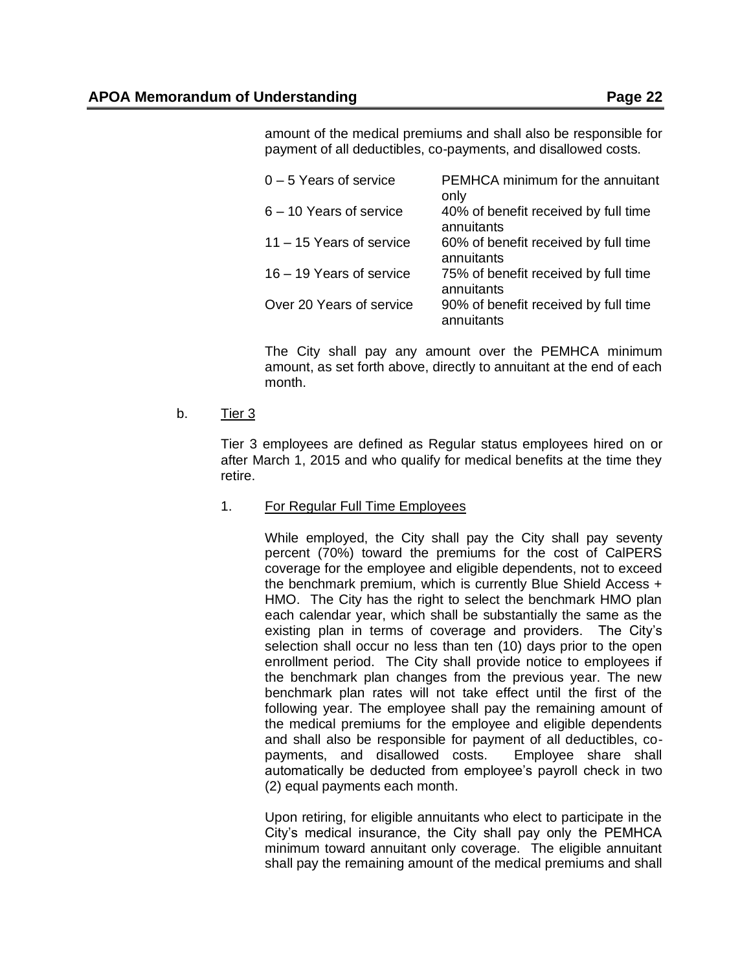amount of the medical premiums and shall also be responsible for payment of all deductibles, co-payments, and disallowed costs.

| $0 - 5$ Years of service   | PEMHCA minimum for the annuitant<br>only           |
|----------------------------|----------------------------------------------------|
| $6 - 10$ Years of service  | 40% of benefit received by full time<br>annuitants |
| $11 - 15$ Years of service | 60% of benefit received by full time<br>annuitants |
| 16 - 19 Years of service   | 75% of benefit received by full time<br>annuitants |
| Over 20 Years of service   | 90% of benefit received by full time<br>annuitants |

The City shall pay any amount over the PEMHCA minimum amount, as set forth above, directly to annuitant at the end of each month.

## b. Tier 3

Tier 3 employees are defined as Regular status employees hired on or after March 1, 2015 and who qualify for medical benefits at the time they retire.

## 1. For Regular Full Time Employees

While employed, the City shall pay the City shall pay seventy percent (70%) toward the premiums for the cost of CalPERS coverage for the employee and eligible dependents, not to exceed the benchmark premium, which is currently Blue Shield Access + HMO. The City has the right to select the benchmark HMO plan each calendar year, which shall be substantially the same as the existing plan in terms of coverage and providers. The City's selection shall occur no less than ten (10) days prior to the open enrollment period. The City shall provide notice to employees if the benchmark plan changes from the previous year. The new benchmark plan rates will not take effect until the first of the following year. The employee shall pay the remaining amount of the medical premiums for the employee and eligible dependents and shall also be responsible for payment of all deductibles, copayments, and disallowed costs. Employee share shall automatically be deducted from employee's payroll check in two (2) equal payments each month.

Upon retiring, for eligible annuitants who elect to participate in the City's medical insurance, the City shall pay only the PEMHCA minimum toward annuitant only coverage. The eligible annuitant shall pay the remaining amount of the medical premiums and shall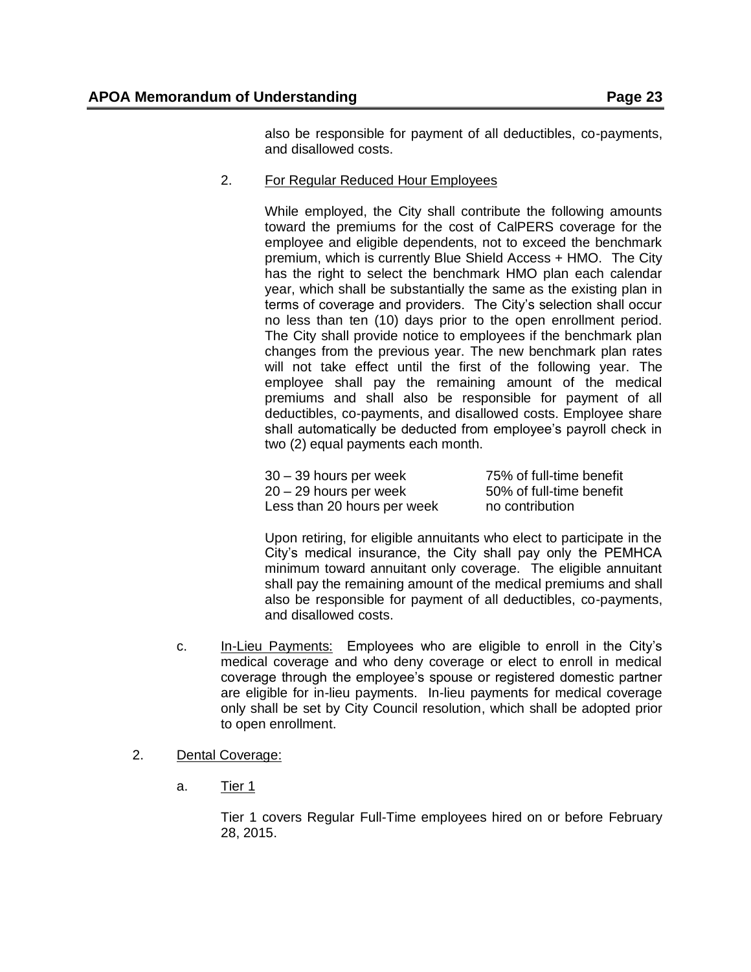also be responsible for payment of all deductibles, co-payments, and disallowed costs.

2. For Regular Reduced Hour Employees

While employed, the City shall contribute the following amounts toward the premiums for the cost of CalPERS coverage for the employee and eligible dependents, not to exceed the benchmark premium, which is currently Blue Shield Access + HMO. The City has the right to select the benchmark HMO plan each calendar year, which shall be substantially the same as the existing plan in terms of coverage and providers. The City's selection shall occur no less than ten (10) days prior to the open enrollment period. The City shall provide notice to employees if the benchmark plan changes from the previous year. The new benchmark plan rates will not take effect until the first of the following year. The employee shall pay the remaining amount of the medical premiums and shall also be responsible for payment of all deductibles, co-payments, and disallowed costs. Employee share shall automatically be deducted from employee's payroll check in two (2) equal payments each month.

30 – 39 hours per week 75% of full-time benefit 20 – 29 hours per week 50% of full-time benefit Less than 20 hours per week no contribution

Upon retiring, for eligible annuitants who elect to participate in the City's medical insurance, the City shall pay only the PEMHCA minimum toward annuitant only coverage. The eligible annuitant shall pay the remaining amount of the medical premiums and shall also be responsible for payment of all deductibles, co-payments, and disallowed costs.

- c. In-Lieu Payments: Employees who are eligible to enroll in the City's medical coverage and who deny coverage or elect to enroll in medical coverage through the employee's spouse or registered domestic partner are eligible for in-lieu payments. In-lieu payments for medical coverage only shall be set by City Council resolution, which shall be adopted prior to open enrollment.
- 2. Dental Coverage:
	- a. Tier 1

Tier 1 covers Regular Full-Time employees hired on or before February 28, 2015.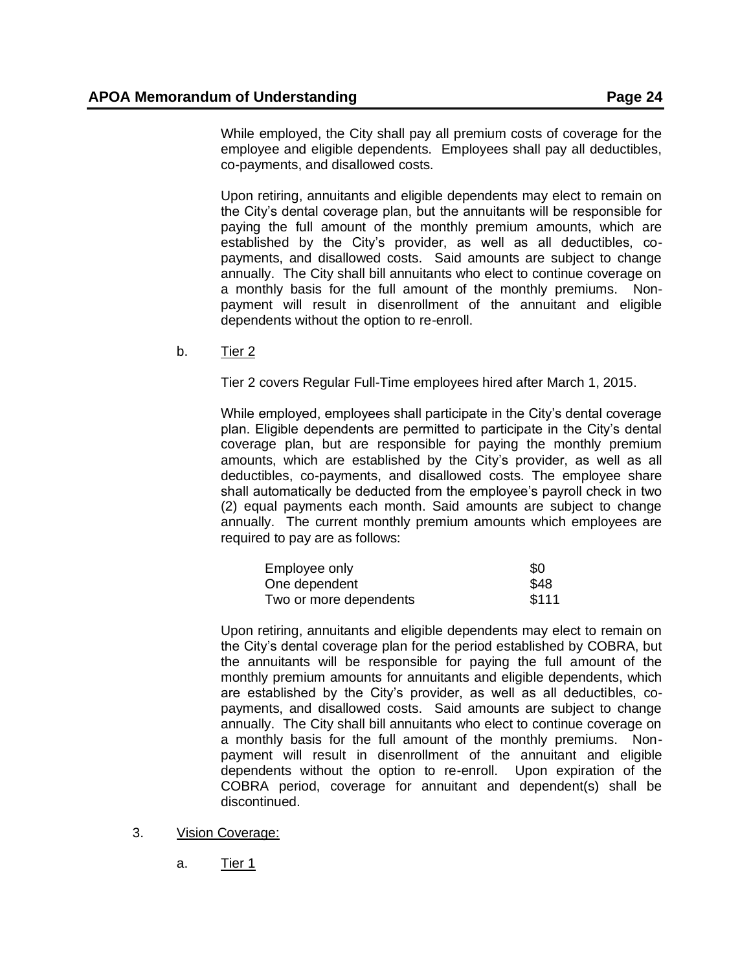While employed, the City shall pay all premium costs of coverage for the employee and eligible dependents. Employees shall pay all deductibles, co-payments, and disallowed costs.

Upon retiring, annuitants and eligible dependents may elect to remain on the City's dental coverage plan, but the annuitants will be responsible for paying the full amount of the monthly premium amounts, which are established by the City's provider, as well as all deductibles, copayments, and disallowed costs. Said amounts are subject to change annually. The City shall bill annuitants who elect to continue coverage on a monthly basis for the full amount of the monthly premiums. Nonpayment will result in disenrollment of the annuitant and eligible dependents without the option to re-enroll.

b. Tier 2

Tier 2 covers Regular Full-Time employees hired after March 1, 2015.

While employed, employees shall participate in the City's dental coverage plan. Eligible dependents are permitted to participate in the City's dental coverage plan, but are responsible for paying the monthly premium amounts, which are established by the City's provider, as well as all deductibles, co-payments, and disallowed costs. The employee share shall automatically be deducted from the employee's payroll check in two (2) equal payments each month. Said amounts are subject to change annually. The current monthly premium amounts which employees are required to pay are as follows:

| Employee only          | \$0   |
|------------------------|-------|
| One dependent          | \$48  |
| Two or more dependents | \$111 |

Upon retiring, annuitants and eligible dependents may elect to remain on the City's dental coverage plan for the period established by COBRA, but the annuitants will be responsible for paying the full amount of the monthly premium amounts for annuitants and eligible dependents, which are established by the City's provider, as well as all deductibles, copayments, and disallowed costs. Said amounts are subject to change annually. The City shall bill annuitants who elect to continue coverage on a monthly basis for the full amount of the monthly premiums. Nonpayment will result in disenrollment of the annuitant and eligible dependents without the option to re-enroll. Upon expiration of the COBRA period, coverage for annuitant and dependent(s) shall be discontinued.

- 3. Vision Coverage:
	- a. Tier 1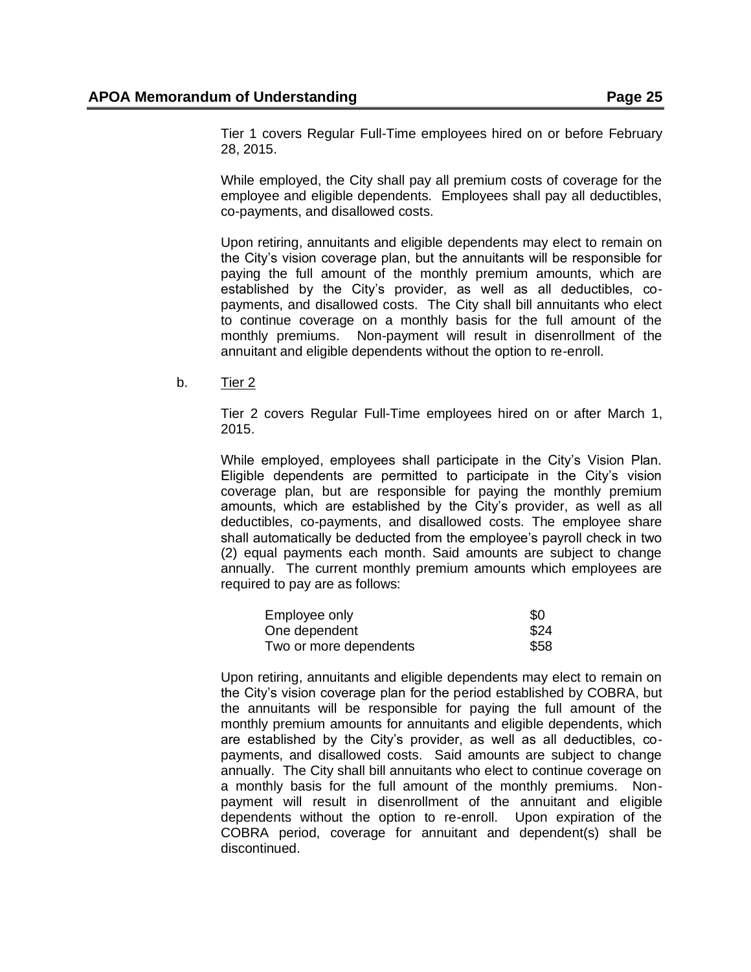Tier 1 covers Regular Full-Time employees hired on or before February 28, 2015.

While employed, the City shall pay all premium costs of coverage for the employee and eligible dependents. Employees shall pay all deductibles, co-payments, and disallowed costs.

Upon retiring, annuitants and eligible dependents may elect to remain on the City's vision coverage plan, but the annuitants will be responsible for paying the full amount of the monthly premium amounts, which are established by the City's provider, as well as all deductibles, copayments, and disallowed costs. The City shall bill annuitants who elect to continue coverage on a monthly basis for the full amount of the monthly premiums. Non-payment will result in disenrollment of the annuitant and eligible dependents without the option to re-enroll.

b. Tier 2

Tier 2 covers Regular Full-Time employees hired on or after March 1, 2015.

While employed, employees shall participate in the City's Vision Plan. Eligible dependents are permitted to participate in the City's vision coverage plan, but are responsible for paying the monthly premium amounts, which are established by the City's provider, as well as all deductibles, co-payments, and disallowed costs. The employee share shall automatically be deducted from the employee's payroll check in two (2) equal payments each month. Said amounts are subject to change annually. The current monthly premium amounts which employees are required to pay are as follows:

| Employee only          | \$0  |
|------------------------|------|
| One dependent          | \$24 |
| Two or more dependents | \$58 |

Upon retiring, annuitants and eligible dependents may elect to remain on the City's vision coverage plan for the period established by COBRA, but the annuitants will be responsible for paying the full amount of the monthly premium amounts for annuitants and eligible dependents, which are established by the City's provider, as well as all deductibles, copayments, and disallowed costs. Said amounts are subject to change annually. The City shall bill annuitants who elect to continue coverage on a monthly basis for the full amount of the monthly premiums. Nonpayment will result in disenrollment of the annuitant and eligible dependents without the option to re-enroll. Upon expiration of the COBRA period, coverage for annuitant and dependent(s) shall be discontinued.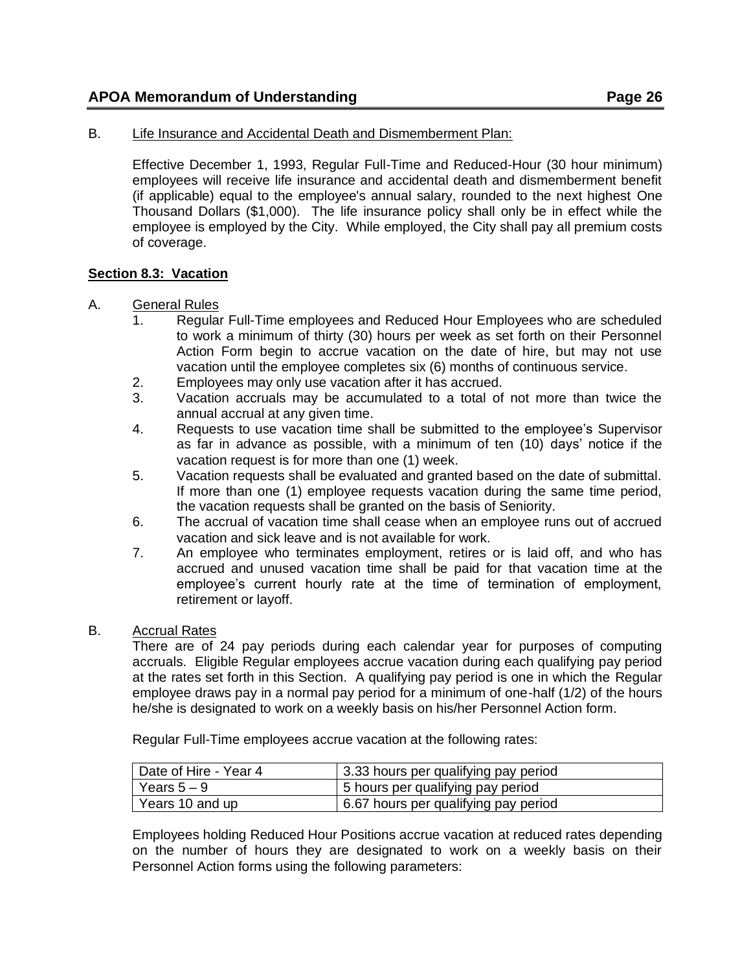#### B. Life Insurance and Accidental Death and Dismemberment Plan:

Effective December 1, 1993, Regular Full-Time and Reduced-Hour (30 hour minimum) employees will receive life insurance and accidental death and dismemberment benefit (if applicable) equal to the employee's annual salary, rounded to the next highest One Thousand Dollars (\$1,000). The life insurance policy shall only be in effect while the employee is employed by the City. While employed, the City shall pay all premium costs of coverage.

#### <span id="page-25-0"></span>**Section 8.3: Vacation**

#### A. General Rules

- 1. Regular Full-Time employees and Reduced Hour Employees who are scheduled to work a minimum of thirty (30) hours per week as set forth on their Personnel Action Form begin to accrue vacation on the date of hire, but may not use vacation until the employee completes six (6) months of continuous service.
- 2. Employees may only use vacation after it has accrued.
- 3. Vacation accruals may be accumulated to a total of not more than twice the annual accrual at any given time.
- 4. Requests to use vacation time shall be submitted to the employee's Supervisor as far in advance as possible, with a minimum of ten (10) days' notice if the vacation request is for more than one (1) week.
- 5. Vacation requests shall be evaluated and granted based on the date of submittal. If more than one (1) employee requests vacation during the same time period, the vacation requests shall be granted on the basis of Seniority.
- 6. The accrual of vacation time shall cease when an employee runs out of accrued vacation and sick leave and is not available for work.
- 7. An employee who terminates employment, retires or is laid off, and who has accrued and unused vacation time shall be paid for that vacation time at the employee's current hourly rate at the time of termination of employment, retirement or layoff.

#### B. Accrual Rates

There are of 24 pay periods during each calendar year for purposes of computing accruals. Eligible Regular employees accrue vacation during each qualifying pay period at the rates set forth in this Section. A qualifying pay period is one in which the Regular employee draws pay in a normal pay period for a minimum of one-half (1/2) of the hours he/she is designated to work on a weekly basis on his/her Personnel Action form.

Regular Full-Time employees accrue vacation at the following rates:

| Date of Hire - Year 4 | 3.33 hours per qualifying pay period |
|-----------------------|--------------------------------------|
| Years $5-9$           | 5 hours per qualifying pay period    |
| Years 10 and up       | 6.67 hours per qualifying pay period |

Employees holding Reduced Hour Positions accrue vacation at reduced rates depending on the number of hours they are designated to work on a weekly basis on their Personnel Action forms using the following parameters: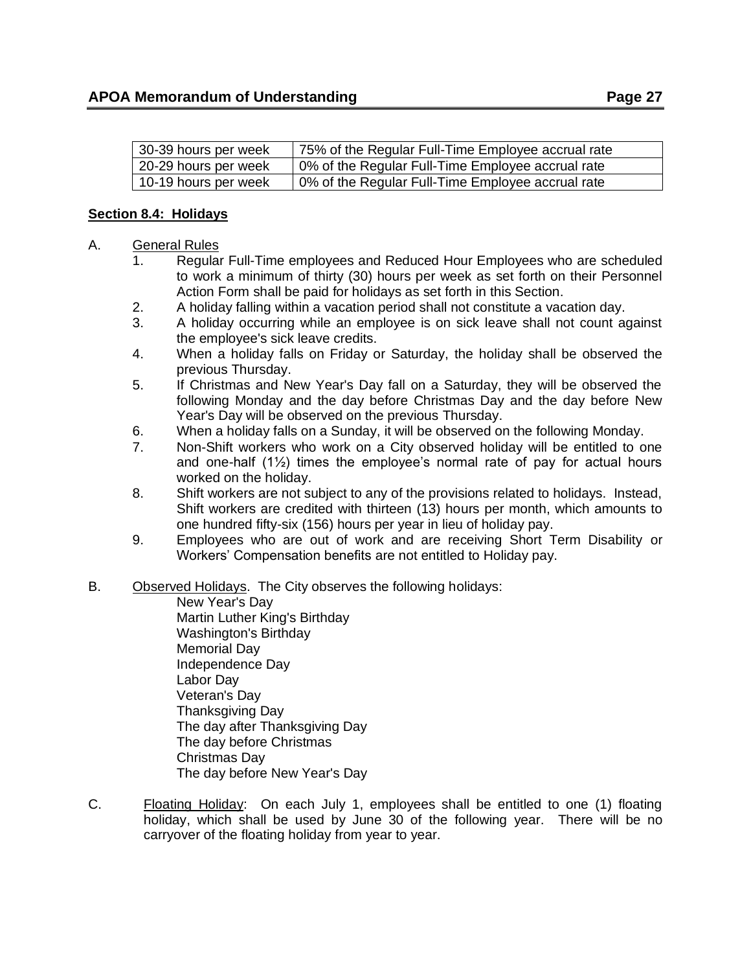| 30-39 hours per week | 75% of the Regular Full-Time Employee accrual rate |
|----------------------|----------------------------------------------------|
| 20-29 hours per week | 0% of the Regular Full-Time Employee accrual rate  |
| 10-19 hours per week | 0% of the Regular Full-Time Employee accrual rate  |

### <span id="page-26-0"></span>**Section 8.4: Holidays**

### A. General Rules

- 1. Regular Full-Time employees and Reduced Hour Employees who are scheduled to work a minimum of thirty (30) hours per week as set forth on their Personnel Action Form shall be paid for holidays as set forth in this Section.
- 2. A holiday falling within a vacation period shall not constitute a vacation day.
- 3. A holiday occurring while an employee is on sick leave shall not count against the employee's sick leave credits.
- 4. When a holiday falls on Friday or Saturday, the holiday shall be observed the previous Thursday.
- 5. If Christmas and New Year's Day fall on a Saturday, they will be observed the following Monday and the day before Christmas Day and the day before New Year's Day will be observed on the previous Thursday.
- 6. When a holiday falls on a Sunday, it will be observed on the following Monday.
- 7. Non-Shift workers who work on a City observed holiday will be entitled to one and one-half (1½) times the employee's normal rate of pay for actual hours worked on the holiday.
- 8. Shift workers are not subject to any of the provisions related to holidays. Instead, Shift workers are credited with thirteen (13) hours per month, which amounts to one hundred fifty-six (156) hours per year in lieu of holiday pay.
- 9. Employees who are out of work and are receiving Short Term Disability or Workers' Compensation benefits are not entitled to Holiday pay.
- B. Observed Holidays. The City observes the following holidays:

New Year's Day Martin Luther King's Birthday Washington's Birthday Memorial Day Independence Day Labor Day Veteran's Day Thanksgiving Day The day after Thanksgiving Day The day before Christmas Christmas Day The day before New Year's Day

C. Floating Holiday: On each July 1, employees shall be entitled to one (1) floating holiday, which shall be used by June 30 of the following year. There will be no carryover of the floating holiday from year to year.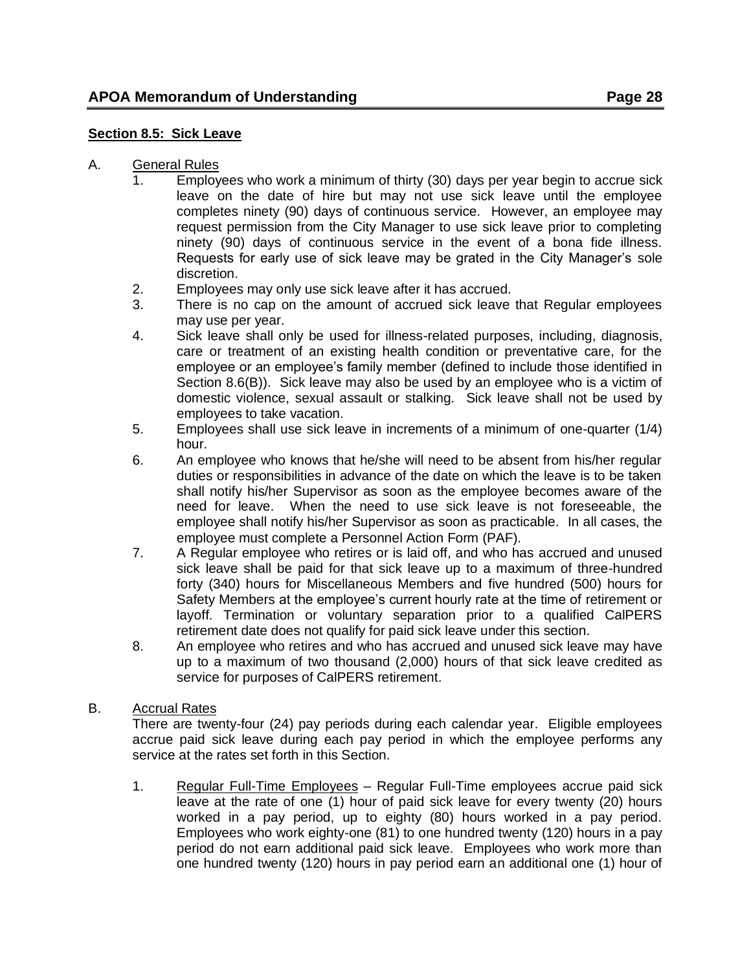### <span id="page-27-0"></span>**Section 8.5: Sick Leave**

- A. General Rules
	- 1. Employees who work a minimum of thirty (30) days per year begin to accrue sick leave on the date of hire but may not use sick leave until the employee completes ninety (90) days of continuous service. However, an employee may request permission from the City Manager to use sick leave prior to completing ninety (90) days of continuous service in the event of a bona fide illness. Requests for early use of sick leave may be grated in the City Manager's sole discretion.
	- 2. Employees may only use sick leave after it has accrued.
	- 3. There is no cap on the amount of accrued sick leave that Regular employees may use per year.
	- 4. Sick leave shall only be used for illness-related purposes, including, diagnosis, care or treatment of an existing health condition or preventative care, for the employee or an employee's family member (defined to include those identified in Section 8.6(B)). Sick leave may also be used by an employee who is a victim of domestic violence, sexual assault or stalking. Sick leave shall not be used by employees to take vacation.
	- 5. Employees shall use sick leave in increments of a minimum of one-quarter (1/4) hour.
	- 6. An employee who knows that he/she will need to be absent from his/her regular duties or responsibilities in advance of the date on which the leave is to be taken shall notify his/her Supervisor as soon as the employee becomes aware of the need for leave. When the need to use sick leave is not foreseeable, the employee shall notify his/her Supervisor as soon as practicable. In all cases, the employee must complete a Personnel Action Form (PAF).
	- 7. A Regular employee who retires or is laid off, and who has accrued and unused sick leave shall be paid for that sick leave up to a maximum of three-hundred forty (340) hours for Miscellaneous Members and five hundred (500) hours for Safety Members at the employee's current hourly rate at the time of retirement or layoff. Termination or voluntary separation prior to a qualified CalPERS retirement date does not qualify for paid sick leave under this section.
	- 8. An employee who retires and who has accrued and unused sick leave may have up to a maximum of two thousand (2,000) hours of that sick leave credited as service for purposes of CalPERS retirement.
- B. Accrual Rates

There are twenty-four (24) pay periods during each calendar year. Eligible employees accrue paid sick leave during each pay period in which the employee performs any service at the rates set forth in this Section.

1. Regular Full-Time Employees – Regular Full-Time employees accrue paid sick leave at the rate of one (1) hour of paid sick leave for every twenty (20) hours worked in a pay period, up to eighty (80) hours worked in a pay period. Employees who work eighty-one (81) to one hundred twenty (120) hours in a pay period do not earn additional paid sick leave. Employees who work more than one hundred twenty (120) hours in pay period earn an additional one (1) hour of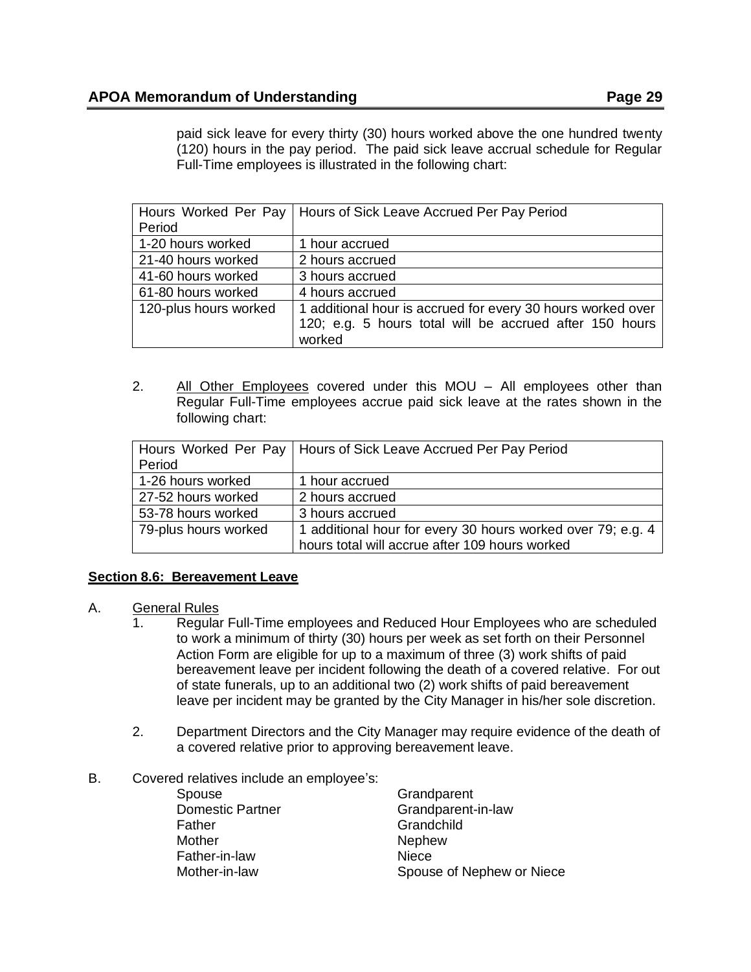paid sick leave for every thirty (30) hours worked above the one hundred twenty (120) hours in the pay period. The paid sick leave accrual schedule for Regular Full-Time employees is illustrated in the following chart:

|                       | Hours Worked Per Pay   Hours of Sick Leave Accrued Per Pay Period |
|-----------------------|-------------------------------------------------------------------|
| Period                |                                                                   |
| 1-20 hours worked     | 1 hour accrued                                                    |
| 21-40 hours worked    | 2 hours accrued                                                   |
| 41-60 hours worked    | 3 hours accrued                                                   |
| 61-80 hours worked    | 4 hours accrued                                                   |
| 120-plus hours worked | 1 additional hour is accrued for every 30 hours worked over       |
|                       | 120; e.g. 5 hours total will be accrued after 150 hours           |
|                       | worked                                                            |

<span id="page-28-0"></span>2. All Other Employees covered under this MOU – All employees other than Regular Full-Time employees accrue paid sick leave at the rates shown in the following chart:

|                      | Hours Worked Per Pay   Hours of Sick Leave Accrued Per Pay Period |
|----------------------|-------------------------------------------------------------------|
| Period               |                                                                   |
| 1-26 hours worked    | 1 hour accrued                                                    |
| 27-52 hours worked   | 2 hours accrued                                                   |
| 53-78 hours worked   | 3 hours accrued                                                   |
| 79-plus hours worked | 1 additional hour for every 30 hours worked over 79; e.g. 4       |
|                      | hours total will accrue after 109 hours worked                    |

## **Section 8.6: Bereavement Leave**

- A. General Rules
	- 1. Regular Full-Time employees and Reduced Hour Employees who are scheduled to work a minimum of thirty (30) hours per week as set forth on their Personnel Action Form are eligible for up to a maximum of three (3) work shifts of paid bereavement leave per incident following the death of a covered relative. For out of state funerals, up to an additional two (2) work shifts of paid bereavement leave per incident may be granted by the City Manager in his/her sole discretion.
	- 2. Department Directors and the City Manager may require evidence of the death of a covered relative prior to approving bereavement leave.
- B. Covered relatives include an employee's:

| Spouse                  | Grandparent               |
|-------------------------|---------------------------|
| <b>Domestic Partner</b> | Grandparent-in-law        |
| Father                  | Grandchild                |
| Mother                  | <b>Nephew</b>             |
| Father-in-law           | Niece                     |
| Mother-in-law           | Spouse of Nephew or Niece |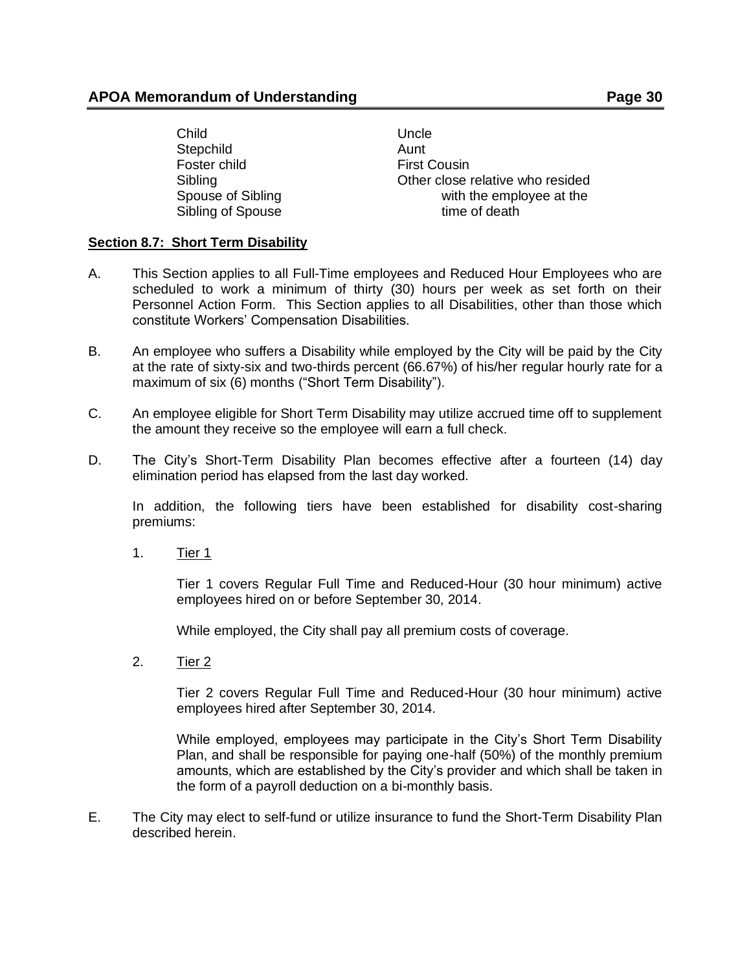Child Uncle Stepchild Aunt Foster child **First Cousin** 

Sibling Sibling Charles Communication Communication Charles Communication Charles Communication Charles Communication Charles Communication Charles Communication Charles Communication Charles Communication Charles Communic Spouse of Sibling Spouse of Sibling Spouse at the semployee at the semployee at the semployee at the semployee at the semployee at the semployee at the semployee at the semployee at the semployee at the semployee at the se Sibling of Spouse time of death

## <span id="page-29-0"></span>**Section 8.7: Short Term Disability**

- A. This Section applies to all Full-Time employees and Reduced Hour Employees who are scheduled to work a minimum of thirty (30) hours per week as set forth on their Personnel Action Form. This Section applies to all Disabilities, other than those which constitute Workers' Compensation Disabilities.
- B. An employee who suffers a Disability while employed by the City will be paid by the City at the rate of sixty-six and two-thirds percent (66.67%) of his/her regular hourly rate for a maximum of six (6) months ("Short Term Disability").
- C. An employee eligible for Short Term Disability may utilize accrued time off to supplement the amount they receive so the employee will earn a full check.
- D. The City's Short-Term Disability Plan becomes effective after a fourteen (14) day elimination period has elapsed from the last day worked.

In addition, the following tiers have been established for disability cost-sharing premiums:

1. Tier 1

Tier 1 covers Regular Full Time and Reduced-Hour (30 hour minimum) active employees hired on or before September 30, 2014.

While employed, the City shall pay all premium costs of coverage.

2. Tier 2

Tier 2 covers Regular Full Time and Reduced-Hour (30 hour minimum) active employees hired after September 30, 2014.

While employed, employees may participate in the City's Short Term Disability Plan, and shall be responsible for paying one-half (50%) of the monthly premium amounts, which are established by the City's provider and which shall be taken in the form of a payroll deduction on a bi-monthly basis.

E. The City may elect to self-fund or utilize insurance to fund the Short-Term Disability Plan described herein.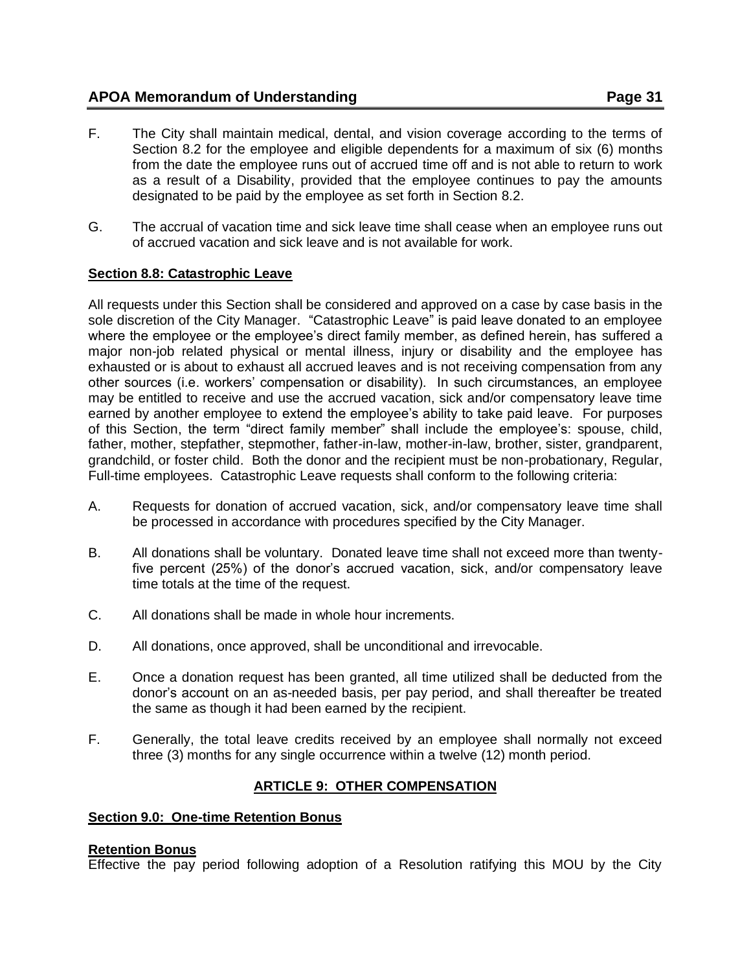- F. The City shall maintain medical, dental, and vision coverage according to the terms of Section 8.2 for the employee and eligible dependents for a maximum of six (6) months from the date the employee runs out of accrued time off and is not able to return to work as a result of a Disability, provided that the employee continues to pay the amounts designated to be paid by the employee as set forth in Section 8.2.
- G. The accrual of vacation time and sick leave time shall cease when an employee runs out of accrued vacation and sick leave and is not available for work.

# <span id="page-30-0"></span>**Section 8.8: Catastrophic Leave**

All requests under this Section shall be considered and approved on a case by case basis in the sole discretion of the City Manager. "Catastrophic Leave" is paid leave donated to an employee where the employee or the employee's direct family member, as defined herein, has suffered a major non-job related physical or mental illness, injury or disability and the employee has exhausted or is about to exhaust all accrued leaves and is not receiving compensation from any other sources (i.e. workers' compensation or disability). In such circumstances, an employee may be entitled to receive and use the accrued vacation, sick and/or compensatory leave time earned by another employee to extend the employee's ability to take paid leave. For purposes of this Section, the term "direct family member" shall include the employee's: spouse, child, father, mother, stepfather, stepmother, father-in-law, mother-in-law, brother, sister, grandparent, grandchild, or foster child. Both the donor and the recipient must be non-probationary, Regular, Full-time employees. Catastrophic Leave requests shall conform to the following criteria:

- A. Requests for donation of accrued vacation, sick, and/or compensatory leave time shall be processed in accordance with procedures specified by the City Manager.
- B. All donations shall be voluntary. Donated leave time shall not exceed more than twentyfive percent (25%) of the donor's accrued vacation, sick, and/or compensatory leave time totals at the time of the request.
- C. All donations shall be made in whole hour increments.
- D. All donations, once approved, shall be unconditional and irrevocable.
- E. Once a donation request has been granted, all time utilized shall be deducted from the donor's account on an as-needed basis, per pay period, and shall thereafter be treated the same as though it had been earned by the recipient.
- F. Generally, the total leave credits received by an employee shall normally not exceed three (3) months for any single occurrence within a twelve (12) month period.

# **ARTICLE 9: OTHER COMPENSATION**

## <span id="page-30-2"></span><span id="page-30-1"></span>**Section 9.0: One-time Retention Bonus**

## **Retention Bonus**

Effective the pay period following adoption of a Resolution ratifying this MOU by the City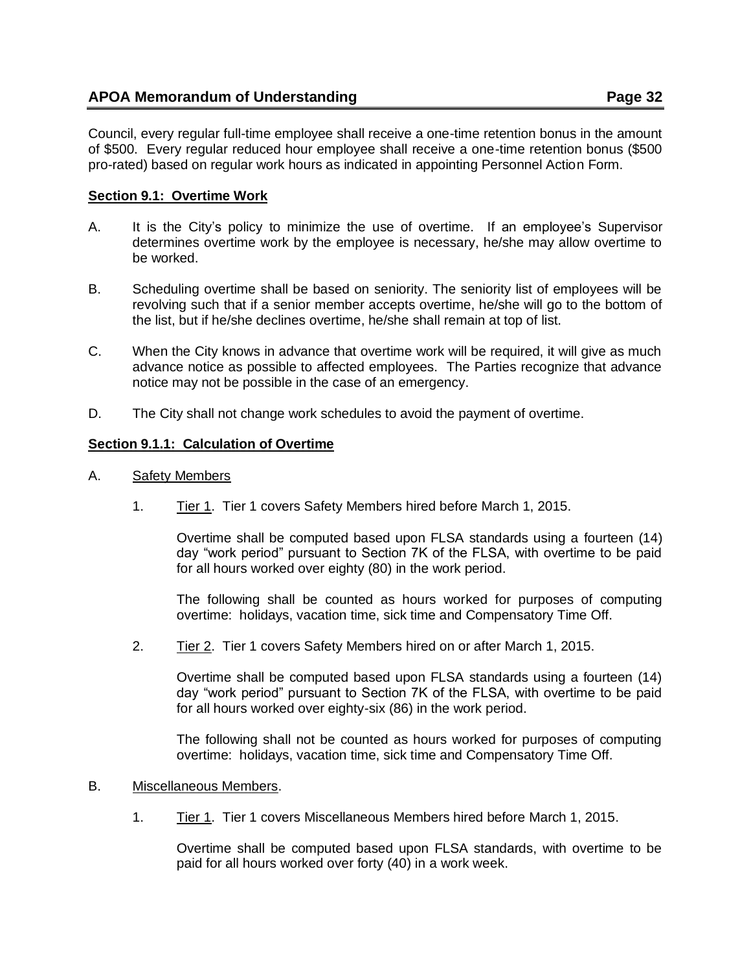Council, every regular full-time employee shall receive a one-time retention bonus in the amount of \$500. Every regular reduced hour employee shall receive a one-time retention bonus (\$500 pro-rated) based on regular work hours as indicated in appointing Personnel Action Form.

# **Section 9.1: Overtime Work**

- A. It is the City's policy to minimize the use of overtime. If an employee's Supervisor determines overtime work by the employee is necessary, he/she may allow overtime to be worked.
- B. Scheduling overtime shall be based on seniority. The seniority list of employees will be revolving such that if a senior member accepts overtime, he/she will go to the bottom of the list, but if he/she declines overtime, he/she shall remain at top of list.
- C. When the City knows in advance that overtime work will be required, it will give as much advance notice as possible to affected employees. The Parties recognize that advance notice may not be possible in the case of an emergency.
- D. The City shall not change work schedules to avoid the payment of overtime.

# <span id="page-31-0"></span>**Section 9.1.1: Calculation of Overtime**

- A. Safety Members
	- 1. Tier 1. Tier 1 covers Safety Members hired before March 1, 2015.

Overtime shall be computed based upon FLSA standards using a fourteen (14) day "work period" pursuant to Section 7K of the FLSA, with overtime to be paid for all hours worked over eighty (80) in the work period.

The following shall be counted as hours worked for purposes of computing overtime: holidays, vacation time, sick time and Compensatory Time Off.

2. Tier 2. Tier 1 covers Safety Members hired on or after March 1, 2015.

Overtime shall be computed based upon FLSA standards using a fourteen (14) day "work period" pursuant to Section 7K of the FLSA, with overtime to be paid for all hours worked over eighty-six (86) in the work period.

The following shall not be counted as hours worked for purposes of computing overtime: holidays, vacation time, sick time and Compensatory Time Off.

- B. Miscellaneous Members.
	- 1. Tier 1. Tier 1 covers Miscellaneous Members hired before March 1, 2015.

Overtime shall be computed based upon FLSA standards, with overtime to be paid for all hours worked over forty (40) in a work week.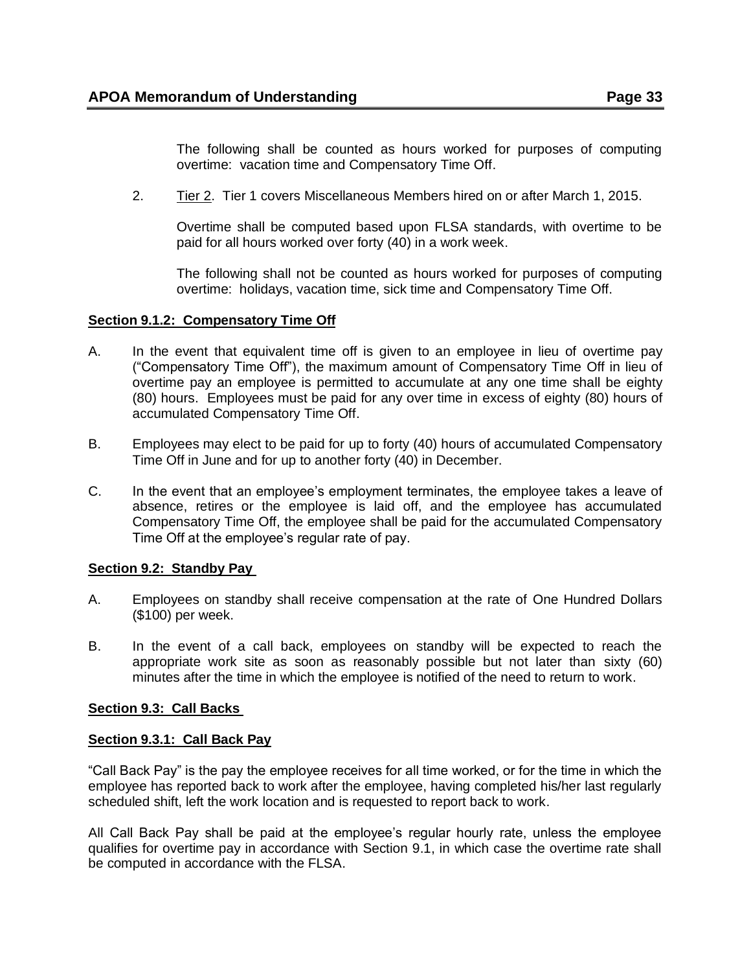The following shall be counted as hours worked for purposes of computing overtime: vacation time and Compensatory Time Off.

2. Tier 2. Tier 1 covers Miscellaneous Members hired on or after March 1, 2015.

Overtime shall be computed based upon FLSA standards, with overtime to be paid for all hours worked over forty (40) in a work week.

The following shall not be counted as hours worked for purposes of computing overtime: holidays, vacation time, sick time and Compensatory Time Off.

### <span id="page-32-0"></span>**Section 9.1.2: Compensatory Time Off**

- A. In the event that equivalent time off is given to an employee in lieu of overtime pay ("Compensatory Time Off"), the maximum amount of Compensatory Time Off in lieu of overtime pay an employee is permitted to accumulate at any one time shall be eighty (80) hours. Employees must be paid for any over time in excess of eighty (80) hours of accumulated Compensatory Time Off.
- B. Employees may elect to be paid for up to forty (40) hours of accumulated Compensatory Time Off in June and for up to another forty (40) in December.
- C. In the event that an employee's employment terminates, the employee takes a leave of absence, retires or the employee is laid off, and the employee has accumulated Compensatory Time Off, the employee shall be paid for the accumulated Compensatory Time Off at the employee's regular rate of pay.

#### <span id="page-32-1"></span>**Section 9.2: Standby Pay**

- A. Employees on standby shall receive compensation at the rate of One Hundred Dollars (\$100) per week.
- B. In the event of a call back, employees on standby will be expected to reach the appropriate work site as soon as reasonably possible but not later than sixty (60) minutes after the time in which the employee is notified of the need to return to work.

#### <span id="page-32-2"></span>**Section 9.3: Call Backs**

#### <span id="page-32-3"></span>**Section 9.3.1: Call Back Pay**

"Call Back Pay" is the pay the employee receives for all time worked, or for the time in which the employee has reported back to work after the employee, having completed his/her last regularly scheduled shift, left the work location and is requested to report back to work.

All Call Back Pay shall be paid at the employee's regular hourly rate, unless the employee qualifies for overtime pay in accordance with Section 9.1, in which case the overtime rate shall be computed in accordance with the FLSA.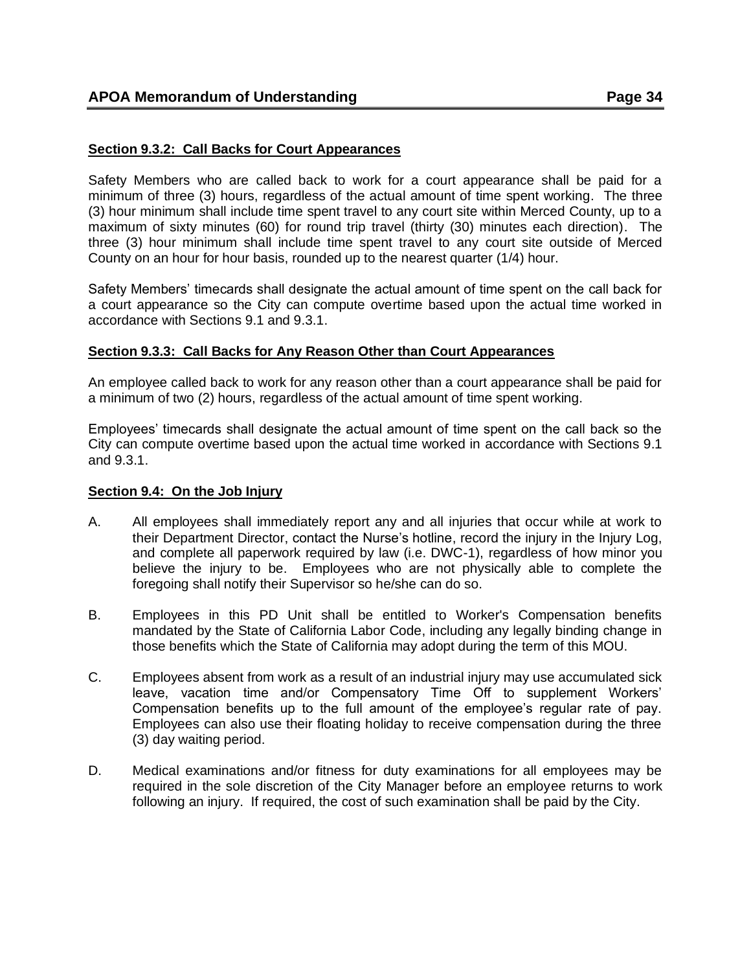# <span id="page-33-0"></span>**Section 9.3.2: Call Backs for Court Appearances**

Safety Members who are called back to work for a court appearance shall be paid for a minimum of three (3) hours, regardless of the actual amount of time spent working. The three (3) hour minimum shall include time spent travel to any court site within Merced County, up to a maximum of sixty minutes (60) for round trip travel (thirty (30) minutes each direction). The three (3) hour minimum shall include time spent travel to any court site outside of Merced County on an hour for hour basis, rounded up to the nearest quarter (1/4) hour.

Safety Members' timecards shall designate the actual amount of time spent on the call back for a court appearance so the City can compute overtime based upon the actual time worked in accordance with Sections 9.1 and 9.3.1.

### <span id="page-33-1"></span>**Section 9.3.3: Call Backs for Any Reason Other than Court Appearances**

An employee called back to work for any reason other than a court appearance shall be paid for a minimum of two (2) hours, regardless of the actual amount of time spent working.

Employees' timecards shall designate the actual amount of time spent on the call back so the City can compute overtime based upon the actual time worked in accordance with Sections 9.1 and 9.3.1.

#### <span id="page-33-2"></span>**Section 9.4: On the Job Injury**

- A. All employees shall immediately report any and all injuries that occur while at work to their Department Director, contact the Nurse's hotline, record the injury in the Injury Log, and complete all paperwork required by law (i.e. DWC-1), regardless of how minor you believe the injury to be. Employees who are not physically able to complete the foregoing shall notify their Supervisor so he/she can do so.
- B. Employees in this PD Unit shall be entitled to Worker's Compensation benefits mandated by the State of California Labor Code, including any legally binding change in those benefits which the State of California may adopt during the term of this MOU.
- C. Employees absent from work as a result of an industrial injury may use accumulated sick leave, vacation time and/or Compensatory Time Off to supplement Workers' Compensation benefits up to the full amount of the employee's regular rate of pay. Employees can also use their floating holiday to receive compensation during the three (3) day waiting period.
- <span id="page-33-3"></span>D. Medical examinations and/or fitness for duty examinations for all employees may be required in the sole discretion of the City Manager before an employee returns to work following an injury. If required, the cost of such examination shall be paid by the City.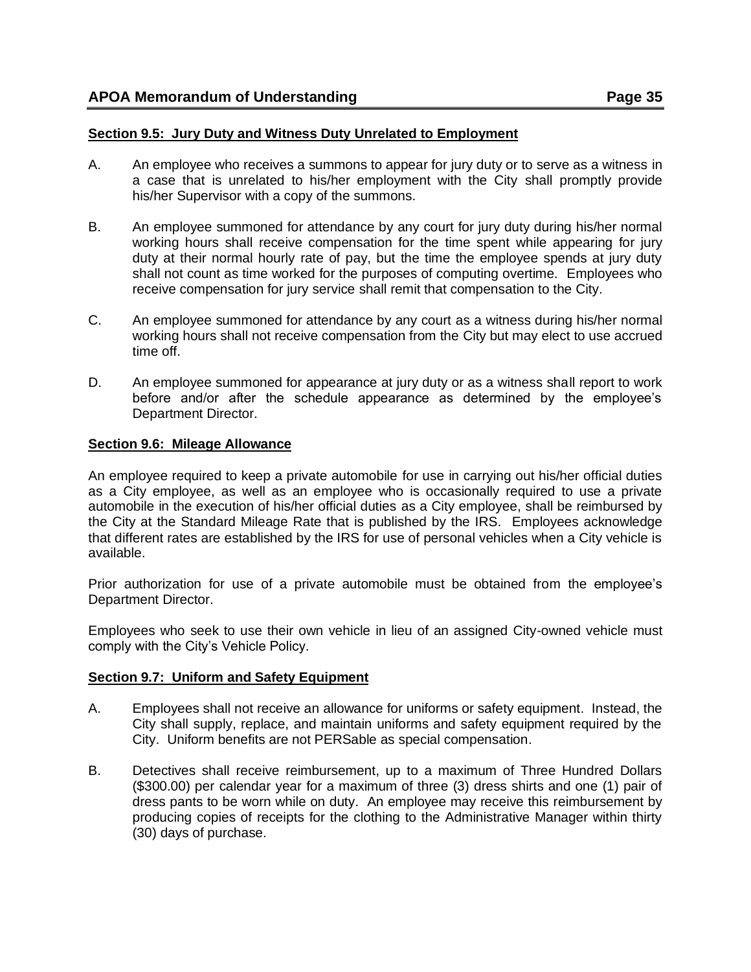#### **Section 9.5: Jury Duty and Witness Duty Unrelated to Employment**

- A. An employee who receives a summons to appear for jury duty or to serve as a witness in a case that is unrelated to his/her employment with the City shall promptly provide his/her Supervisor with a copy of the summons.
- B. An employee summoned for attendance by any court for jury duty during his/her normal working hours shall receive compensation for the time spent while appearing for jury duty at their normal hourly rate of pay, but the time the employee spends at jury duty shall not count as time worked for the purposes of computing overtime. Employees who receive compensation for jury service shall remit that compensation to the City.
- C. An employee summoned for attendance by any court as a witness during his/her normal working hours shall not receive compensation from the City but may elect to use accrued time off.
- D. An employee summoned for appearance at jury duty or as a witness shall report to work before and/or after the schedule appearance as determined by the employee's Department Director.

#### <span id="page-34-0"></span>**Section 9.6: Mileage Allowance**

An employee required to keep a private automobile for use in carrying out his/her official duties as a City employee, as well as an employee who is occasionally required to use a private automobile in the execution of his/her official duties as a City employee, shall be reimbursed by the City at the Standard Mileage Rate that is published by the IRS. Employees acknowledge that different rates are established by the IRS for use of personal vehicles when a City vehicle is available.

Prior authorization for use of a private automobile must be obtained from the employee's Department Director.

Employees who seek to use their own vehicle in lieu of an assigned City-owned vehicle must comply with the City's Vehicle Policy.

#### <span id="page-34-1"></span>**Section 9.7: Uniform and Safety Equipment**

- A. Employees shall not receive an allowance for uniforms or safety equipment. Instead, the City shall supply, replace, and maintain uniforms and safety equipment required by the City. Uniform benefits are not PERSable as special compensation.
- B. Detectives shall receive reimbursement, up to a maximum of Three Hundred Dollars (\$300.00) per calendar year for a maximum of three (3) dress shirts and one (1) pair of dress pants to be worn while on duty. An employee may receive this reimbursement by producing copies of receipts for the clothing to the Administrative Manager within thirty (30) days of purchase.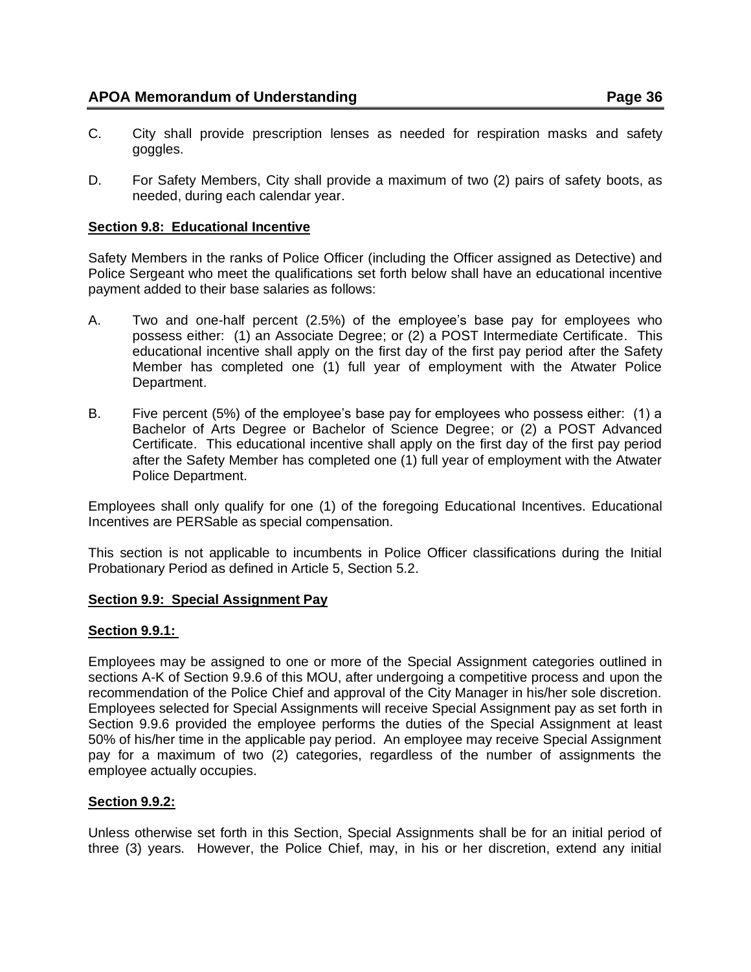- C. City shall provide prescription lenses as needed for respiration masks and safety goggles.
- D. For Safety Members, City shall provide a maximum of two (2) pairs of safety boots, as needed, during each calendar year.

### <span id="page-35-0"></span>**Section 9.8: Educational Incentive**

Safety Members in the ranks of Police Officer (including the Officer assigned as Detective) and Police Sergeant who meet the qualifications set forth below shall have an educational incentive payment added to their base salaries as follows:

- A. Two and one-half percent (2.5%) of the employee's base pay for employees who possess either: (1) an Associate Degree; or (2) a POST Intermediate Certificate. This educational incentive shall apply on the first day of the first pay period after the Safety Member has completed one (1) full year of employment with the Atwater Police Department.
- B. Five percent (5%) of the employee's base pay for employees who possess either: (1) a Bachelor of Arts Degree or Bachelor of Science Degree; or (2) a POST Advanced Certificate. This educational incentive shall apply on the first day of the first pay period after the Safety Member has completed one (1) full year of employment with the Atwater Police Department.

Employees shall only qualify for one (1) of the foregoing Educational Incentives. Educational Incentives are PERSable as special compensation.

This section is not applicable to incumbents in Police Officer classifications during the Initial Probationary Period as defined in Article 5, Section 5.2.

#### <span id="page-35-1"></span>**Section 9.9: Special Assignment Pay**

#### **Section 9.9.1:**

Employees may be assigned to one or more of the Special Assignment categories outlined in sections A-K of Section 9.9.6 of this MOU, after undergoing a competitive process and upon the recommendation of the Police Chief and approval of the City Manager in his/her sole discretion. Employees selected for Special Assignments will receive Special Assignment pay as set forth in Section 9.9.6 provided the employee performs the duties of the Special Assignment at least 50% of his/her time in the applicable pay period. An employee may receive Special Assignment pay for a maximum of two (2) categories, regardless of the number of assignments the employee actually occupies.

#### **Section 9.9.2:**

Unless otherwise set forth in this Section, Special Assignments shall be for an initial period of three (3) years. However, the Police Chief, may, in his or her discretion, extend any initial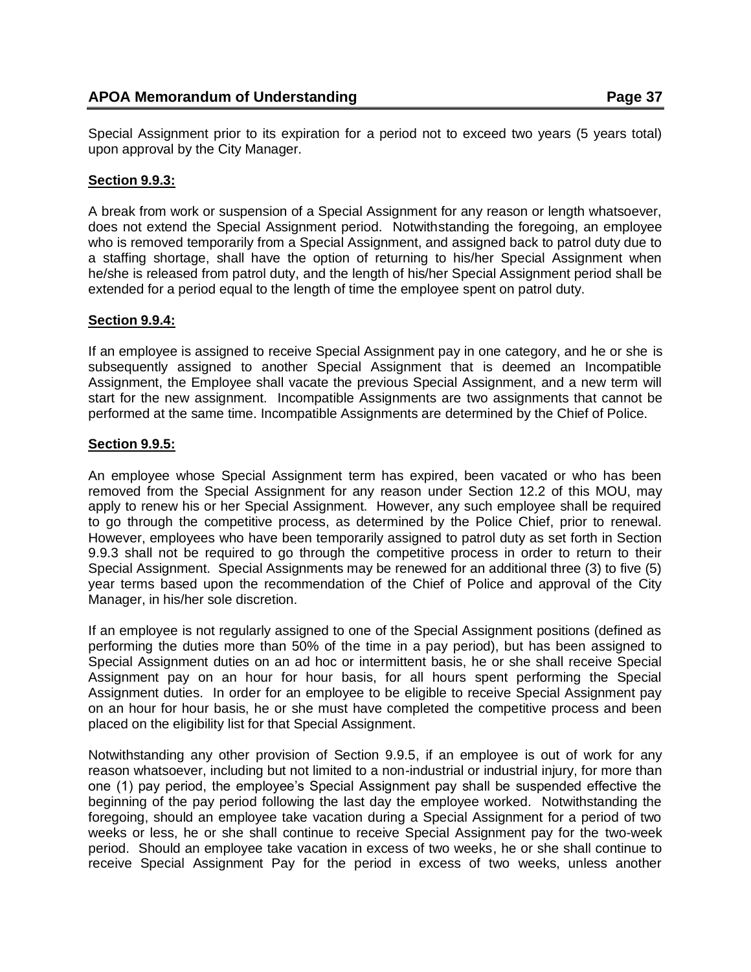Special Assignment prior to its expiration for a period not to exceed two years (5 years total) upon approval by the City Manager.

### **Section 9.9.3:**

A break from work or suspension of a Special Assignment for any reason or length whatsoever, does not extend the Special Assignment period. Notwithstanding the foregoing, an employee who is removed temporarily from a Special Assignment, and assigned back to patrol duty due to a staffing shortage, shall have the option of returning to his/her Special Assignment when he/she is released from patrol duty, and the length of his/her Special Assignment period shall be extended for a period equal to the length of time the employee spent on patrol duty.

### **Section 9.9.4:**

If an employee is assigned to receive Special Assignment pay in one category, and he or she is subsequently assigned to another Special Assignment that is deemed an Incompatible Assignment, the Employee shall vacate the previous Special Assignment, and a new term will start for the new assignment. Incompatible Assignments are two assignments that cannot be performed at the same time. Incompatible Assignments are determined by the Chief of Police.

### **Section 9.9.5:**

An employee whose Special Assignment term has expired, been vacated or who has been removed from the Special Assignment for any reason under Section 12.2 of this MOU, may apply to renew his or her Special Assignment. However, any such employee shall be required to go through the competitive process, as determined by the Police Chief, prior to renewal. However, employees who have been temporarily assigned to patrol duty as set forth in Section 9.9.3 shall not be required to go through the competitive process in order to return to their Special Assignment. Special Assignments may be renewed for an additional three (3) to five (5) year terms based upon the recommendation of the Chief of Police and approval of the City Manager, in his/her sole discretion.

If an employee is not regularly assigned to one of the Special Assignment positions (defined as performing the duties more than 50% of the time in a pay period), but has been assigned to Special Assignment duties on an ad hoc or intermittent basis, he or she shall receive Special Assignment pay on an hour for hour basis, for all hours spent performing the Special Assignment duties. In order for an employee to be eligible to receive Special Assignment pay on an hour for hour basis, he or she must have completed the competitive process and been placed on the eligibility list for that Special Assignment.

Notwithstanding any other provision of Section 9.9.5, if an employee is out of work for any reason whatsoever, including but not limited to a non-industrial or industrial injury, for more than one (1) pay period, the employee's Special Assignment pay shall be suspended effective the beginning of the pay period following the last day the employee worked. Notwithstanding the foregoing, should an employee take vacation during a Special Assignment for a period of two weeks or less, he or she shall continue to receive Special Assignment pay for the two-week period. Should an employee take vacation in excess of two weeks, he or she shall continue to receive Special Assignment Pay for the period in excess of two weeks, unless another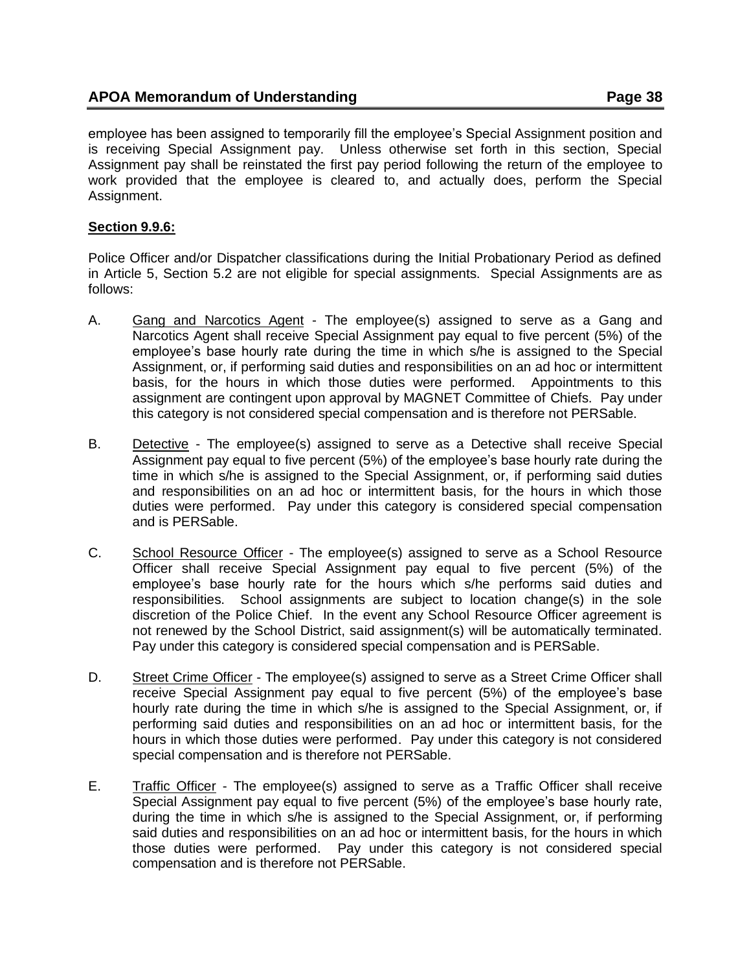employee has been assigned to temporarily fill the employee's Special Assignment position and is receiving Special Assignment pay. Unless otherwise set forth in this section, Special Assignment pay shall be reinstated the first pay period following the return of the employee to work provided that the employee is cleared to, and actually does, perform the Special Assignment.

### **Section 9.9.6:**

Police Officer and/or Dispatcher classifications during the Initial Probationary Period as defined in Article 5, Section 5.2 are not eligible for special assignments. Special Assignments are as follows:

- A. Gang and Narcotics Agent The employee(s) assigned to serve as a Gang and Narcotics Agent shall receive Special Assignment pay equal to five percent (5%) of the employee's base hourly rate during the time in which s/he is assigned to the Special Assignment, or, if performing said duties and responsibilities on an ad hoc or intermittent basis, for the hours in which those duties were performed. Appointments to this assignment are contingent upon approval by MAGNET Committee of Chiefs. Pay under this category is not considered special compensation and is therefore not PERSable.
- B. Detective The employee(s) assigned to serve as a Detective shall receive Special Assignment pay equal to five percent (5%) of the employee's base hourly rate during the time in which s/he is assigned to the Special Assignment, or, if performing said duties and responsibilities on an ad hoc or intermittent basis, for the hours in which those duties were performed. Pay under this category is considered special compensation and is PERSable.
- C. School Resource Officer The employee(s) assigned to serve as a School Resource Officer shall receive Special Assignment pay equal to five percent (5%) of the employee's base hourly rate for the hours which s/he performs said duties and responsibilities. School assignments are subject to location change(s) in the sole discretion of the Police Chief. In the event any School Resource Officer agreement is not renewed by the School District, said assignment(s) will be automatically terminated. Pay under this category is considered special compensation and is PERSable.
- D. Street Crime Officer The employee(s) assigned to serve as a Street Crime Officer shall receive Special Assignment pay equal to five percent (5%) of the employee's base hourly rate during the time in which s/he is assigned to the Special Assignment, or, if performing said duties and responsibilities on an ad hoc or intermittent basis, for the hours in which those duties were performed. Pay under this category is not considered special compensation and is therefore not PERSable.
- E. Traffic Officer The employee(s) assigned to serve as a Traffic Officer shall receive Special Assignment pay equal to five percent (5%) of the employee's base hourly rate, during the time in which s/he is assigned to the Special Assignment, or, if performing said duties and responsibilities on an ad hoc or intermittent basis, for the hours in which those duties were performed. Pay under this category is not considered special compensation and is therefore not PERSable.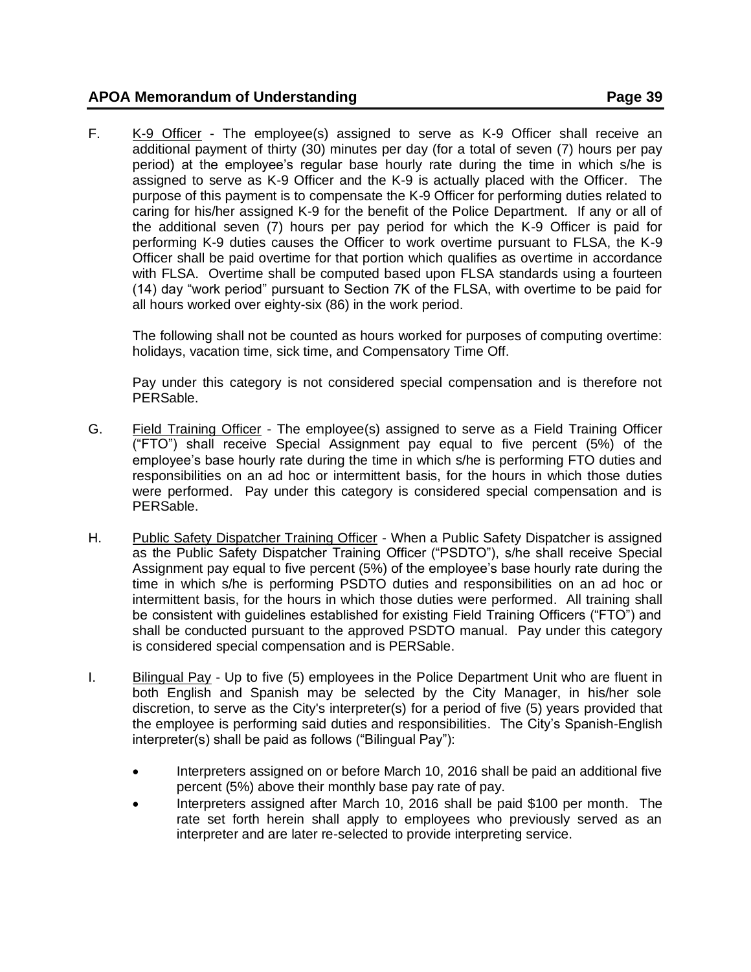F. K-9 Officer - The employee(s) assigned to serve as K-9 Officer shall receive an additional payment of thirty (30) minutes per day (for a total of seven (7) hours per pay period) at the employee's regular base hourly rate during the time in which s/he is assigned to serve as K-9 Officer and the K-9 is actually placed with the Officer. The purpose of this payment is to compensate the K-9 Officer for performing duties related to caring for his/her assigned K-9 for the benefit of the Police Department. If any or all of the additional seven (7) hours per pay period for which the K-9 Officer is paid for performing K-9 duties causes the Officer to work overtime pursuant to FLSA, the K-9 Officer shall be paid overtime for that portion which qualifies as overtime in accordance with FLSA. Overtime shall be computed based upon FLSA standards using a fourteen (14) day "work period" pursuant to Section 7K of the FLSA, with overtime to be paid for all hours worked over eighty-six (86) in the work period.

The following shall not be counted as hours worked for purposes of computing overtime: holidays, vacation time, sick time, and Compensatory Time Off.

Pay under this category is not considered special compensation and is therefore not PERSable.

- G. Field Training Officer The employee(s) assigned to serve as a Field Training Officer ("FTO") shall receive Special Assignment pay equal to five percent (5%) of the employee's base hourly rate during the time in which s/he is performing FTO duties and responsibilities on an ad hoc or intermittent basis, for the hours in which those duties were performed. Pay under this category is considered special compensation and is PERSable.
- H. Public Safety Dispatcher Training Officer When a Public Safety Dispatcher is assigned as the Public Safety Dispatcher Training Officer ("PSDTO"), s/he shall receive Special Assignment pay equal to five percent (5%) of the employee's base hourly rate during the time in which s/he is performing PSDTO duties and responsibilities on an ad hoc or intermittent basis, for the hours in which those duties were performed. All training shall be consistent with guidelines established for existing Field Training Officers ("FTO") and shall be conducted pursuant to the approved PSDTO manual. Pay under this category is considered special compensation and is PERSable.
- I. Bilingual Pay Up to five (5) employees in the Police Department Unit who are fluent in both English and Spanish may be selected by the City Manager, in his/her sole discretion, to serve as the City's interpreter(s) for a period of five (5) years provided that the employee is performing said duties and responsibilities. The City's Spanish-English interpreter(s) shall be paid as follows ("Bilingual Pay"):
	- Interpreters assigned on or before March 10, 2016 shall be paid an additional five percent (5%) above their monthly base pay rate of pay.
	- Interpreters assigned after March 10, 2016 shall be paid \$100 per month. The rate set forth herein shall apply to employees who previously served as an interpreter and are later re-selected to provide interpreting service.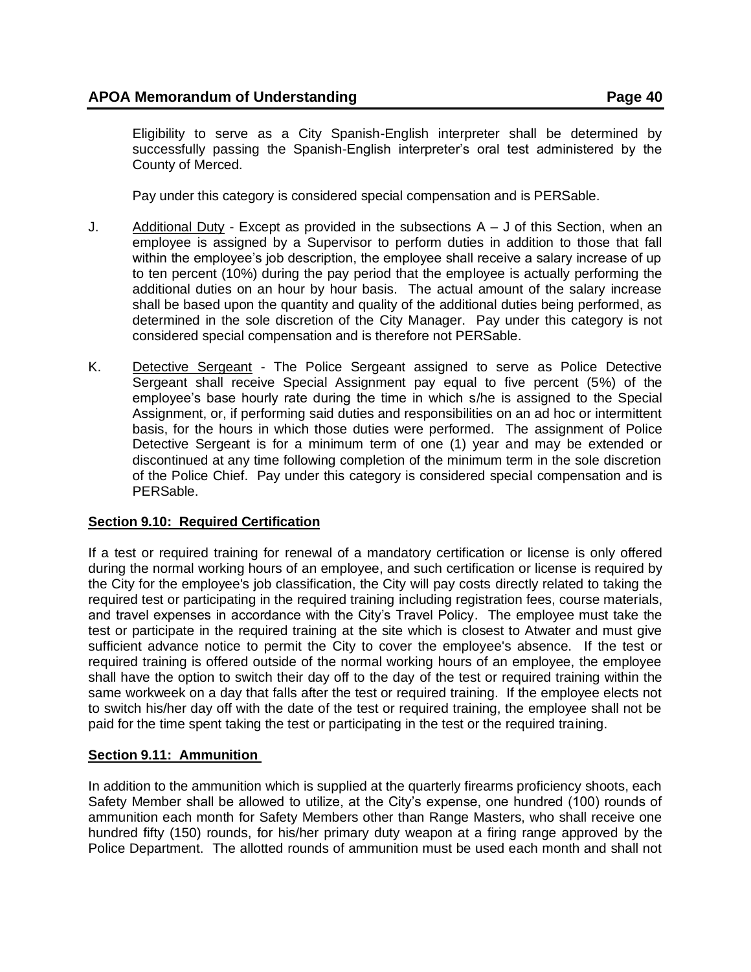Eligibility to serve as a City Spanish-English interpreter shall be determined by successfully passing the Spanish-English interpreter's oral test administered by the County of Merced.

Pay under this category is considered special compensation and is PERSable.

- J. Additional Duty Except as provided in the subsections A J of this Section, when an employee is assigned by a Supervisor to perform duties in addition to those that fall within the employee's job description, the employee shall receive a salary increase of up to ten percent (10%) during the pay period that the employee is actually performing the additional duties on an hour by hour basis. The actual amount of the salary increase shall be based upon the quantity and quality of the additional duties being performed, as determined in the sole discretion of the City Manager. Pay under this category is not considered special compensation and is therefore not PERSable.
- <span id="page-39-0"></span>K. Detective Sergeant - The Police Sergeant assigned to serve as Police Detective Sergeant shall receive Special Assignment pay equal to five percent (5%) of the employee's base hourly rate during the time in which s/he is assigned to the Special Assignment, or, if performing said duties and responsibilities on an ad hoc or intermittent basis, for the hours in which those duties were performed. The assignment of Police Detective Sergeant is for a minimum term of one (1) year and may be extended or discontinued at any time following completion of the minimum term in the sole discretion of the Police Chief. Pay under this category is considered special compensation and is PERSable.

#### **Section 9.10: Required Certification**

If a test or required training for renewal of a mandatory certification or license is only offered during the normal working hours of an employee, and such certification or license is required by the City for the employee's job classification, the City will pay costs directly related to taking the required test or participating in the required training including registration fees, course materials, and travel expenses in accordance with the City's Travel Policy. The employee must take the test or participate in the required training at the site which is closest to Atwater and must give sufficient advance notice to permit the City to cover the employee's absence. If the test or required training is offered outside of the normal working hours of an employee, the employee shall have the option to switch their day off to the day of the test or required training within the same workweek on a day that falls after the test or required training. If the employee elects not to switch his/her day off with the date of the test or required training, the employee shall not be paid for the time spent taking the test or participating in the test or the required training.

#### <span id="page-39-1"></span>**Section 9.11: Ammunition**

In addition to the ammunition which is supplied at the quarterly firearms proficiency shoots, each Safety Member shall be allowed to utilize, at the City's expense, one hundred (100) rounds of ammunition each month for Safety Members other than Range Masters, who shall receive one hundred fifty (150) rounds, for his/her primary duty weapon at a firing range approved by the Police Department. The allotted rounds of ammunition must be used each month and shall not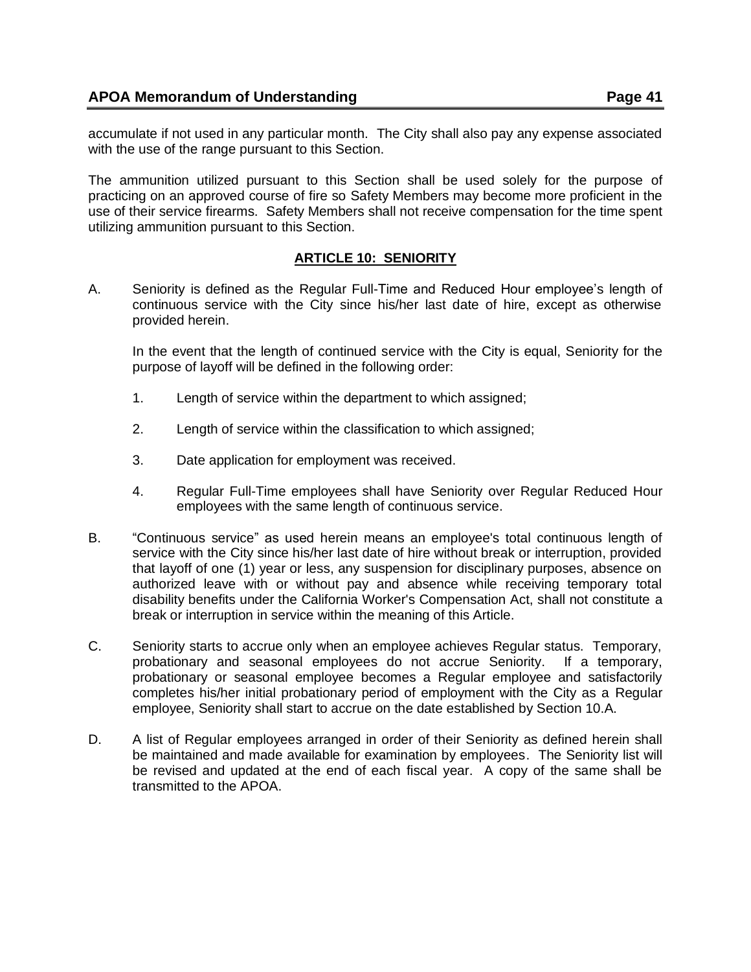accumulate if not used in any particular month. The City shall also pay any expense associated with the use of the range pursuant to this Section.

The ammunition utilized pursuant to this Section shall be used solely for the purpose of practicing on an approved course of fire so Safety Members may become more proficient in the use of their service firearms. Safety Members shall not receive compensation for the time spent utilizing ammunition pursuant to this Section.

## **ARTICLE 10: SENIORITY**

<span id="page-40-0"></span>A. Seniority is defined as the Regular Full-Time and Reduced Hour employee's length of continuous service with the City since his/her last date of hire, except as otherwise provided herein.

In the event that the length of continued service with the City is equal, Seniority for the purpose of layoff will be defined in the following order:

- 1. Length of service within the department to which assigned;
- 2. Length of service within the classification to which assigned;
- 3. Date application for employment was received.
- 4. Regular Full-Time employees shall have Seniority over Regular Reduced Hour employees with the same length of continuous service.
- B. "Continuous service" as used herein means an employee's total continuous length of service with the City since his/her last date of hire without break or interruption, provided that layoff of one (1) year or less, any suspension for disciplinary purposes, absence on authorized leave with or without pay and absence while receiving temporary total disability benefits under the California Worker's Compensation Act, shall not constitute a break or interruption in service within the meaning of this Article.
- C. Seniority starts to accrue only when an employee achieves Regular status. Temporary, probationary and seasonal employees do not accrue Seniority. If a temporary, probationary or seasonal employee becomes a Regular employee and satisfactorily completes his/her initial probationary period of employment with the City as a Regular employee, Seniority shall start to accrue on the date established by Section 10.A.
- <span id="page-40-1"></span>D. A list of Regular employees arranged in order of their Seniority as defined herein shall be maintained and made available for examination by employees. The Seniority list will be revised and updated at the end of each fiscal year. A copy of the same shall be transmitted to the APOA.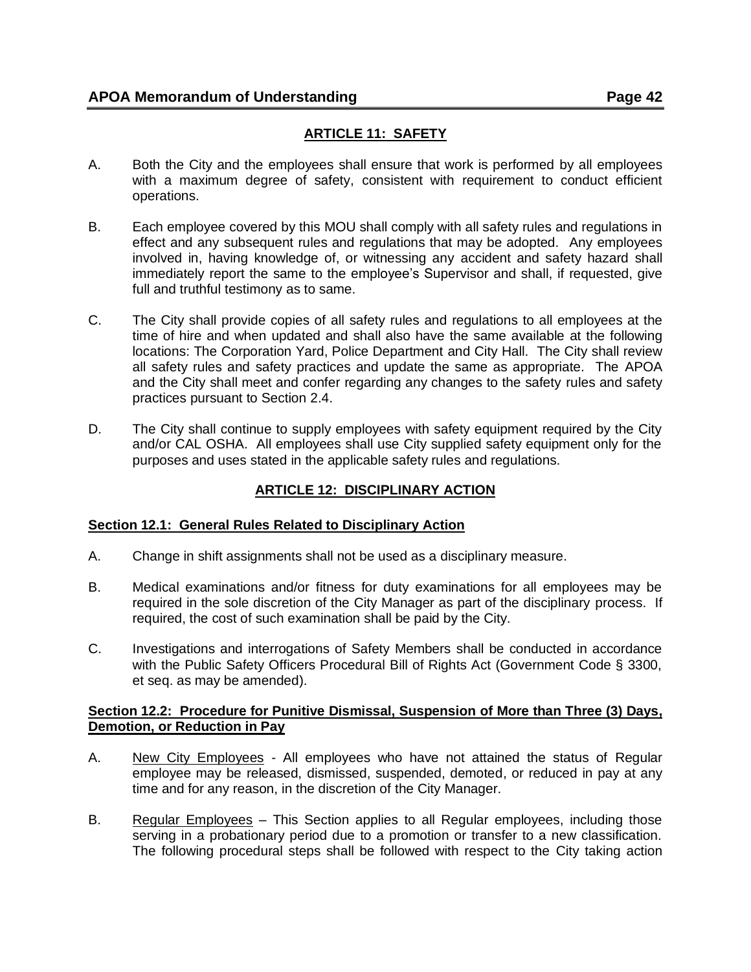- A. Both the City and the employees shall ensure that work is performed by all employees with a maximum degree of safety, consistent with requirement to conduct efficient operations.
- B. Each employee covered by this MOU shall comply with all safety rules and regulations in effect and any subsequent rules and regulations that may be adopted. Any employees involved in, having knowledge of, or witnessing any accident and safety hazard shall immediately report the same to the employee's Supervisor and shall, if requested, give full and truthful testimony as to same.
- C. The City shall provide copies of all safety rules and regulations to all employees at the time of hire and when updated and shall also have the same available at the following locations: The Corporation Yard, Police Department and City Hall. The City shall review all safety rules and safety practices and update the same as appropriate. The APOA and the City shall meet and confer regarding any changes to the safety rules and safety practices pursuant to Section 2.4.
- <span id="page-41-0"></span>D. The City shall continue to supply employees with safety equipment required by the City and/or CAL OSHA. All employees shall use City supplied safety equipment only for the purposes and uses stated in the applicable safety rules and regulations.

# **ARTICLE 12: DISCIPLINARY ACTION**

## <span id="page-41-1"></span>**Section 12.1: General Rules Related to Disciplinary Action**

- A. Change in shift assignments shall not be used as a disciplinary measure.
- B. Medical examinations and/or fitness for duty examinations for all employees may be required in the sole discretion of the City Manager as part of the disciplinary process. If required, the cost of such examination shall be paid by the City.
- C. Investigations and interrogations of Safety Members shall be conducted in accordance with the Public Safety Officers Procedural Bill of Rights Act (Government Code § 3300, et seq. as may be amended).

### <span id="page-41-2"></span>**Section 12.2: Procedure for Punitive Dismissal, Suspension of More than Three (3) Days, Demotion, or Reduction in Pay**

- A. New City Employees All employees who have not attained the status of Regular employee may be released, dismissed, suspended, demoted, or reduced in pay at any time and for any reason, in the discretion of the City Manager.
- B. Regular Employees This Section applies to all Regular employees, including those serving in a probationary period due to a promotion or transfer to a new classification. The following procedural steps shall be followed with respect to the City taking action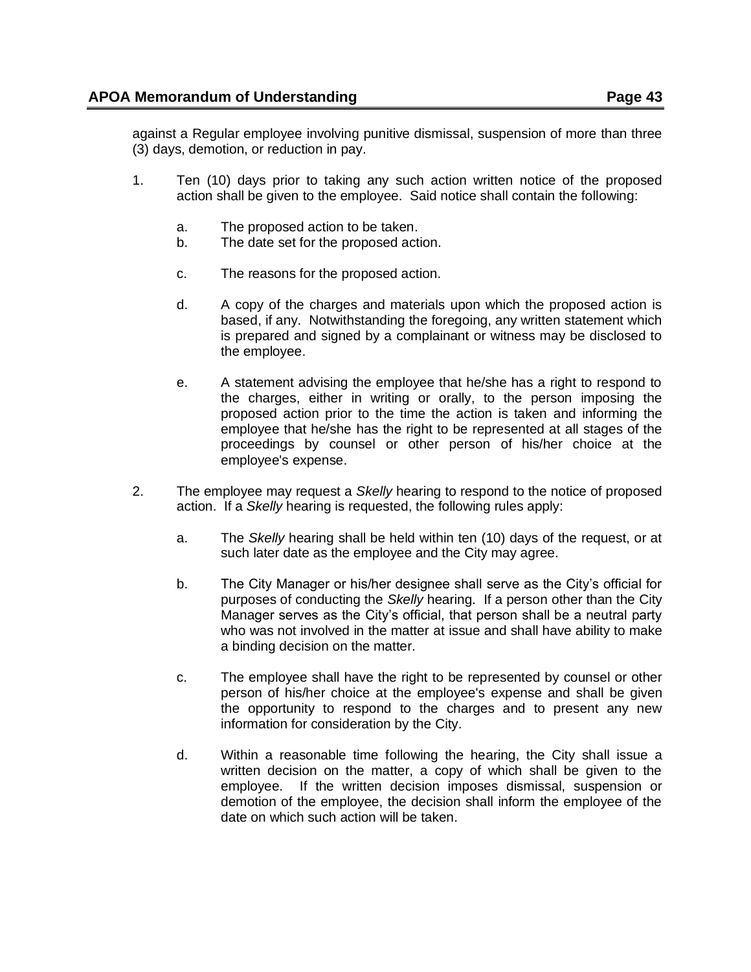against a Regular employee involving punitive dismissal, suspension of more than three (3) days, demotion, or reduction in pay.

- 1. Ten (10) days prior to taking any such action written notice of the proposed action shall be given to the employee. Said notice shall contain the following:
	- a. The proposed action to be taken.
	- b. The date set for the proposed action.
	- c. The reasons for the proposed action.
	- d. A copy of the charges and materials upon which the proposed action is based, if any. Notwithstanding the foregoing, any written statement which is prepared and signed by a complainant or witness may be disclosed to the employee.
	- e. A statement advising the employee that he/she has a right to respond to the charges, either in writing or orally, to the person imposing the proposed action prior to the time the action is taken and informing the employee that he/she has the right to be represented at all stages of the proceedings by counsel or other person of his/her choice at the employee's expense.
- 2. The employee may request a *Skelly* hearing to respond to the notice of proposed action. If a *Skelly* hearing is requested, the following rules apply:
	- a. The *Skelly* hearing shall be held within ten (10) days of the request, or at such later date as the employee and the City may agree.
	- b. The City Manager or his/her designee shall serve as the City's official for purposes of conducting the *Skelly* hearing. If a person other than the City Manager serves as the City's official, that person shall be a neutral party who was not involved in the matter at issue and shall have ability to make a binding decision on the matter.
	- c. The employee shall have the right to be represented by counsel or other person of his/her choice at the employee's expense and shall be given the opportunity to respond to the charges and to present any new information for consideration by the City.
	- d. Within a reasonable time following the hearing, the City shall issue a written decision on the matter, a copy of which shall be given to the employee. If the written decision imposes dismissal, suspension or demotion of the employee, the decision shall inform the employee of the date on which such action will be taken.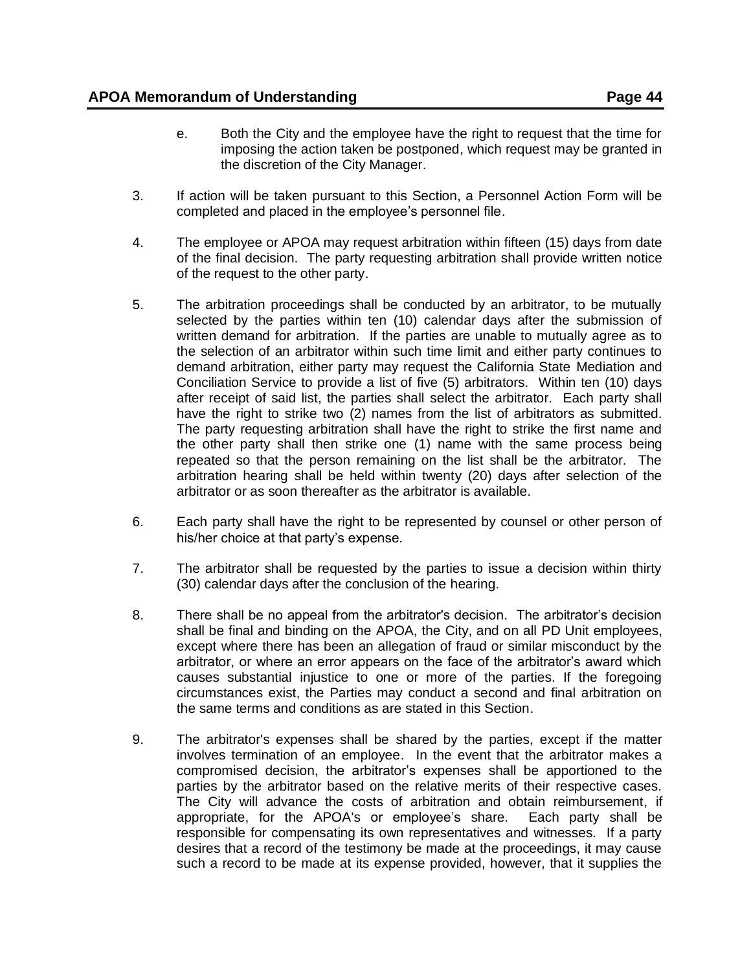- 3. If action will be taken pursuant to this Section, a Personnel Action Form will be completed and placed in the employee's personnel file.
- 4. The employee or APOA may request arbitration within fifteen (15) days from date of the final decision. The party requesting arbitration shall provide written notice of the request to the other party.
- 5. The arbitration proceedings shall be conducted by an arbitrator, to be mutually selected by the parties within ten (10) calendar days after the submission of written demand for arbitration. If the parties are unable to mutually agree as to the selection of an arbitrator within such time limit and either party continues to demand arbitration, either party may request the California State Mediation and Conciliation Service to provide a list of five (5) arbitrators. Within ten (10) days after receipt of said list, the parties shall select the arbitrator. Each party shall have the right to strike two (2) names from the list of arbitrators as submitted. The party requesting arbitration shall have the right to strike the first name and the other party shall then strike one (1) name with the same process being repeated so that the person remaining on the list shall be the arbitrator. The arbitration hearing shall be held within twenty (20) days after selection of the arbitrator or as soon thereafter as the arbitrator is available.
- 6. Each party shall have the right to be represented by counsel or other person of his/her choice at that party's expense.
- 7. The arbitrator shall be requested by the parties to issue a decision within thirty (30) calendar days after the conclusion of the hearing.
- 8. There shall be no appeal from the arbitrator's decision. The arbitrator's decision shall be final and binding on the APOA, the City, and on all PD Unit employees, except where there has been an allegation of fraud or similar misconduct by the arbitrator, or where an error appears on the face of the arbitrator's award which causes substantial injustice to one or more of the parties. If the foregoing circumstances exist, the Parties may conduct a second and final arbitration on the same terms and conditions as are stated in this Section.
- 9. The arbitrator's expenses shall be shared by the parties, except if the matter involves termination of an employee. In the event that the arbitrator makes a compromised decision, the arbitrator's expenses shall be apportioned to the parties by the arbitrator based on the relative merits of their respective cases. The City will advance the costs of arbitration and obtain reimbursement, if appropriate, for the APOA's or employee's share. Each party shall be responsible for compensating its own representatives and witnesses. If a party desires that a record of the testimony be made at the proceedings, it may cause such a record to be made at its expense provided, however, that it supplies the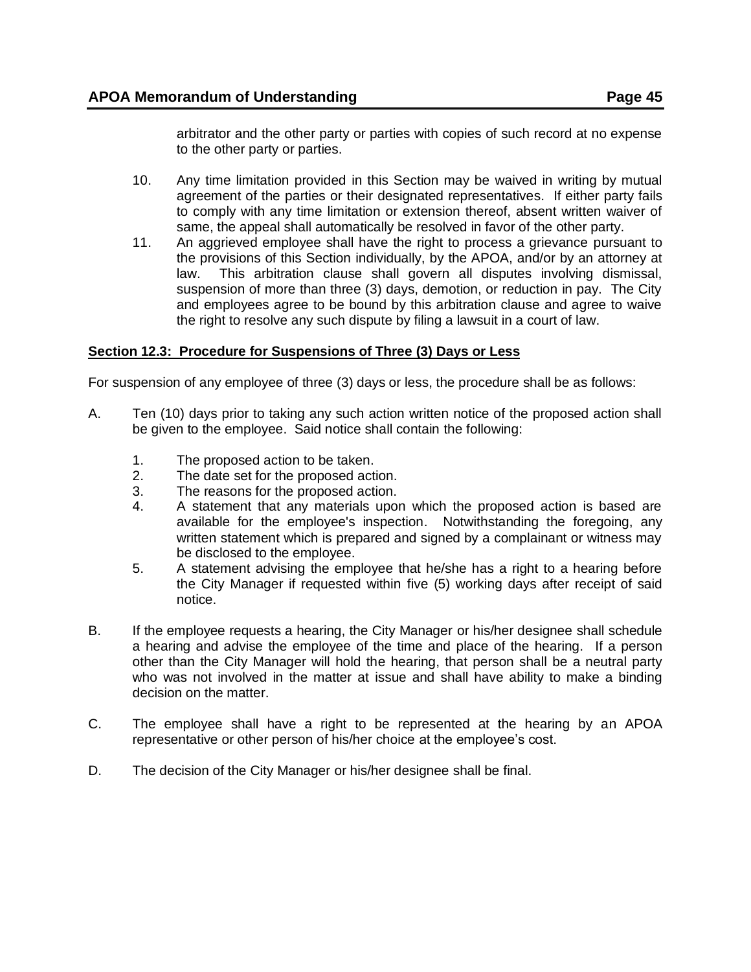arbitrator and the other party or parties with copies of such record at no expense to the other party or parties.

- 10. Any time limitation provided in this Section may be waived in writing by mutual agreement of the parties or their designated representatives. If either party fails to comply with any time limitation or extension thereof, absent written waiver of same, the appeal shall automatically be resolved in favor of the other party.
- 11. An aggrieved employee shall have the right to process a grievance pursuant to the provisions of this Section individually, by the APOA, and/or by an attorney at law. This arbitration clause shall govern all disputes involving dismissal, suspension of more than three (3) days, demotion, or reduction in pay. The City and employees agree to be bound by this arbitration clause and agree to waive the right to resolve any such dispute by filing a lawsuit in a court of law.

### <span id="page-44-0"></span>**Section 12.3: Procedure for Suspensions of Three (3) Days or Less**

For suspension of any employee of three (3) days or less, the procedure shall be as follows:

- A. Ten (10) days prior to taking any such action written notice of the proposed action shall be given to the employee. Said notice shall contain the following:
	- 1. The proposed action to be taken.
	- 2. The date set for the proposed action.
	- 3. The reasons for the proposed action.
	- 4. A statement that any materials upon which the proposed action is based are available for the employee's inspection. Notwithstanding the foregoing, any written statement which is prepared and signed by a complainant or witness may be disclosed to the employee.
	- 5. A statement advising the employee that he/she has a right to a hearing before the City Manager if requested within five (5) working days after receipt of said notice.
- B. If the employee requests a hearing, the City Manager or his/her designee shall schedule a hearing and advise the employee of the time and place of the hearing. If a person other than the City Manager will hold the hearing, that person shall be a neutral party who was not involved in the matter at issue and shall have ability to make a binding decision on the matter.
- C. The employee shall have a right to be represented at the hearing by an APOA representative or other person of his/her choice at the employee's cost.
- <span id="page-44-1"></span>D. The decision of the City Manager or his/her designee shall be final.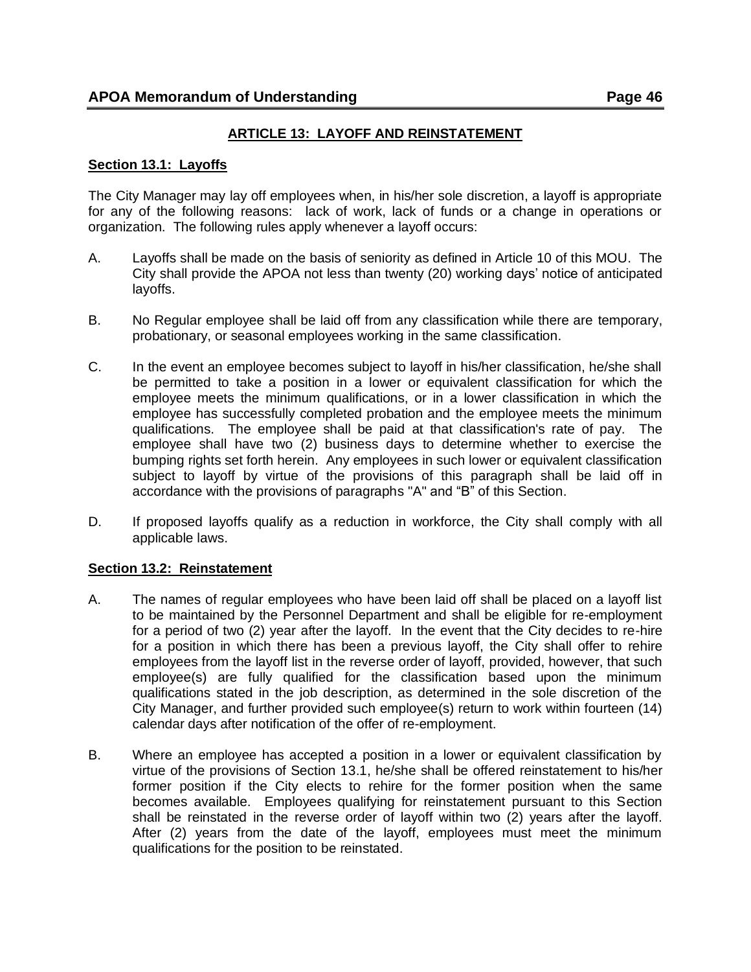## **ARTICLE 13: LAYOFF AND REINSTATEMENT**

#### <span id="page-45-0"></span>**Section 13.1: Layoffs**

The City Manager may lay off employees when, in his/her sole discretion, a layoff is appropriate for any of the following reasons: lack of work, lack of funds or a change in operations or organization. The following rules apply whenever a layoff occurs:

- A. Layoffs shall be made on the basis of seniority as defined in Article 10 of this MOU. The City shall provide the APOA not less than twenty (20) working days' notice of anticipated layoffs.
- B. No Regular employee shall be laid off from any classification while there are temporary, probationary, or seasonal employees working in the same classification.
- C. In the event an employee becomes subject to layoff in his/her classification, he/she shall be permitted to take a position in a lower or equivalent classification for which the employee meets the minimum qualifications, or in a lower classification in which the employee has successfully completed probation and the employee meets the minimum qualifications. The employee shall be paid at that classification's rate of pay. The employee shall have two (2) business days to determine whether to exercise the bumping rights set forth herein. Any employees in such lower or equivalent classification subject to layoff by virtue of the provisions of this paragraph shall be laid off in accordance with the provisions of paragraphs "A" and "B" of this Section.
- D. If proposed layoffs qualify as a reduction in workforce, the City shall comply with all applicable laws.

#### <span id="page-45-1"></span>**Section 13.2: Reinstatement**

- A. The names of regular employees who have been laid off shall be placed on a layoff list to be maintained by the Personnel Department and shall be eligible for re-employment for a period of two (2) year after the layoff. In the event that the City decides to re-hire for a position in which there has been a previous layoff, the City shall offer to rehire employees from the layoff list in the reverse order of layoff, provided, however, that such employee(s) are fully qualified for the classification based upon the minimum qualifications stated in the job description, as determined in the sole discretion of the City Manager, and further provided such employee(s) return to work within fourteen (14) calendar days after notification of the offer of re-employment.
- B. Where an employee has accepted a position in a lower or equivalent classification by virtue of the provisions of Section 13.1, he/she shall be offered reinstatement to his/her former position if the City elects to rehire for the former position when the same becomes available. Employees qualifying for reinstatement pursuant to this Section shall be reinstated in the reverse order of layoff within two (2) years after the layoff. After (2) years from the date of the layoff, employees must meet the minimum qualifications for the position to be reinstated.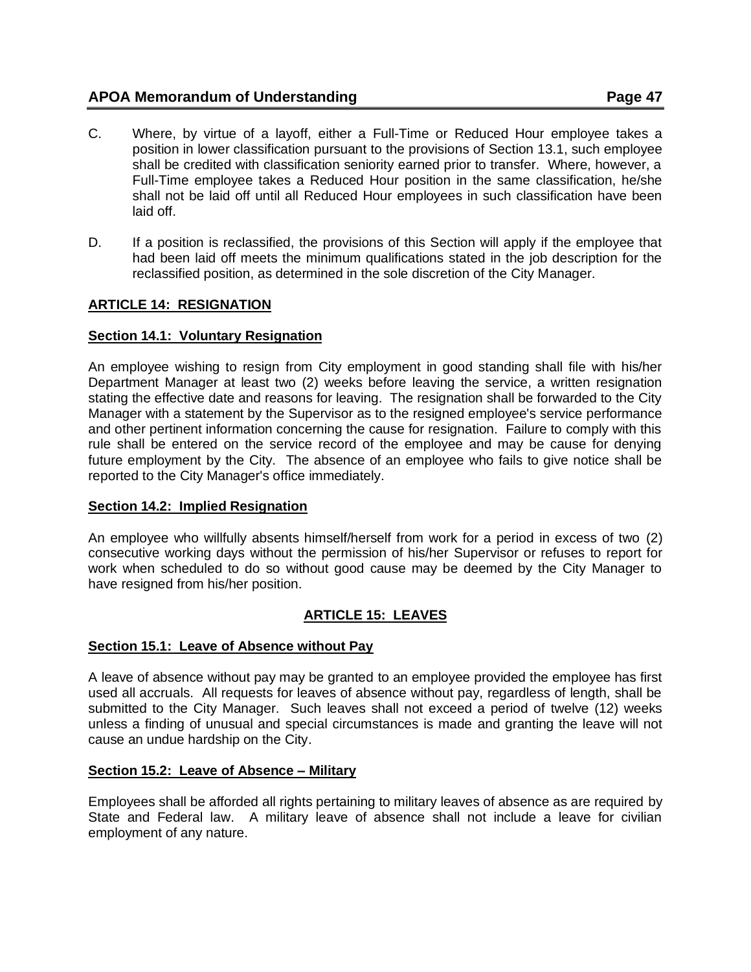- C. Where, by virtue of a layoff, either a Full-Time or Reduced Hour employee takes a position in lower classification pursuant to the provisions of Section 13.1, such employee shall be credited with classification seniority earned prior to transfer. Where, however, a Full-Time employee takes a Reduced Hour position in the same classification, he/she shall not be laid off until all Reduced Hour employees in such classification have been laid off.
- D. If a position is reclassified, the provisions of this Section will apply if the employee that had been laid off meets the minimum qualifications stated in the job description for the reclassified position, as determined in the sole discretion of the City Manager.

## <span id="page-46-0"></span>**ARTICLE 14: RESIGNATION**

## <span id="page-46-1"></span>**Section 14.1: Voluntary Resignation**

An employee wishing to resign from City employment in good standing shall file with his/her Department Manager at least two (2) weeks before leaving the service, a written resignation stating the effective date and reasons for leaving. The resignation shall be forwarded to the City Manager with a statement by the Supervisor as to the resigned employee's service performance and other pertinent information concerning the cause for resignation. Failure to comply with this rule shall be entered on the service record of the employee and may be cause for denying future employment by the City. The absence of an employee who fails to give notice shall be reported to the City Manager's office immediately.

## <span id="page-46-2"></span>**Section 14.2: Implied Resignation**

An employee who willfully absents himself/herself from work for a period in excess of two (2) consecutive working days without the permission of his/her Supervisor or refuses to report for work when scheduled to do so without good cause may be deemed by the City Manager to have resigned from his/her position.

# **ARTICLE 15: LEAVES**

## <span id="page-46-4"></span><span id="page-46-3"></span>**Section 15.1: Leave of Absence without Pay**

A leave of absence without pay may be granted to an employee provided the employee has first used all accruals. All requests for leaves of absence without pay, regardless of length, shall be submitted to the City Manager. Such leaves shall not exceed a period of twelve (12) weeks unless a finding of unusual and special circumstances is made and granting the leave will not cause an undue hardship on the City.

#### <span id="page-46-5"></span>**Section 15.2: Leave of Absence – Military**

Employees shall be afforded all rights pertaining to military leaves of absence as are required by State and Federal law. A military leave of absence shall not include a leave for civilian employment of any nature.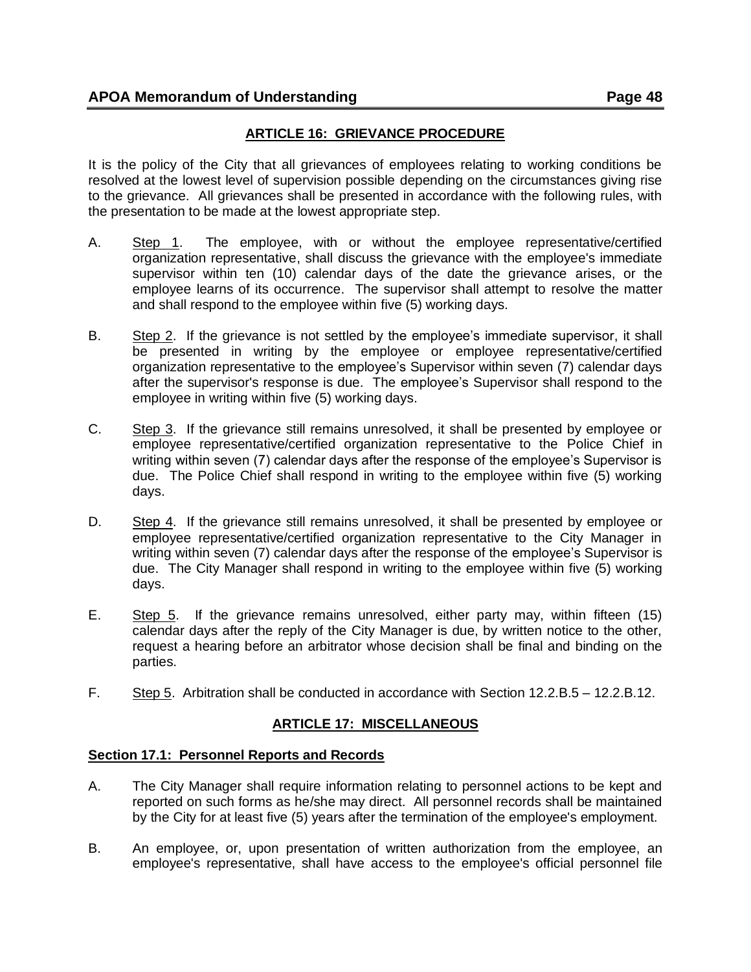# **ARTICLE 16: GRIEVANCE PROCEDURE**

<span id="page-47-0"></span>It is the policy of the City that all grievances of employees relating to working conditions be resolved at the lowest level of supervision possible depending on the circumstances giving rise to the grievance. All grievances shall be presented in accordance with the following rules, with the presentation to be made at the lowest appropriate step.

- A. Step 1. The employee, with or without the employee representative/certified organization representative, shall discuss the grievance with the employee's immediate supervisor within ten (10) calendar days of the date the grievance arises, or the employee learns of its occurrence. The supervisor shall attempt to resolve the matter and shall respond to the employee within five (5) working days.
- B. Step 2. If the grievance is not settled by the employee's immediate supervisor, it shall be presented in writing by the employee or employee representative/certified organization representative to the employee's Supervisor within seven (7) calendar days after the supervisor's response is due. The employee's Supervisor shall respond to the employee in writing within five (5) working days.
- C. Step 3. If the grievance still remains unresolved, it shall be presented by employee or employee representative/certified organization representative to the Police Chief in writing within seven (7) calendar days after the response of the employee's Supervisor is due. The Police Chief shall respond in writing to the employee within five (5) working days.
- D. Step 4. If the grievance still remains unresolved, it shall be presented by employee or employee representative/certified organization representative to the City Manager in writing within seven (7) calendar days after the response of the employee's Supervisor is due. The City Manager shall respond in writing to the employee within five (5) working days.
- E. Step 5. If the grievance remains unresolved, either party may, within fifteen (15) calendar days after the reply of the City Manager is due, by written notice to the other, request a hearing before an arbitrator whose decision shall be final and binding on the parties.
- <span id="page-47-1"></span>F. Step 5. Arbitration shall be conducted in accordance with Section 12.2.B.5 – 12.2.B.12.

# **ARTICLE 17: MISCELLANEOUS**

## <span id="page-47-2"></span>**Section 17.1: Personnel Reports and Records**

- A. The City Manager shall require information relating to personnel actions to be kept and reported on such forms as he/she may direct. All personnel records shall be maintained by the City for at least five (5) years after the termination of the employee's employment.
- B. An employee, or, upon presentation of written authorization from the employee, an employee's representative, shall have access to the employee's official personnel file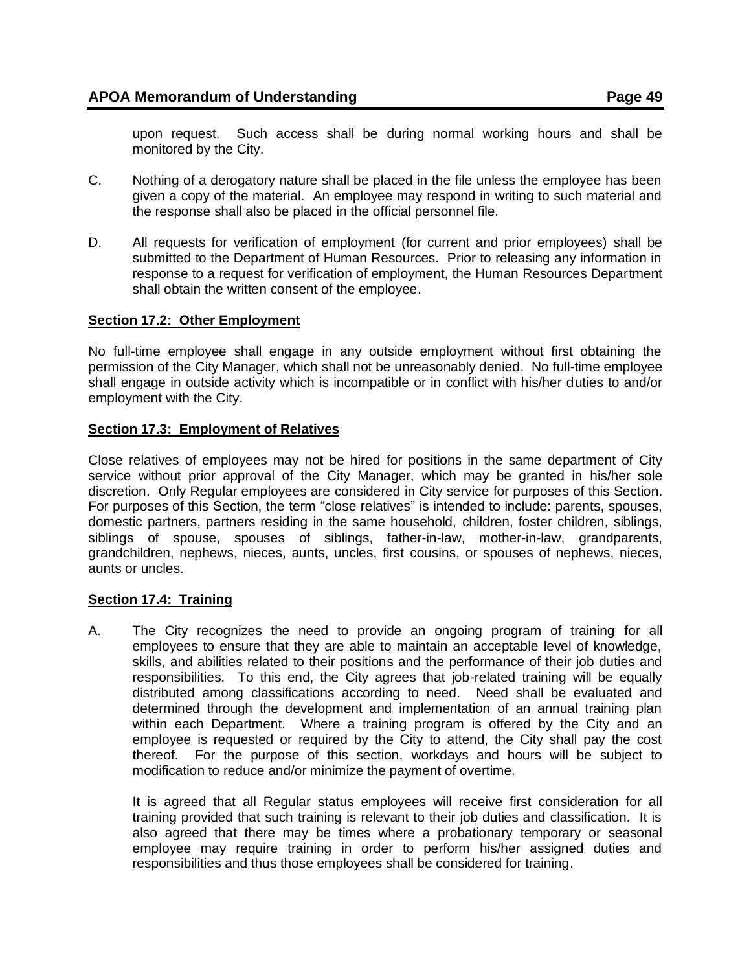upon request. Such access shall be during normal working hours and shall be monitored by the City.

- C. Nothing of a derogatory nature shall be placed in the file unless the employee has been given a copy of the material. An employee may respond in writing to such material and the response shall also be placed in the official personnel file.
- D. All requests for verification of employment (for current and prior employees) shall be submitted to the Department of Human Resources. Prior to releasing any information in response to a request for verification of employment, the Human Resources Department shall obtain the written consent of the employee.

## <span id="page-48-0"></span>**Section 17.2: Other Employment**

No full-time employee shall engage in any outside employment without first obtaining the permission of the City Manager, which shall not be unreasonably denied. No full-time employee shall engage in outside activity which is incompatible or in conflict with his/her duties to and/or employment with the City.

### <span id="page-48-1"></span>**Section 17.3: Employment of Relatives**

Close relatives of employees may not be hired for positions in the same department of City service without prior approval of the City Manager, which may be granted in his/her sole discretion. Only Regular employees are considered in City service for purposes of this Section. For purposes of this Section, the term "close relatives" is intended to include: parents, spouses, domestic partners, partners residing in the same household, children, foster children, siblings, siblings of spouse, spouses of siblings, father-in-law, mother-in-law, grandparents, grandchildren, nephews, nieces, aunts, uncles, first cousins, or spouses of nephews, nieces, aunts or uncles.

#### <span id="page-48-2"></span>**Section 17.4: Training**

A. The City recognizes the need to provide an ongoing program of training for all employees to ensure that they are able to maintain an acceptable level of knowledge, skills, and abilities related to their positions and the performance of their job duties and responsibilities. To this end, the City agrees that job-related training will be equally distributed among classifications according to need. Need shall be evaluated and determined through the development and implementation of an annual training plan within each Department. Where a training program is offered by the City and an employee is requested or required by the City to attend, the City shall pay the cost thereof. For the purpose of this section, workdays and hours will be subject to modification to reduce and/or minimize the payment of overtime.

It is agreed that all Regular status employees will receive first consideration for all training provided that such training is relevant to their job duties and classification. It is also agreed that there may be times where a probationary temporary or seasonal employee may require training in order to perform his/her assigned duties and responsibilities and thus those employees shall be considered for training.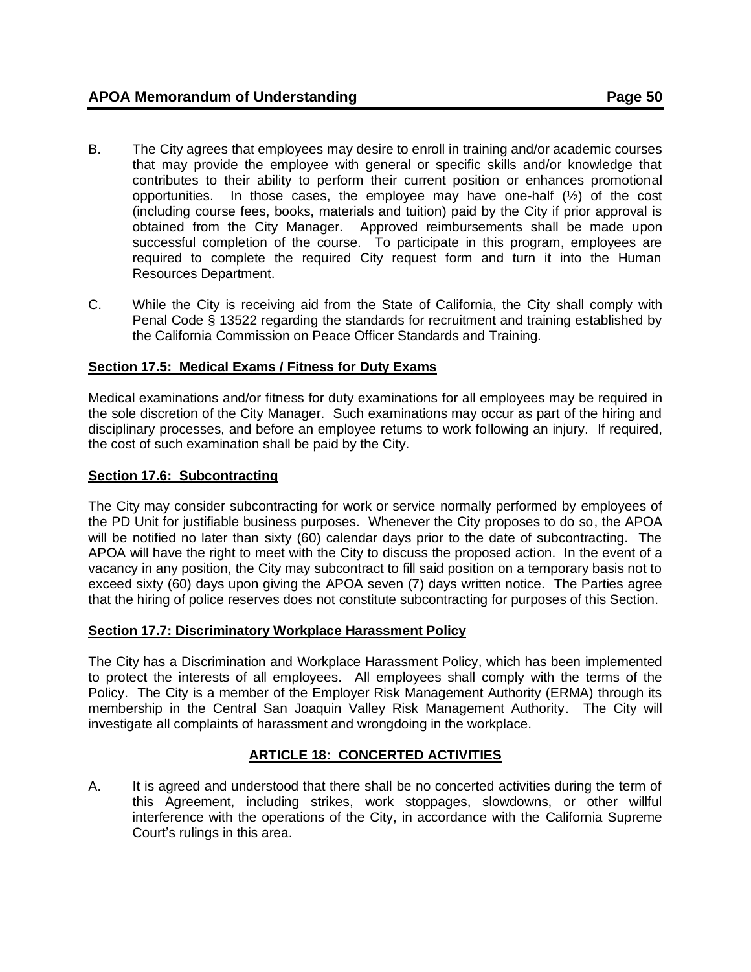- B. The City agrees that employees may desire to enroll in training and/or academic courses that may provide the employee with general or specific skills and/or knowledge that contributes to their ability to perform their current position or enhances promotional opportunities. In those cases, the employee may have one-half (½) of the cost (including course fees, books, materials and tuition) paid by the City if prior approval is obtained from the City Manager. Approved reimbursements shall be made upon successful completion of the course. To participate in this program, employees are required to complete the required City request form and turn it into the Human Resources Department.
- C. While the City is receiving aid from the State of California, the City shall comply with Penal Code § 13522 regarding the standards for recruitment and training established by the California Commission on Peace Officer Standards and Training.

# <span id="page-49-0"></span>**Section 17.5: Medical Exams / Fitness for Duty Exams**

Medical examinations and/or fitness for duty examinations for all employees may be required in the sole discretion of the City Manager. Such examinations may occur as part of the hiring and disciplinary processes, and before an employee returns to work following an injury. If required, the cost of such examination shall be paid by the City.

## <span id="page-49-1"></span>**Section 17.6: Subcontracting**

The City may consider subcontracting for work or service normally performed by employees of the PD Unit for justifiable business purposes. Whenever the City proposes to do so, the APOA will be notified no later than sixty (60) calendar days prior to the date of subcontracting. The APOA will have the right to meet with the City to discuss the proposed action. In the event of a vacancy in any position, the City may subcontract to fill said position on a temporary basis not to exceed sixty (60) days upon giving the APOA seven (7) days written notice. The Parties agree that the hiring of police reserves does not constitute subcontracting for purposes of this Section.

## <span id="page-49-2"></span>**Section 17.7: Discriminatory Workplace Harassment Policy**

The City has a Discrimination and Workplace Harassment Policy, which has been implemented to protect the interests of all employees. All employees shall comply with the terms of the Policy. The City is a member of the Employer Risk Management Authority (ERMA) through its membership in the Central San Joaquin Valley Risk Management Authority. The City will investigate all complaints of harassment and wrongdoing in the workplace.

## **ARTICLE 18: CONCERTED ACTIVITIES**

<span id="page-49-3"></span>A. It is agreed and understood that there shall be no concerted activities during the term of this Agreement, including strikes, work stoppages, slowdowns, or other willful interference with the operations of the City, in accordance with the California Supreme Court's rulings in this area.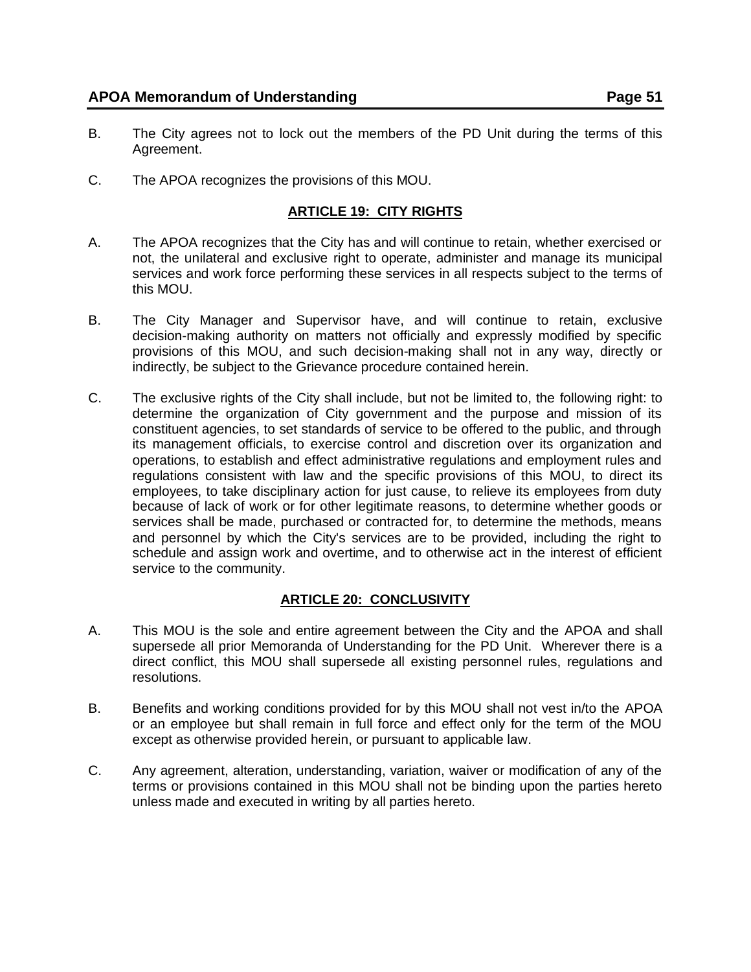- B. The City agrees not to lock out the members of the PD Unit during the terms of this Agreement.
- <span id="page-50-0"></span>C. The APOA recognizes the provisions of this MOU.

## **ARTICLE 19: CITY RIGHTS**

- A. The APOA recognizes that the City has and will continue to retain, whether exercised or not, the unilateral and exclusive right to operate, administer and manage its municipal services and work force performing these services in all respects subject to the terms of this MOU.
- B. The City Manager and Supervisor have, and will continue to retain, exclusive decision-making authority on matters not officially and expressly modified by specific provisions of this MOU, and such decision-making shall not in any way, directly or indirectly, be subject to the Grievance procedure contained herein.
- C. The exclusive rights of the City shall include, but not be limited to, the following right: to determine the organization of City government and the purpose and mission of its constituent agencies, to set standards of service to be offered to the public, and through its management officials, to exercise control and discretion over its organization and operations, to establish and effect administrative regulations and employment rules and regulations consistent with law and the specific provisions of this MOU, to direct its employees, to take disciplinary action for just cause, to relieve its employees from duty because of lack of work or for other legitimate reasons, to determine whether goods or services shall be made, purchased or contracted for, to determine the methods, means and personnel by which the City's services are to be provided, including the right to schedule and assign work and overtime, and to otherwise act in the interest of efficient service to the community.

## **ARTICLE 20: CONCLUSIVITY**

- <span id="page-50-1"></span>A. This MOU is the sole and entire agreement between the City and the APOA and shall supersede all prior Memoranda of Understanding for the PD Unit. Wherever there is a direct conflict, this MOU shall supersede all existing personnel rules, regulations and resolutions.
- B. Benefits and working conditions provided for by this MOU shall not vest in/to the APOA or an employee but shall remain in full force and effect only for the term of the MOU except as otherwise provided herein, or pursuant to applicable law.
- <span id="page-50-2"></span>C. Any agreement, alteration, understanding, variation, waiver or modification of any of the terms or provisions contained in this MOU shall not be binding upon the parties hereto unless made and executed in writing by all parties hereto.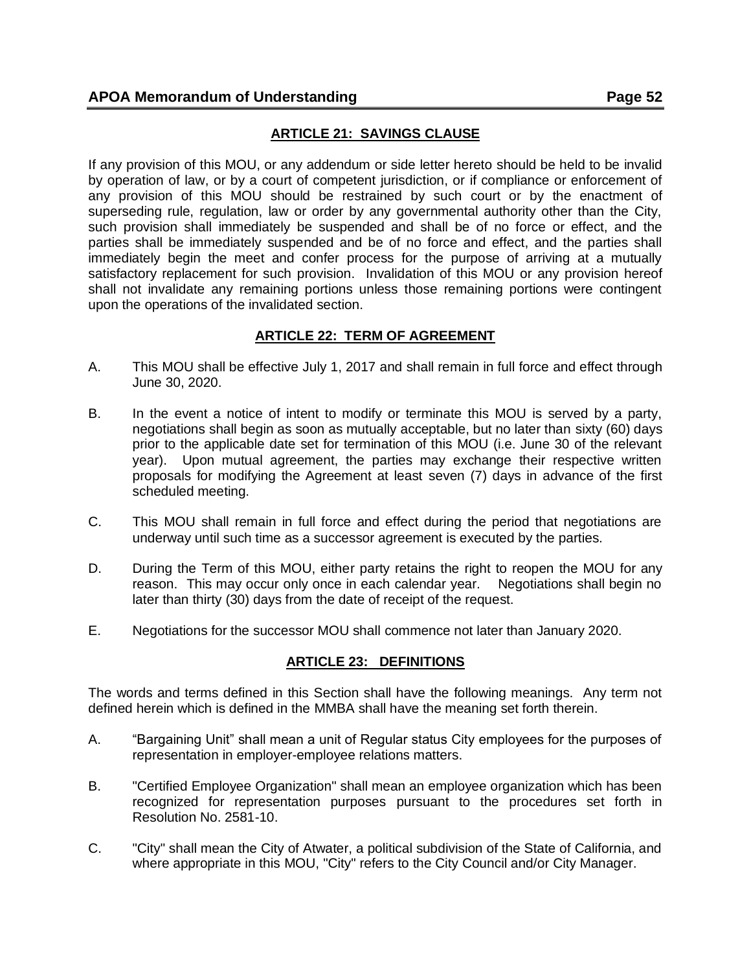# **ARTICLE 21: SAVINGS CLAUSE**

If any provision of this MOU, or any addendum or side letter hereto should be held to be invalid by operation of law, or by a court of competent jurisdiction, or if compliance or enforcement of any provision of this MOU should be restrained by such court or by the enactment of superseding rule, regulation, law or order by any governmental authority other than the City, such provision shall immediately be suspended and shall be of no force or effect, and the parties shall be immediately suspended and be of no force and effect, and the parties shall immediately begin the meet and confer process for the purpose of arriving at a mutually satisfactory replacement for such provision. Invalidation of this MOU or any provision hereof shall not invalidate any remaining portions unless those remaining portions were contingent upon the operations of the invalidated section.

# **ARTICLE 22: TERM OF AGREEMENT**

- <span id="page-51-0"></span>A. This MOU shall be effective July 1, 2017 and shall remain in full force and effect through June 30, 2020.
- B. In the event a notice of intent to modify or terminate this MOU is served by a party, negotiations shall begin as soon as mutually acceptable, but no later than sixty (60) days prior to the applicable date set for termination of this MOU (i.e. June 30 of the relevant year). Upon mutual agreement, the parties may exchange their respective written proposals for modifying the Agreement at least seven (7) days in advance of the first scheduled meeting.
- C. This MOU shall remain in full force and effect during the period that negotiations are underway until such time as a successor agreement is executed by the parties.
- D. During the Term of this MOU, either party retains the right to reopen the MOU for any reason. This may occur only once in each calendar year. Negotiations shall begin no later than thirty (30) days from the date of receipt of the request.
- <span id="page-51-1"></span>E. Negotiations for the successor MOU shall commence not later than January 2020.

## **ARTICLE 23: DEFINITIONS**

The words and terms defined in this Section shall have the following meanings. Any term not defined herein which is defined in the MMBA shall have the meaning set forth therein.

- A. "Bargaining Unit" shall mean a unit of Regular status City employees for the purposes of representation in employer-employee relations matters.
- B. "Certified Employee Organization" shall mean an employee organization which has been recognized for representation purposes pursuant to the procedures set forth in Resolution No. 2581-10.
- C. "City" shall mean the City of Atwater, a political subdivision of the State of California, and where appropriate in this MOU, "City" refers to the City Council and/or City Manager.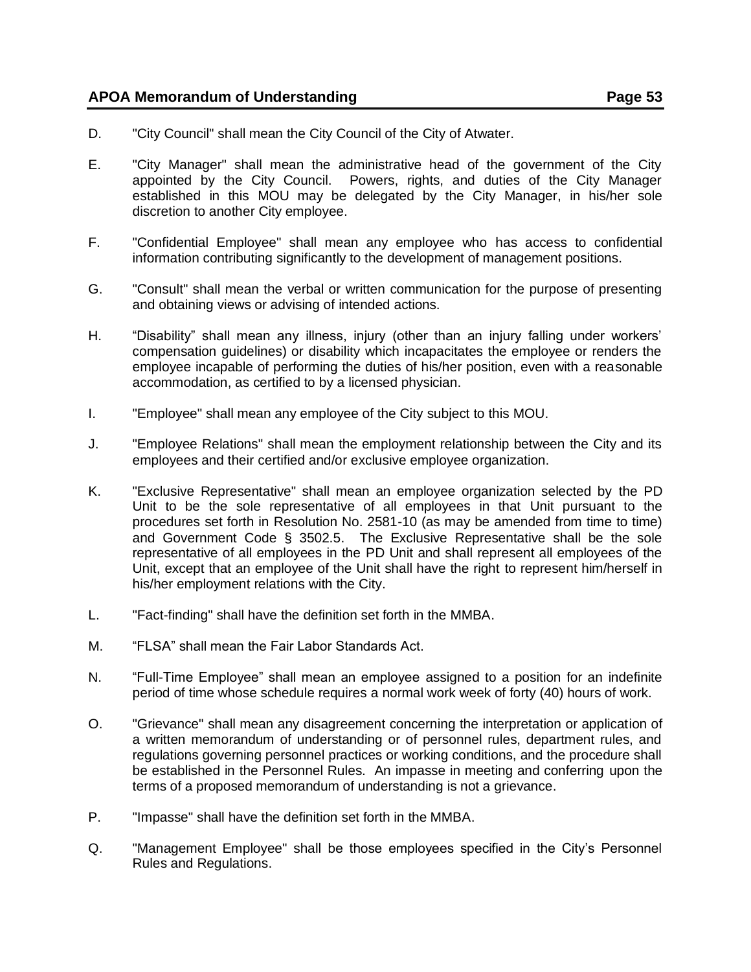- D. "City Council" shall mean the City Council of the City of Atwater.
- E. "City Manager" shall mean the administrative head of the government of the City appointed by the City Council. Powers, rights, and duties of the City Manager established in this MOU may be delegated by the City Manager, in his/her sole discretion to another City employee.
- F. "Confidential Employee" shall mean any employee who has access to confidential information contributing significantly to the development of management positions.
- G. "Consult" shall mean the verbal or written communication for the purpose of presenting and obtaining views or advising of intended actions.
- H. "Disability" shall mean any illness, injury (other than an injury falling under workers' compensation guidelines) or disability which incapacitates the employee or renders the employee incapable of performing the duties of his/her position, even with a reasonable accommodation, as certified to by a licensed physician.
- I. "Employee" shall mean any employee of the City subject to this MOU.
- J. "Employee Relations" shall mean the employment relationship between the City and its employees and their certified and/or exclusive employee organization.
- K. "Exclusive Representative" shall mean an employee organization selected by the PD Unit to be the sole representative of all employees in that Unit pursuant to the procedures set forth in Resolution No. 2581-10 (as may be amended from time to time) and Government Code § 3502.5. The Exclusive Representative shall be the sole representative of all employees in the PD Unit and shall represent all employees of the Unit, except that an employee of the Unit shall have the right to represent him/herself in his/her employment relations with the City.
- L. "Fact-finding" shall have the definition set forth in the MMBA.
- M. "FLSA" shall mean the Fair Labor Standards Act.
- N. "Full-Time Employee" shall mean an employee assigned to a position for an indefinite period of time whose schedule requires a normal work week of forty (40) hours of work.
- O. "Grievance" shall mean any disagreement concerning the interpretation or application of a written memorandum of understanding or of personnel rules, department rules, and regulations governing personnel practices or working conditions, and the procedure shall be established in the Personnel Rules. An impasse in meeting and conferring upon the terms of a proposed memorandum of understanding is not a grievance.
- P. "Impasse" shall have the definition set forth in the MMBA.
- Q. "Management Employee" shall be those employees specified in the City's Personnel Rules and Regulations.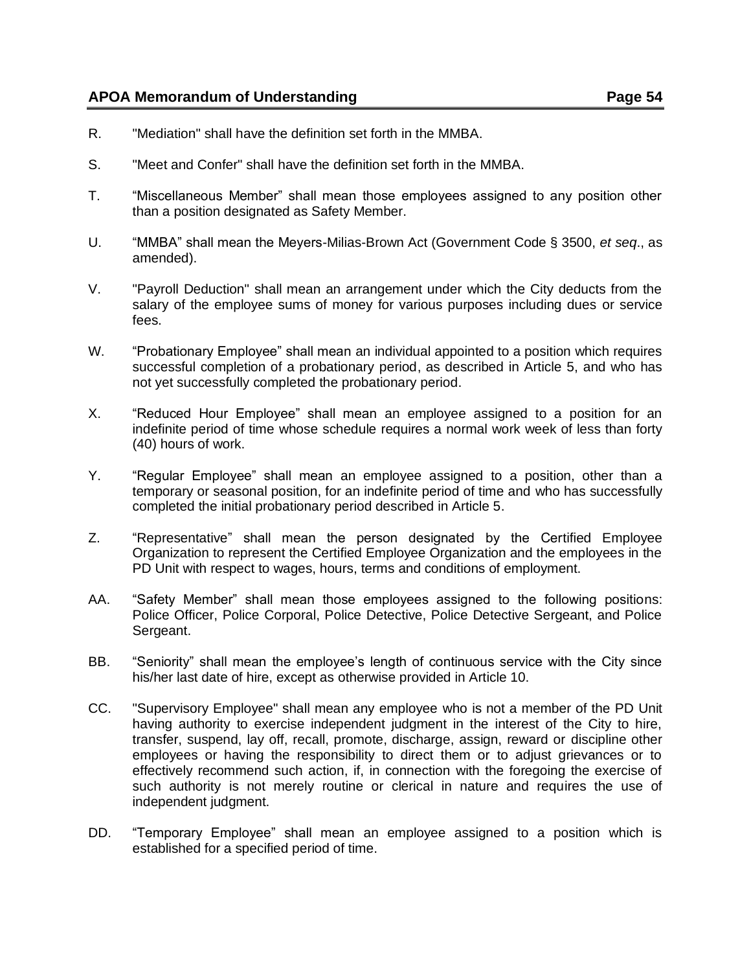- R. "Mediation" shall have the definition set forth in the MMBA.
- S. "Meet and Confer" shall have the definition set forth in the MMBA.
- T. "Miscellaneous Member" shall mean those employees assigned to any position other than a position designated as Safety Member.
- U. "MMBA" shall mean the Meyers-Milias-Brown Act (Government Code § 3500, *et seq*., as amended).
- V. "Payroll Deduction" shall mean an arrangement under which the City deducts from the salary of the employee sums of money for various purposes including dues or service fees.
- W. "Probationary Employee" shall mean an individual appointed to a position which requires successful completion of a probationary period, as described in Article 5, and who has not yet successfully completed the probationary period.
- X. "Reduced Hour Employee" shall mean an employee assigned to a position for an indefinite period of time whose schedule requires a normal work week of less than forty (40) hours of work.
- Y. "Regular Employee" shall mean an employee assigned to a position, other than a temporary or seasonal position, for an indefinite period of time and who has successfully completed the initial probationary period described in Article 5.
- Z. "Representative" shall mean the person designated by the Certified Employee Organization to represent the Certified Employee Organization and the employees in the PD Unit with respect to wages, hours, terms and conditions of employment.
- AA. "Safety Member" shall mean those employees assigned to the following positions: Police Officer, Police Corporal, Police Detective, Police Detective Sergeant, and Police Sergeant.
- BB. "Seniority" shall mean the employee's length of continuous service with the City since his/her last date of hire, except as otherwise provided in Article 10.
- CC. "Supervisory Employee" shall mean any employee who is not a member of the PD Unit having authority to exercise independent judgment in the interest of the City to hire, transfer, suspend, lay off, recall, promote, discharge, assign, reward or discipline other employees or having the responsibility to direct them or to adjust grievances or to effectively recommend such action, if, in connection with the foregoing the exercise of such authority is not merely routine or clerical in nature and requires the use of independent judgment.
- DD. "Temporary Employee" shall mean an employee assigned to a position which is established for a specified period of time.